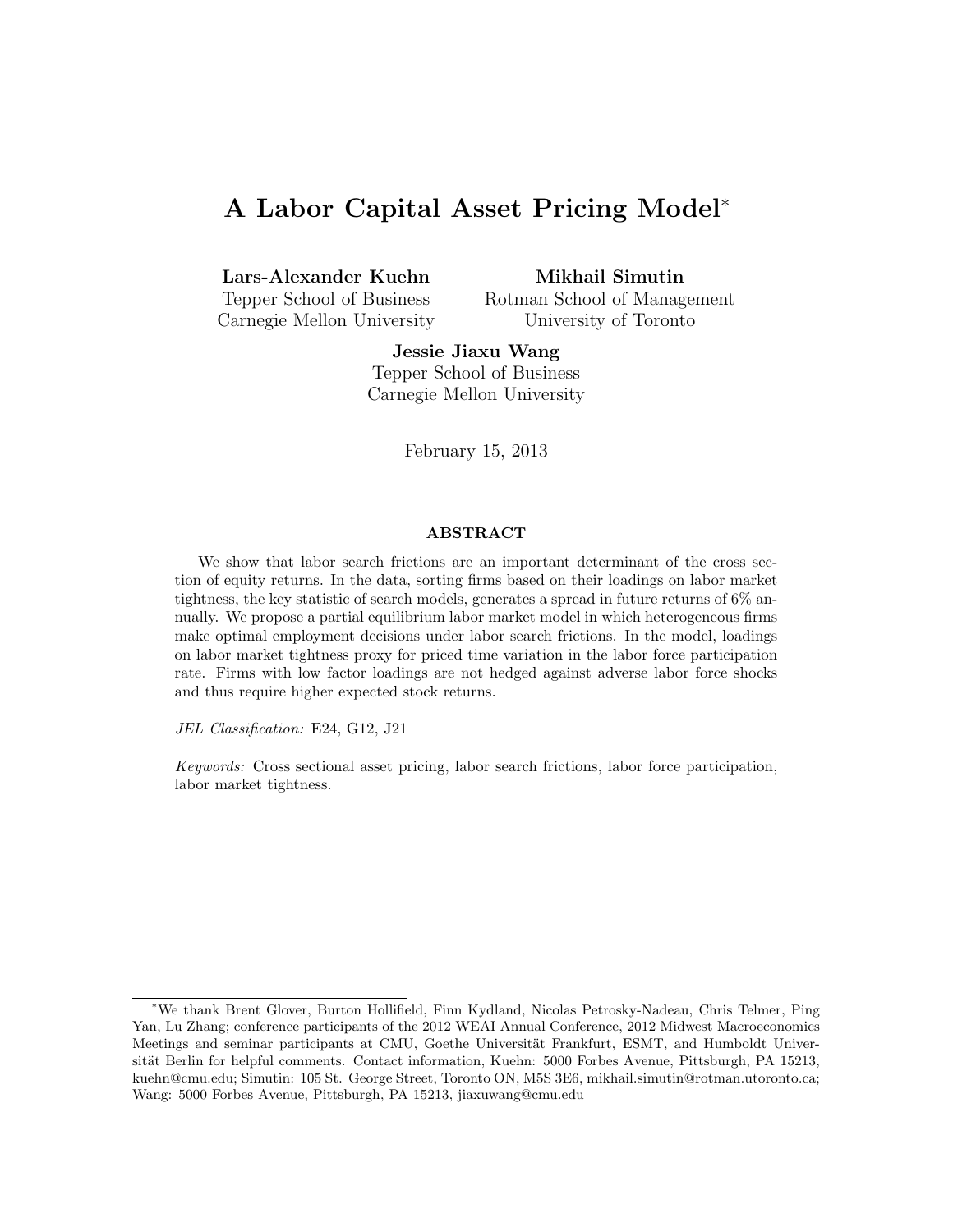# A Labor Capital Asset Pricing Model<sup>∗</sup>

Lars-Alexander Kuehn

Mikhail Simutin

Tepper School of Business Carnegie Mellon University Rotman School of Management University of Toronto

Jessie Jiaxu Wang Tepper School of Business Carnegie Mellon University

February 15, 2013

#### ABSTRACT

We show that labor search frictions are an important determinant of the cross section of equity returns. In the data, sorting firms based on their loadings on labor market tightness, the key statistic of search models, generates a spread in future returns of 6% annually. We propose a partial equilibrium labor market model in which heterogeneous firms make optimal employment decisions under labor search frictions. In the model, loadings on labor market tightness proxy for priced time variation in the labor force participation rate. Firms with low factor loadings are not hedged against adverse labor force shocks and thus require higher expected stock returns.

JEL Classification: E24, G12, J21

Keywords: Cross sectional asset pricing, labor search frictions, labor force participation, labor market tightness.

<sup>∗</sup>We thank Brent Glover, Burton Hollifield, Finn Kydland, Nicolas Petrosky-Nadeau, Chris Telmer, Ping Yan, Lu Zhang; conference participants of the 2012 WEAI Annual Conference, 2012 Midwest Macroeconomics Meetings and seminar participants at CMU, Goethe Universität Frankfurt, ESMT, and Humboldt Universität Berlin for helpful comments. Contact information, Kuehn: 5000 Forbes Avenue, Pittsburgh, PA 15213, kuehn@cmu.edu; Simutin: 105 St. George Street, Toronto ON, M5S 3E6, mikhail.simutin@rotman.utoronto.ca; Wang: 5000 Forbes Avenue, Pittsburgh, PA 15213, jiaxuwang@cmu.edu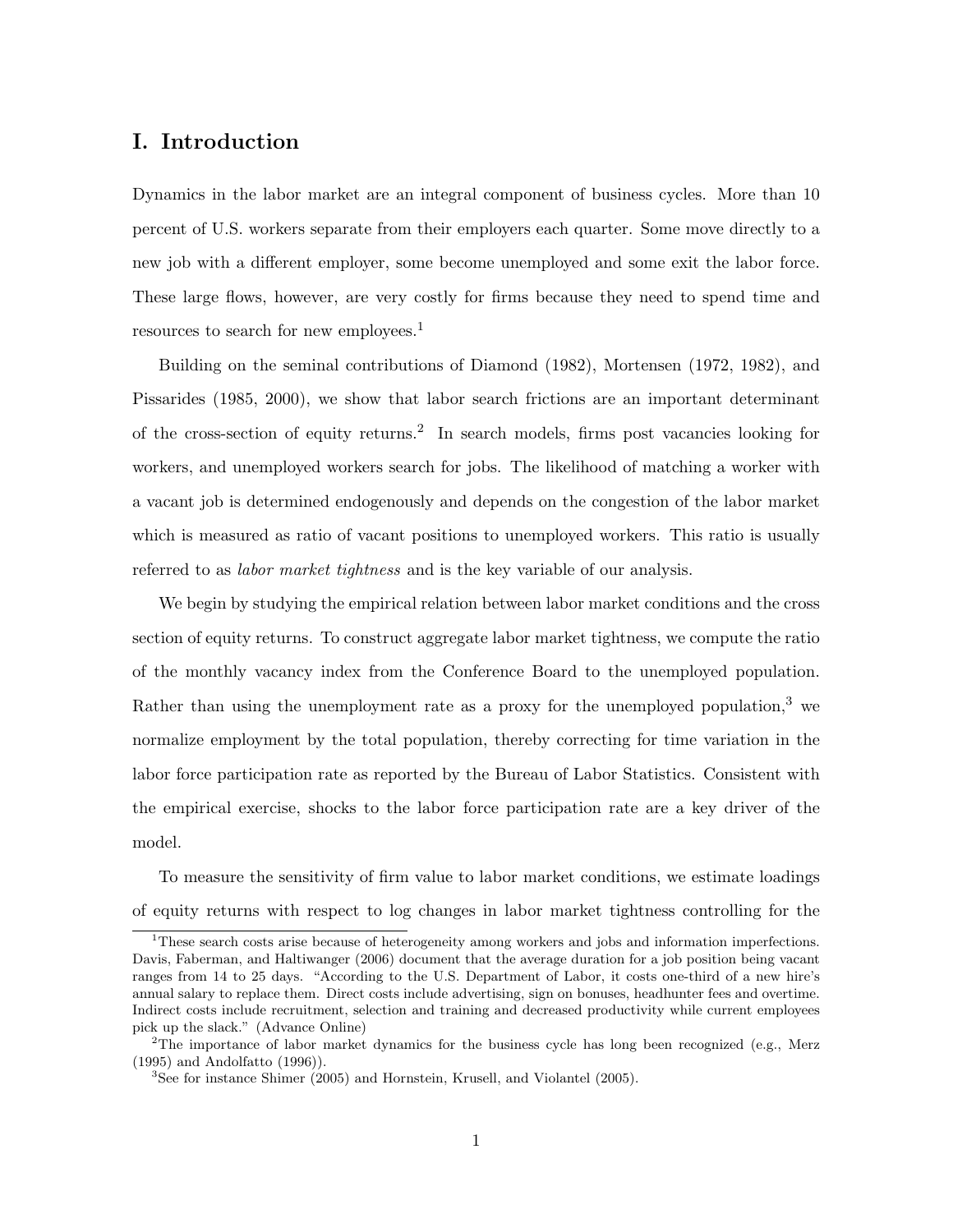## I. Introduction

Dynamics in the labor market are an integral component of business cycles. More than 10 percent of U.S. workers separate from their employers each quarter. Some move directly to a new job with a different employer, some become unemployed and some exit the labor force. These large flows, however, are very costly for firms because they need to spend time and resources to search for new employees.<sup>1</sup>

Building on the seminal contributions of Diamond (1982), Mortensen (1972, 1982), and Pissarides (1985, 2000), we show that labor search frictions are an important determinant of the cross-section of equity returns.<sup>2</sup> In search models, firms post vacancies looking for workers, and unemployed workers search for jobs. The likelihood of matching a worker with a vacant job is determined endogenously and depends on the congestion of the labor market which is measured as ratio of vacant positions to unemployed workers. This ratio is usually referred to as labor market tightness and is the key variable of our analysis.

We begin by studying the empirical relation between labor market conditions and the cross section of equity returns. To construct aggregate labor market tightness, we compute the ratio of the monthly vacancy index from the Conference Board to the unemployed population. Rather than using the unemployment rate as a proxy for the unemployed population,  $3$  we normalize employment by the total population, thereby correcting for time variation in the labor force participation rate as reported by the Bureau of Labor Statistics. Consistent with the empirical exercise, shocks to the labor force participation rate are a key driver of the model.

To measure the sensitivity of firm value to labor market conditions, we estimate loadings of equity returns with respect to log changes in labor market tightness controlling for the

<sup>&</sup>lt;sup>1</sup>These search costs arise because of heterogeneity among workers and jobs and information imperfections. Davis, Faberman, and Haltiwanger (2006) document that the average duration for a job position being vacant ranges from 14 to 25 days. "According to the U.S. Department of Labor, it costs one-third of a new hire's annual salary to replace them. Direct costs include advertising, sign on bonuses, headhunter fees and overtime. Indirect costs include recruitment, selection and training and decreased productivity while current employees pick up the slack." (Advance Online)

<sup>&</sup>lt;sup>2</sup>The importance of labor market dynamics for the business cycle has long been recognized (e.g., Merz) (1995) and Andolfatto (1996)).

<sup>3</sup>See for instance Shimer (2005) and Hornstein, Krusell, and Violantel (2005).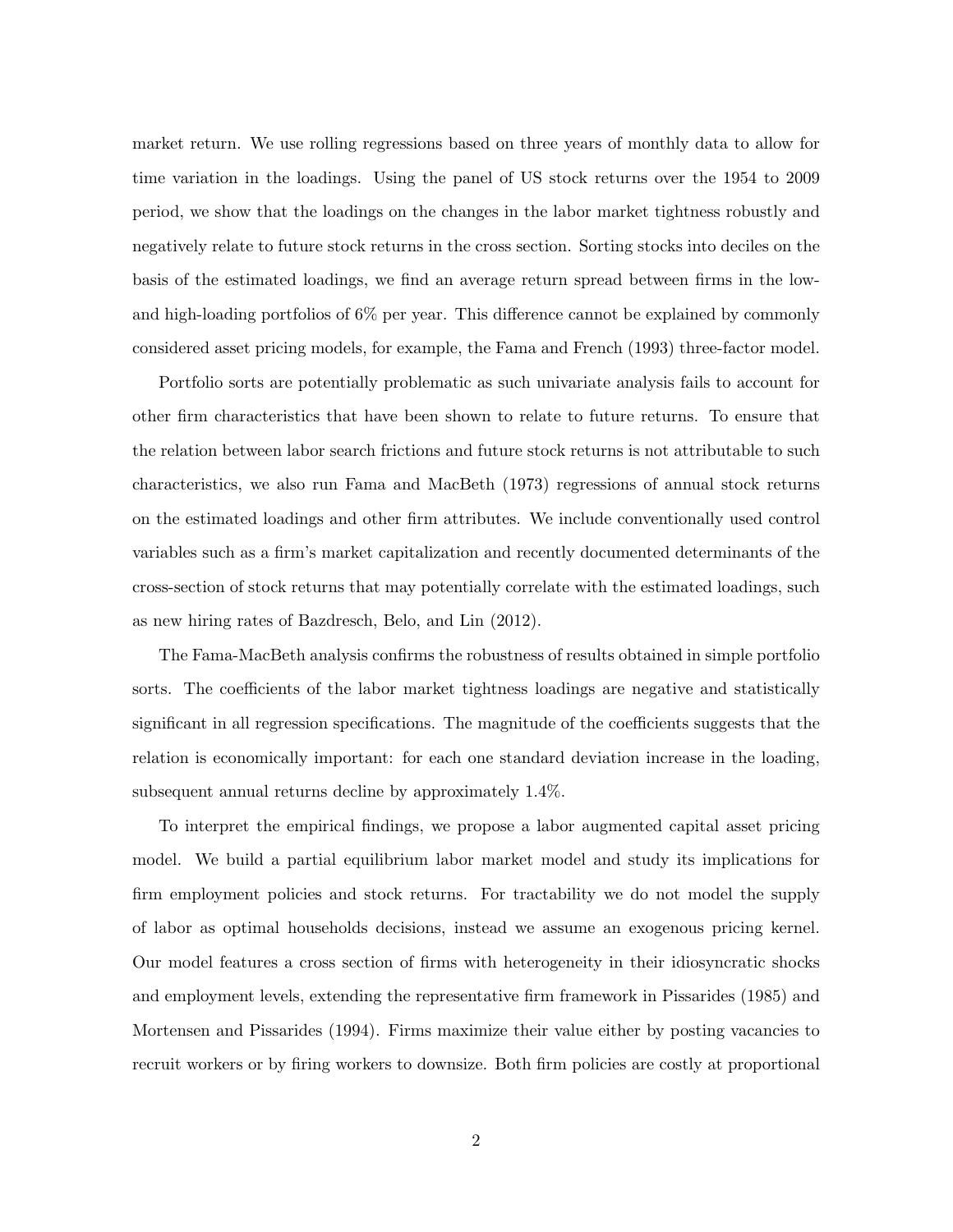market return. We use rolling regressions based on three years of monthly data to allow for time variation in the loadings. Using the panel of US stock returns over the 1954 to 2009 period, we show that the loadings on the changes in the labor market tightness robustly and negatively relate to future stock returns in the cross section. Sorting stocks into deciles on the basis of the estimated loadings, we find an average return spread between firms in the lowand high-loading portfolios of 6% per year. This difference cannot be explained by commonly considered asset pricing models, for example, the Fama and French (1993) three-factor model.

Portfolio sorts are potentially problematic as such univariate analysis fails to account for other firm characteristics that have been shown to relate to future returns. To ensure that the relation between labor search frictions and future stock returns is not attributable to such characteristics, we also run Fama and MacBeth (1973) regressions of annual stock returns on the estimated loadings and other firm attributes. We include conventionally used control variables such as a firm's market capitalization and recently documented determinants of the cross-section of stock returns that may potentially correlate with the estimated loadings, such as new hiring rates of Bazdresch, Belo, and Lin (2012).

The Fama-MacBeth analysis confirms the robustness of results obtained in simple portfolio sorts. The coefficients of the labor market tightness loadings are negative and statistically significant in all regression specifications. The magnitude of the coefficients suggests that the relation is economically important: for each one standard deviation increase in the loading, subsequent annual returns decline by approximately 1.4%.

To interpret the empirical findings, we propose a labor augmented capital asset pricing model. We build a partial equilibrium labor market model and study its implications for firm employment policies and stock returns. For tractability we do not model the supply of labor as optimal households decisions, instead we assume an exogenous pricing kernel. Our model features a cross section of firms with heterogeneity in their idiosyncratic shocks and employment levels, extending the representative firm framework in Pissarides (1985) and Mortensen and Pissarides (1994). Firms maximize their value either by posting vacancies to recruit workers or by firing workers to downsize. Both firm policies are costly at proportional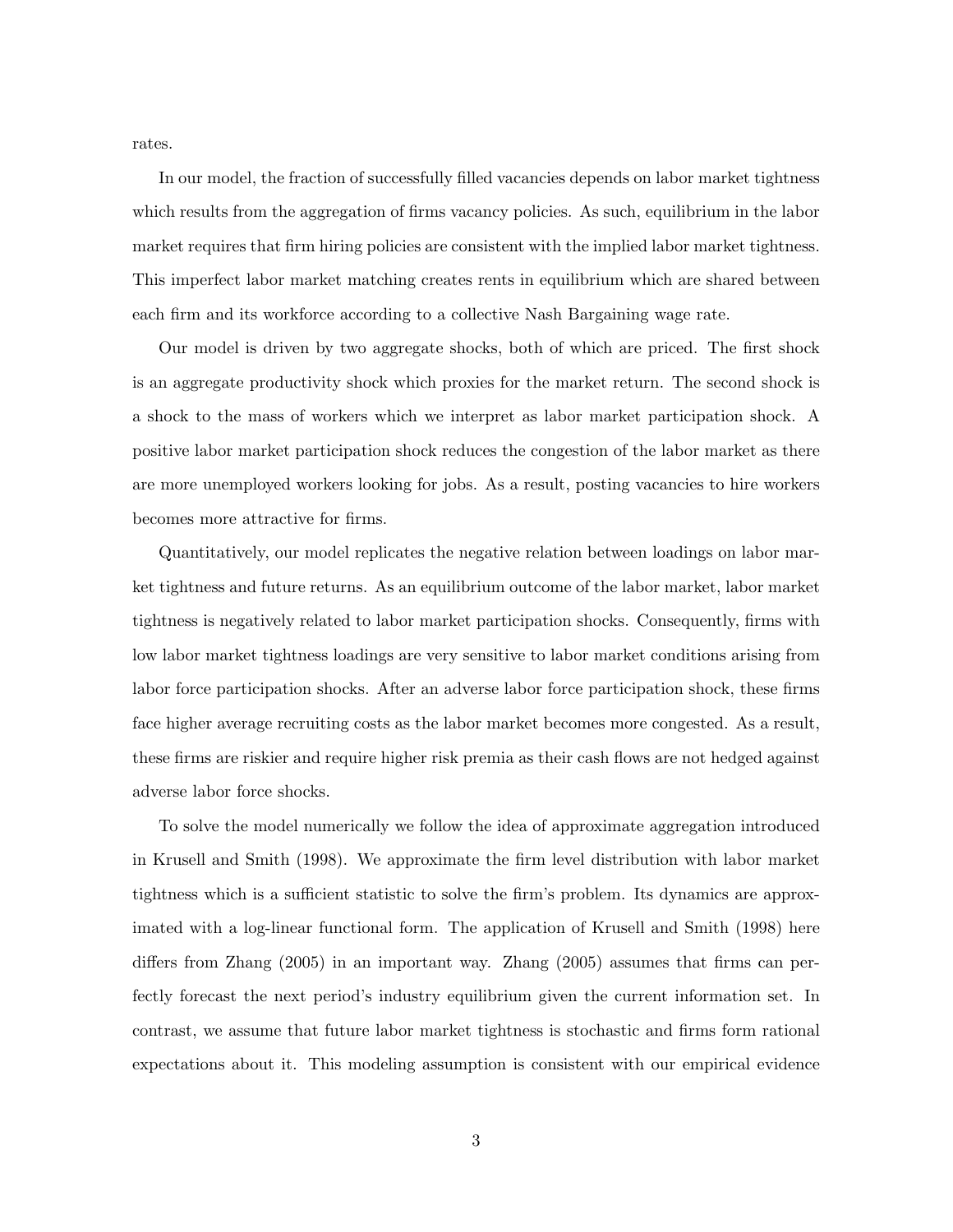rates.

In our model, the fraction of successfully filled vacancies depends on labor market tightness which results from the aggregation of firms vacancy policies. As such, equilibrium in the labor market requires that firm hiring policies are consistent with the implied labor market tightness. This imperfect labor market matching creates rents in equilibrium which are shared between each firm and its workforce according to a collective Nash Bargaining wage rate.

Our model is driven by two aggregate shocks, both of which are priced. The first shock is an aggregate productivity shock which proxies for the market return. The second shock is a shock to the mass of workers which we interpret as labor market participation shock. A positive labor market participation shock reduces the congestion of the labor market as there are more unemployed workers looking for jobs. As a result, posting vacancies to hire workers becomes more attractive for firms.

Quantitatively, our model replicates the negative relation between loadings on labor market tightness and future returns. As an equilibrium outcome of the labor market, labor market tightness is negatively related to labor market participation shocks. Consequently, firms with low labor market tightness loadings are very sensitive to labor market conditions arising from labor force participation shocks. After an adverse labor force participation shock, these firms face higher average recruiting costs as the labor market becomes more congested. As a result, these firms are riskier and require higher risk premia as their cash flows are not hedged against adverse labor force shocks.

To solve the model numerically we follow the idea of approximate aggregation introduced in Krusell and Smith (1998). We approximate the firm level distribution with labor market tightness which is a sufficient statistic to solve the firm's problem. Its dynamics are approximated with a log-linear functional form. The application of Krusell and Smith (1998) here differs from Zhang (2005) in an important way. Zhang (2005) assumes that firms can perfectly forecast the next period's industry equilibrium given the current information set. In contrast, we assume that future labor market tightness is stochastic and firms form rational expectations about it. This modeling assumption is consistent with our empirical evidence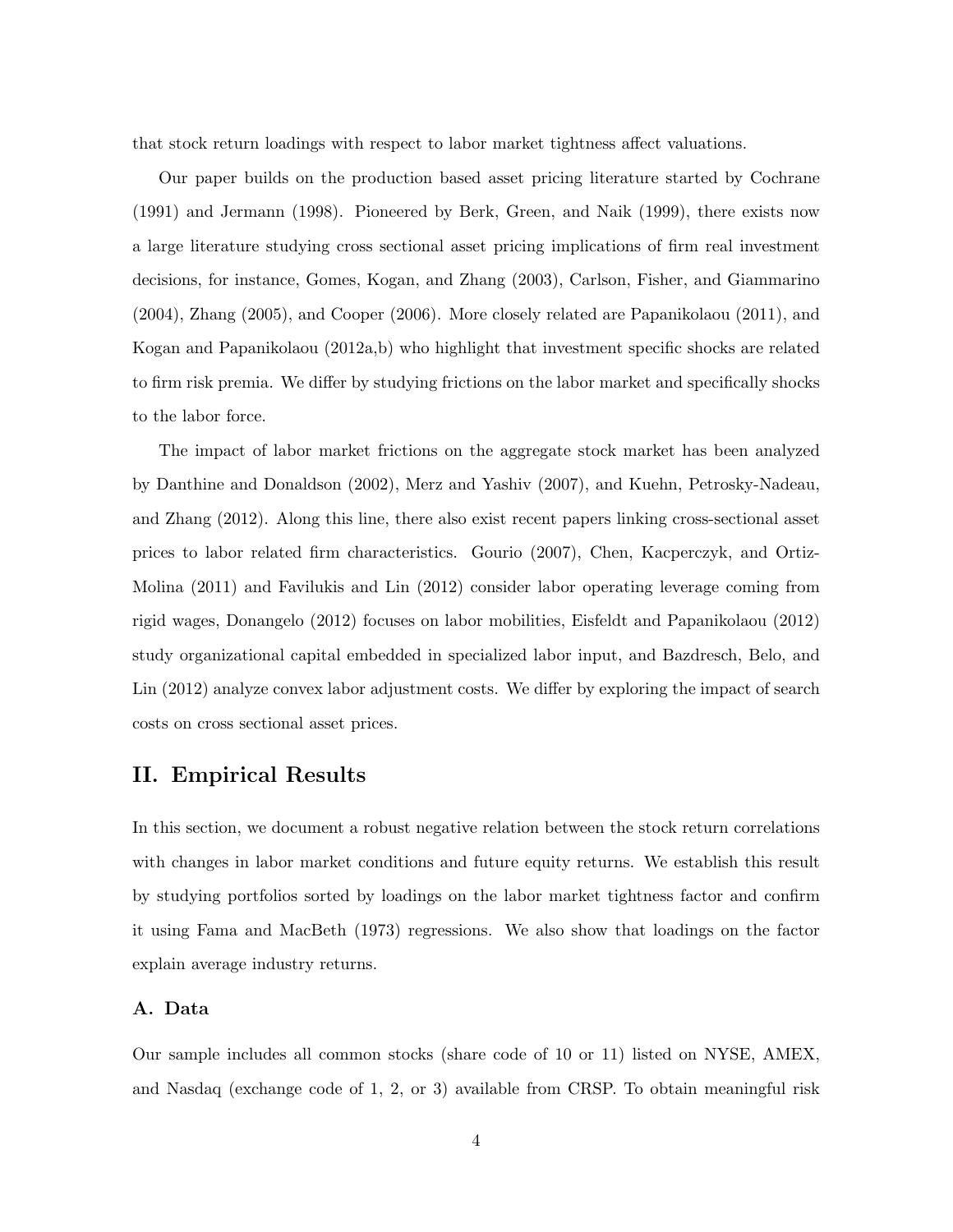that stock return loadings with respect to labor market tightness affect valuations.

Our paper builds on the production based asset pricing literature started by Cochrane (1991) and Jermann (1998). Pioneered by Berk, Green, and Naik (1999), there exists now a large literature studying cross sectional asset pricing implications of firm real investment decisions, for instance, Gomes, Kogan, and Zhang (2003), Carlson, Fisher, and Giammarino (2004), Zhang (2005), and Cooper (2006). More closely related are Papanikolaou (2011), and Kogan and Papanikolaou (2012a,b) who highlight that investment specific shocks are related to firm risk premia. We differ by studying frictions on the labor market and specifically shocks to the labor force.

The impact of labor market frictions on the aggregate stock market has been analyzed by Danthine and Donaldson (2002), Merz and Yashiv (2007), and Kuehn, Petrosky-Nadeau, and Zhang (2012). Along this line, there also exist recent papers linking cross-sectional asset prices to labor related firm characteristics. Gourio (2007), Chen, Kacperczyk, and Ortiz-Molina (2011) and Favilukis and Lin (2012) consider labor operating leverage coming from rigid wages, Donangelo (2012) focuses on labor mobilities, Eisfeldt and Papanikolaou (2012) study organizational capital embedded in specialized labor input, and Bazdresch, Belo, and Lin (2012) analyze convex labor adjustment costs. We differ by exploring the impact of search costs on cross sectional asset prices.

## II. Empirical Results

In this section, we document a robust negative relation between the stock return correlations with changes in labor market conditions and future equity returns. We establish this result by studying portfolios sorted by loadings on the labor market tightness factor and confirm it using Fama and MacBeth (1973) regressions. We also show that loadings on the factor explain average industry returns.

#### A. Data

Our sample includes all common stocks (share code of 10 or 11) listed on NYSE, AMEX, and Nasdaq (exchange code of 1, 2, or 3) available from CRSP. To obtain meaningful risk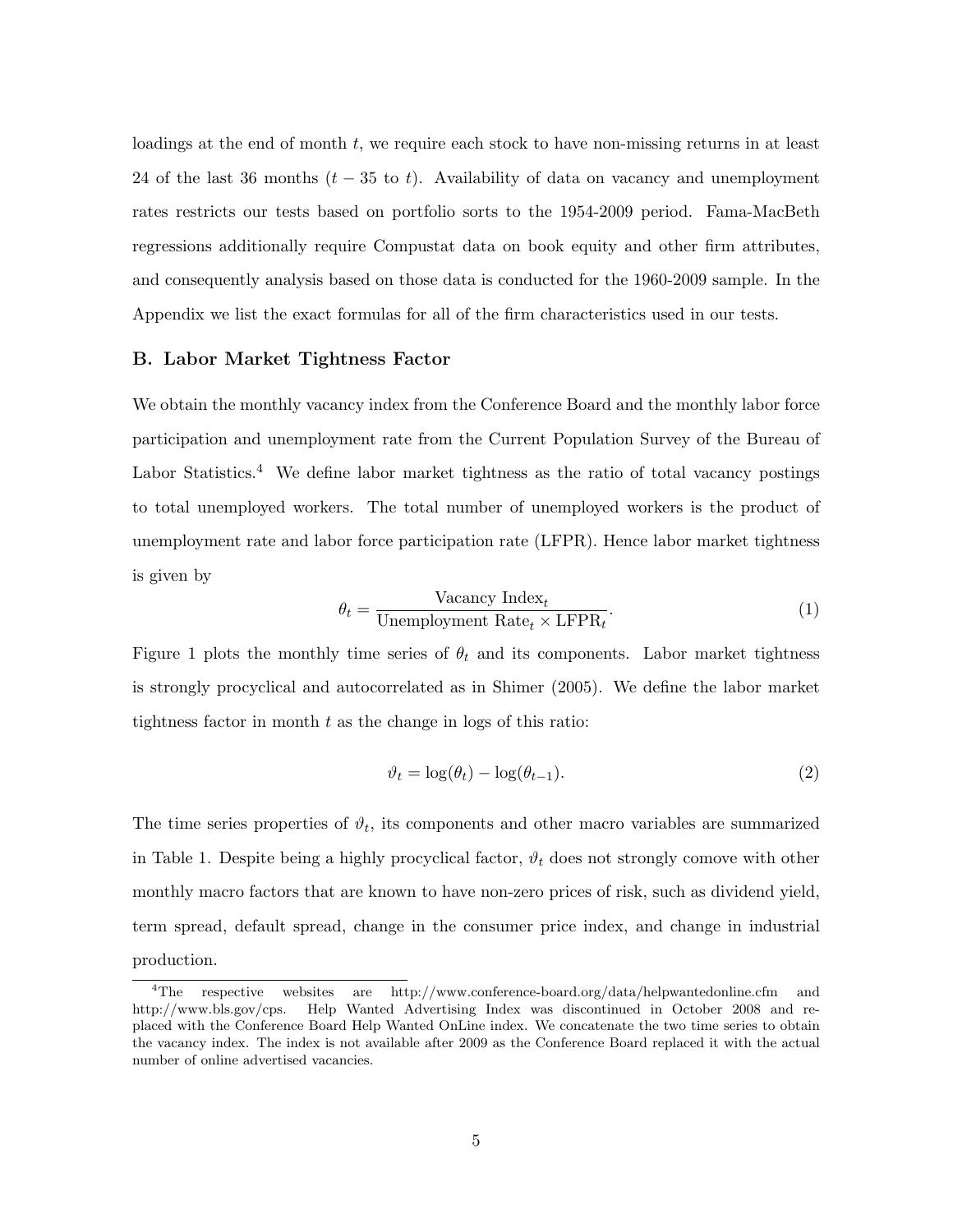loadings at the end of month t, we require each stock to have non-missing returns in at least 24 of the last 36 months  $(t - 35$  to t). Availability of data on vacancy and unemployment rates restricts our tests based on portfolio sorts to the 1954-2009 period. Fama-MacBeth regressions additionally require Compustat data on book equity and other firm attributes, and consequently analysis based on those data is conducted for the 1960-2009 sample. In the Appendix we list the exact formulas for all of the firm characteristics used in our tests.

#### B. Labor Market Tightness Factor

We obtain the monthly vacancy index from the Conference Board and the monthly labor force participation and unemployment rate from the Current Population Survey of the Bureau of Labor Statistics.<sup>4</sup> We define labor market tightness as the ratio of total vacancy postings to total unemployed workers. The total number of unemployed workers is the product of unemployment rate and labor force participation rate (LFPR). Hence labor market tightness is given by

$$
\theta_t = \frac{\text{Vacancy Index}_t}{\text{Unemployment Rate}_t \times \text{LFPR}_t}.\tag{1}
$$

Figure 1 plots the monthly time series of  $\theta_t$  and its components. Labor market tightness is strongly procyclical and autocorrelated as in Shimer (2005). We define the labor market tightness factor in month  $t$  as the change in logs of this ratio:

$$
\vartheta_t = \log(\theta_t) - \log(\theta_{t-1}).\tag{2}
$$

The time series properties of  $\vartheta_t$ , its components and other macro variables are summarized in Table 1. Despite being a highly procyclical factor,  $\vartheta_t$  does not strongly comove with other monthly macro factors that are known to have non-zero prices of risk, such as dividend yield, term spread, default spread, change in the consumer price index, and change in industrial production.

<sup>4</sup>The respective websites are http://www.conference-board.org/data/helpwantedonline.cfm and http://www.bls.gov/cps. Help Wanted Advertising Index was discontinued in October 2008 and replaced with the Conference Board Help Wanted OnLine index. We concatenate the two time series to obtain the vacancy index. The index is not available after 2009 as the Conference Board replaced it with the actual number of online advertised vacancies.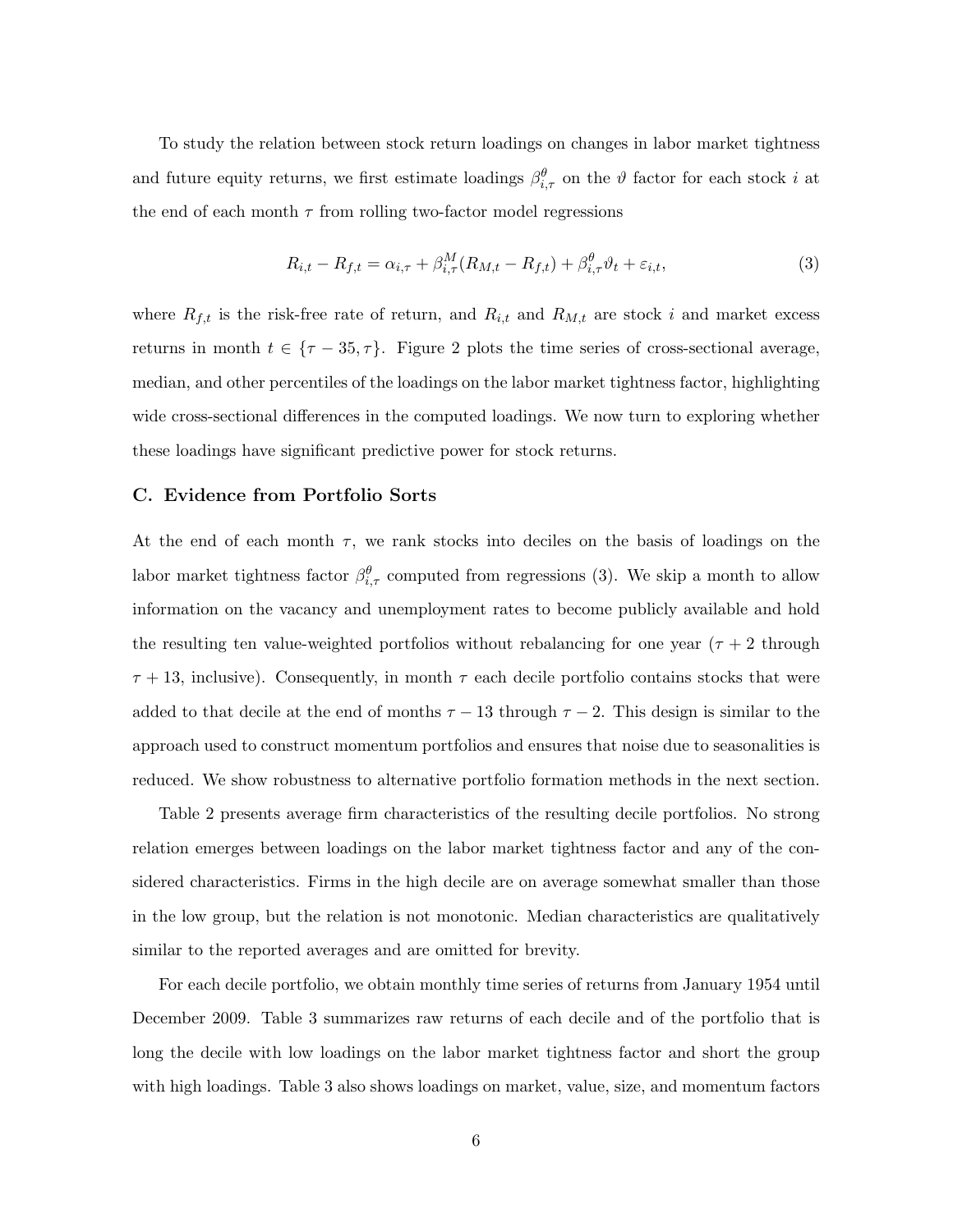To study the relation between stock return loadings on changes in labor market tightness and future equity returns, we first estimate loadings  $\beta_{i,\tau}^{\theta}$  on the  $\theta$  factor for each stock i at the end of each month  $\tau$  from rolling two-factor model regressions

$$
R_{i,t} - R_{f,t} = \alpha_{i,\tau} + \beta_{i,\tau}^M(R_{M,t} - R_{f,t}) + \beta_{i,\tau}^\theta \vartheta_t + \varepsilon_{i,t},\tag{3}
$$

where  $R_{f,t}$  is the risk-free rate of return, and  $R_{i,t}$  and  $R_{M,t}$  are stock i and market excess returns in month  $t \in \{\tau - 35, \tau\}$ . Figure 2 plots the time series of cross-sectional average, median, and other percentiles of the loadings on the labor market tightness factor, highlighting wide cross-sectional differences in the computed loadings. We now turn to exploring whether these loadings have significant predictive power for stock returns.

#### C. Evidence from Portfolio Sorts

At the end of each month  $\tau$ , we rank stocks into deciles on the basis of loadings on the labor market tightness factor  $\beta_{i,\tau}^{\theta}$  computed from regressions (3). We skip a month to allow information on the vacancy and unemployment rates to become publicly available and hold the resulting ten value-weighted portfolios without rebalancing for one year ( $\tau + 2$  through  $\tau$  + 13, inclusive). Consequently, in month  $\tau$  each decile portfolio contains stocks that were added to that decile at the end of months  $\tau - 13$  through  $\tau - 2$ . This design is similar to the approach used to construct momentum portfolios and ensures that noise due to seasonalities is reduced. We show robustness to alternative portfolio formation methods in the next section.

Table 2 presents average firm characteristics of the resulting decile portfolios. No strong relation emerges between loadings on the labor market tightness factor and any of the considered characteristics. Firms in the high decile are on average somewhat smaller than those in the low group, but the relation is not monotonic. Median characteristics are qualitatively similar to the reported averages and are omitted for brevity.

For each decile portfolio, we obtain monthly time series of returns from January 1954 until December 2009. Table 3 summarizes raw returns of each decile and of the portfolio that is long the decile with low loadings on the labor market tightness factor and short the group with high loadings. Table 3 also shows loadings on market, value, size, and momentum factors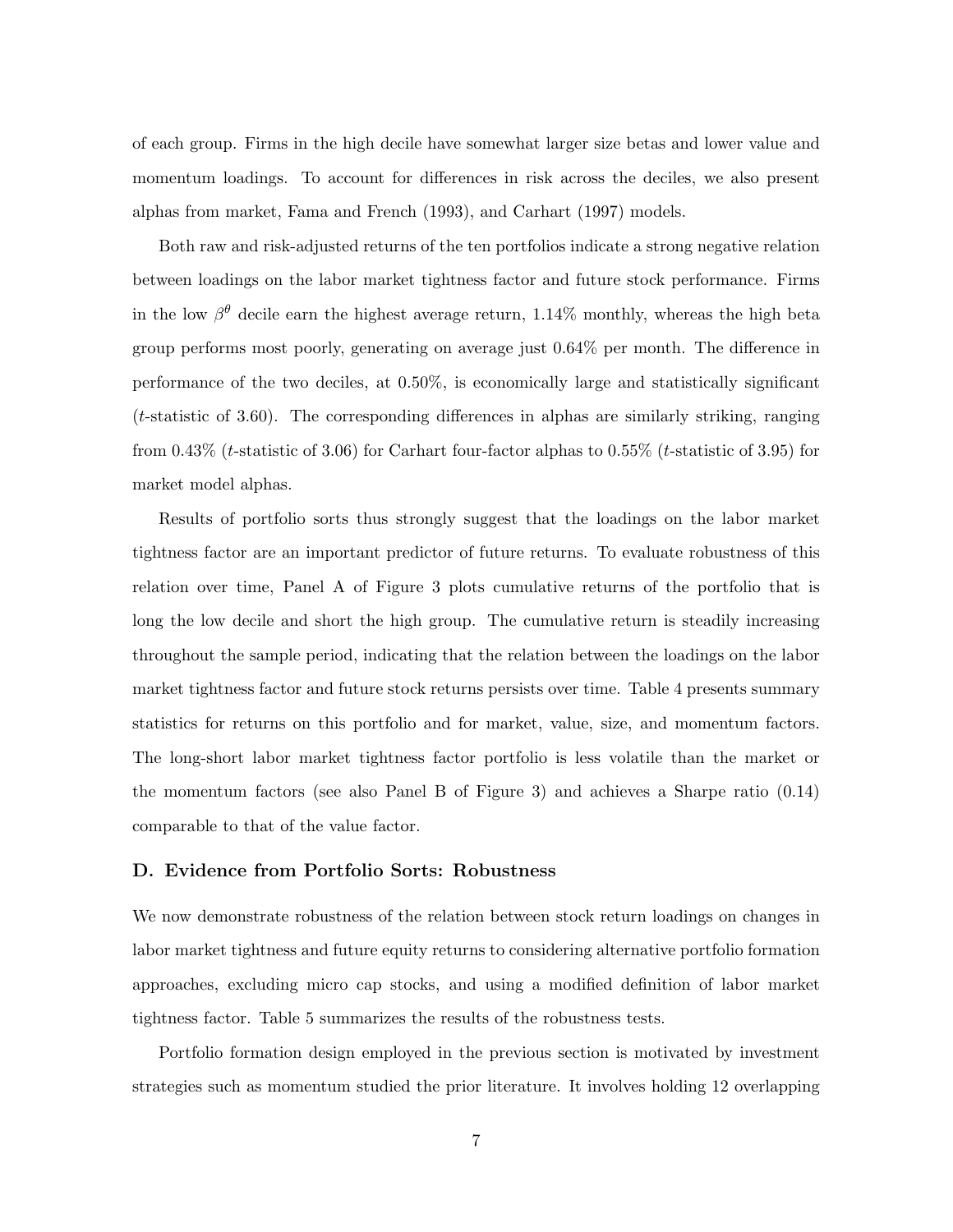of each group. Firms in the high decile have somewhat larger size betas and lower value and momentum loadings. To account for differences in risk across the deciles, we also present alphas from market, Fama and French (1993), and Carhart (1997) models.

Both raw and risk-adjusted returns of the ten portfolios indicate a strong negative relation between loadings on the labor market tightness factor and future stock performance. Firms in the low  $\beta^{\theta}$  decile earn the highest average return, 1.14% monthly, whereas the high beta group performs most poorly, generating on average just 0.64% per month. The difference in performance of the two deciles, at 0.50%, is economically large and statistically significant  $(t\text{-statistic of } 3.60)$ . The corresponding differences in alphas are similarly striking, ranging from 0.43% (t-statistic of 3.06) for Carhart four-factor alphas to 0.55% (t-statistic of 3.95) for market model alphas.

Results of portfolio sorts thus strongly suggest that the loadings on the labor market tightness factor are an important predictor of future returns. To evaluate robustness of this relation over time, Panel A of Figure 3 plots cumulative returns of the portfolio that is long the low decile and short the high group. The cumulative return is steadily increasing throughout the sample period, indicating that the relation between the loadings on the labor market tightness factor and future stock returns persists over time. Table 4 presents summary statistics for returns on this portfolio and for market, value, size, and momentum factors. The long-short labor market tightness factor portfolio is less volatile than the market or the momentum factors (see also Panel B of Figure 3) and achieves a Sharpe ratio (0.14) comparable to that of the value factor.

#### D. Evidence from Portfolio Sorts: Robustness

We now demonstrate robustness of the relation between stock return loadings on changes in labor market tightness and future equity returns to considering alternative portfolio formation approaches, excluding micro cap stocks, and using a modified definition of labor market tightness factor. Table 5 summarizes the results of the robustness tests.

Portfolio formation design employed in the previous section is motivated by investment strategies such as momentum studied the prior literature. It involves holding 12 overlapping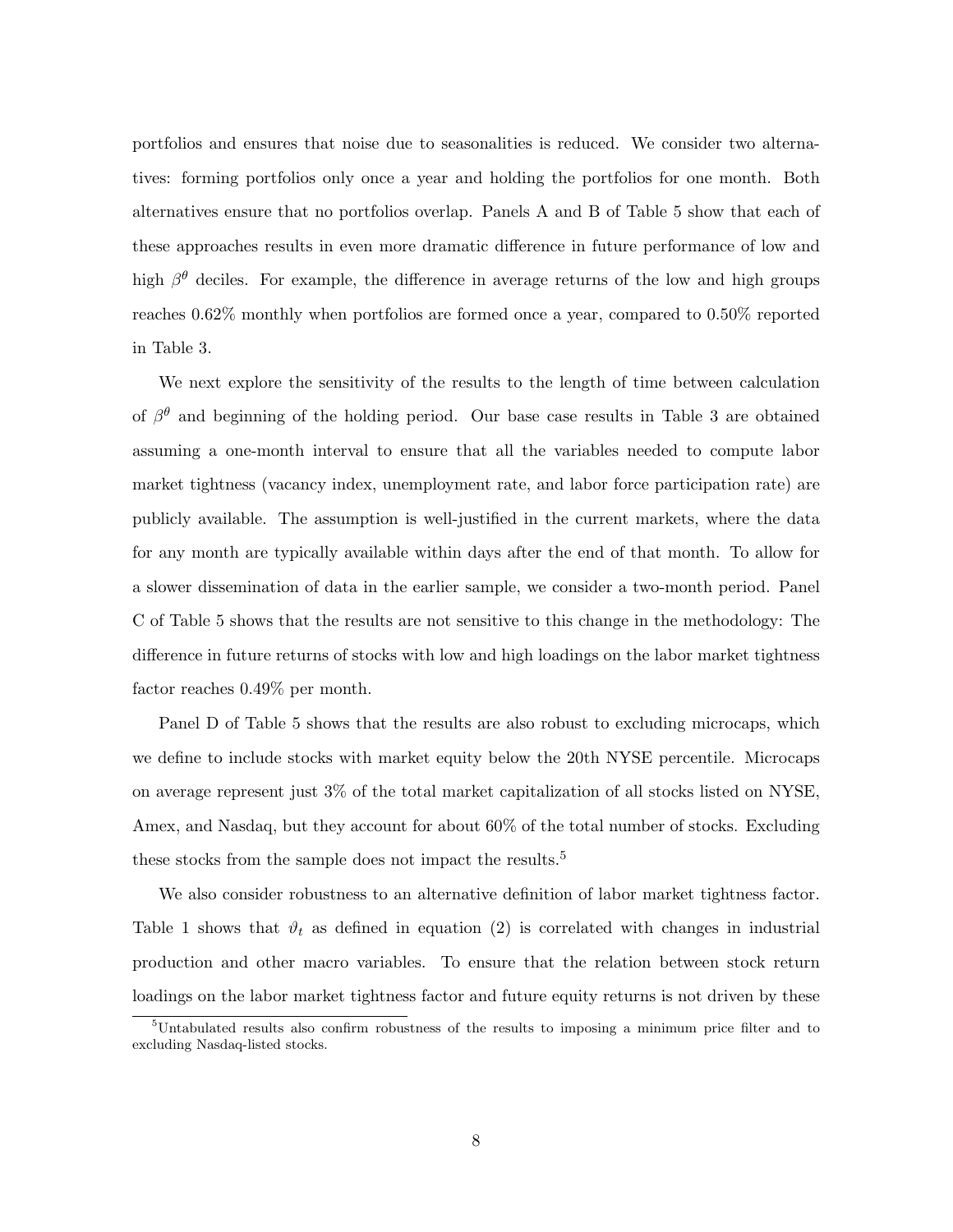portfolios and ensures that noise due to seasonalities is reduced. We consider two alternatives: forming portfolios only once a year and holding the portfolios for one month. Both alternatives ensure that no portfolios overlap. Panels A and B of Table 5 show that each of these approaches results in even more dramatic difference in future performance of low and high  $\beta^{\theta}$  deciles. For example, the difference in average returns of the low and high groups reaches 0.62% monthly when portfolios are formed once a year, compared to 0.50% reported in Table 3.

We next explore the sensitivity of the results to the length of time between calculation of  $\beta^{\theta}$  and beginning of the holding period. Our base case results in Table 3 are obtained assuming a one-month interval to ensure that all the variables needed to compute labor market tightness (vacancy index, unemployment rate, and labor force participation rate) are publicly available. The assumption is well-justified in the current markets, where the data for any month are typically available within days after the end of that month. To allow for a slower dissemination of data in the earlier sample, we consider a two-month period. Panel C of Table 5 shows that the results are not sensitive to this change in the methodology: The difference in future returns of stocks with low and high loadings on the labor market tightness factor reaches 0.49% per month.

Panel D of Table 5 shows that the results are also robust to excluding microcaps, which we define to include stocks with market equity below the 20th NYSE percentile. Microcaps on average represent just 3% of the total market capitalization of all stocks listed on NYSE, Amex, and Nasdaq, but they account for about 60% of the total number of stocks. Excluding these stocks from the sample does not impact the results.<sup>5</sup>

We also consider robustness to an alternative definition of labor market tightness factor. Table 1 shows that  $\vartheta_t$  as defined in equation (2) is correlated with changes in industrial production and other macro variables. To ensure that the relation between stock return loadings on the labor market tightness factor and future equity returns is not driven by these

<sup>5</sup>Untabulated results also confirm robustness of the results to imposing a minimum price filter and to excluding Nasdaq-listed stocks.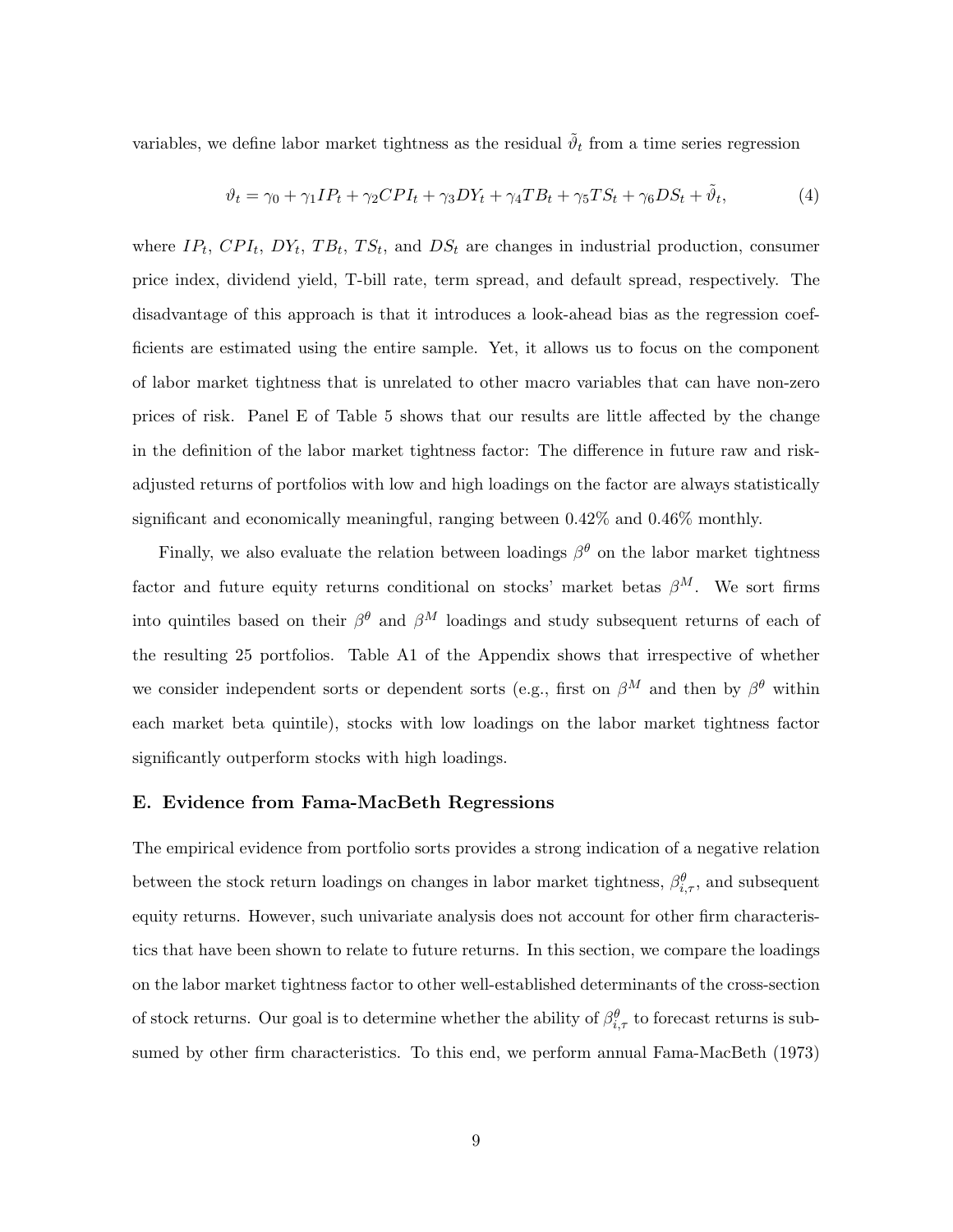variables, we define labor market tightness as the residual  $\tilde{\vartheta}_t$  from a time series regression

$$
\vartheta_t = \gamma_0 + \gamma_1 IP_t + \gamma_2 CPI_t + \gamma_3 DY_t + \gamma_4 TB_t + \gamma_5 TS_t + \gamma_6 DS_t + \tilde{\vartheta}_t,\tag{4}
$$

where  $IP_t$ ,  $CPI_t$ ,  $DY_t$ ,  $TB_t$ ,  $TS_t$ , and  $DS_t$  are changes in industrial production, consumer price index, dividend yield, T-bill rate, term spread, and default spread, respectively. The disadvantage of this approach is that it introduces a look-ahead bias as the regression coefficients are estimated using the entire sample. Yet, it allows us to focus on the component of labor market tightness that is unrelated to other macro variables that can have non-zero prices of risk. Panel E of Table 5 shows that our results are little affected by the change in the definition of the labor market tightness factor: The difference in future raw and riskadjusted returns of portfolios with low and high loadings on the factor are always statistically significant and economically meaningful, ranging between 0.42% and 0.46% monthly.

Finally, we also evaluate the relation between loadings  $\beta^{\theta}$  on the labor market tightness factor and future equity returns conditional on stocks' market betas  $\beta^{M}$ . We sort firms into quintiles based on their  $\beta^{\theta}$  and  $\beta^{M}$  loadings and study subsequent returns of each of the resulting 25 portfolios. Table A1 of the Appendix shows that irrespective of whether we consider independent sorts or dependent sorts (e.g., first on  $\beta^M$  and then by  $\beta^{\theta}$  within each market beta quintile), stocks with low loadings on the labor market tightness factor significantly outperform stocks with high loadings.

#### E. Evidence from Fama-MacBeth Regressions

The empirical evidence from portfolio sorts provides a strong indication of a negative relation between the stock return loadings on changes in labor market tightness,  $\beta_{i,\tau}^{\theta}$ , and subsequent equity returns. However, such univariate analysis does not account for other firm characteristics that have been shown to relate to future returns. In this section, we compare the loadings on the labor market tightness factor to other well-established determinants of the cross-section of stock returns. Our goal is to determine whether the ability of  $\beta_{i,\tau}^{\theta}$  to forecast returns is subsumed by other firm characteristics. To this end, we perform annual Fama-MacBeth (1973)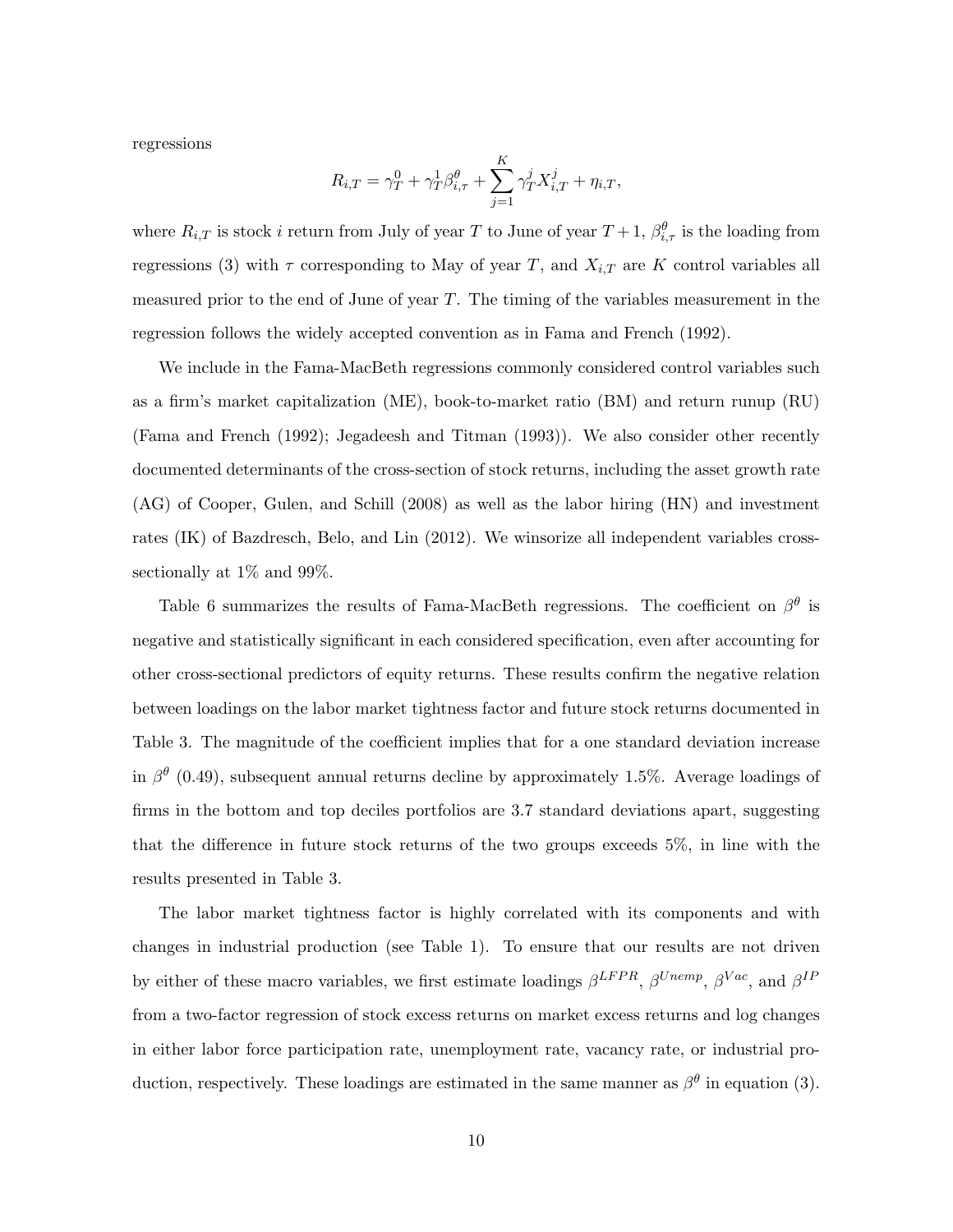regressions

$$
R_{i,T} = \gamma_T^0 + \gamma_T^1 \beta_{i,\tau}^{\theta} + \sum_{j=1}^K \gamma_T^j X_{i,T}^j + \eta_{i,T},
$$

where  $R_{i,T}$  is stock i return from July of year T to June of year  $T+1$ ,  $\beta_{i,\tau}^{\theta}$  is the loading from regressions (3) with  $\tau$  corresponding to May of year T, and  $X_{i,T}$  are K control variables all measured prior to the end of June of year T. The timing of the variables measurement in the regression follows the widely accepted convention as in Fama and French (1992).

We include in the Fama-MacBeth regressions commonly considered control variables such as a firm's market capitalization (ME), book-to-market ratio (BM) and return runup (RU) (Fama and French (1992); Jegadeesh and Titman (1993)). We also consider other recently documented determinants of the cross-section of stock returns, including the asset growth rate (AG) of Cooper, Gulen, and Schill (2008) as well as the labor hiring (HN) and investment rates (IK) of Bazdresch, Belo, and Lin (2012). We winsorize all independent variables crosssectionally at 1% and 99%.

Table 6 summarizes the results of Fama-MacBeth regressions. The coefficient on  $\beta^{\theta}$  is negative and statistically significant in each considered specification, even after accounting for other cross-sectional predictors of equity returns. These results confirm the negative relation between loadings on the labor market tightness factor and future stock returns documented in Table 3. The magnitude of the coefficient implies that for a one standard deviation increase in  $\beta^{\theta}$  (0.49), subsequent annual returns decline by approximately 1.5%. Average loadings of firms in the bottom and top deciles portfolios are 3.7 standard deviations apart, suggesting that the difference in future stock returns of the two groups exceeds 5%, in line with the results presented in Table 3.

The labor market tightness factor is highly correlated with its components and with changes in industrial production (see Table 1). To ensure that our results are not driven by either of these macro variables, we first estimate loadings  $\beta^{LFPR}$ ,  $\beta^{Unemp}$ ,  $\beta^{Vac}$ , and  $\beta^{IF}$ from a two-factor regression of stock excess returns on market excess returns and log changes in either labor force participation rate, unemployment rate, vacancy rate, or industrial production, respectively. These loadings are estimated in the same manner as  $\beta^{\theta}$  in equation (3).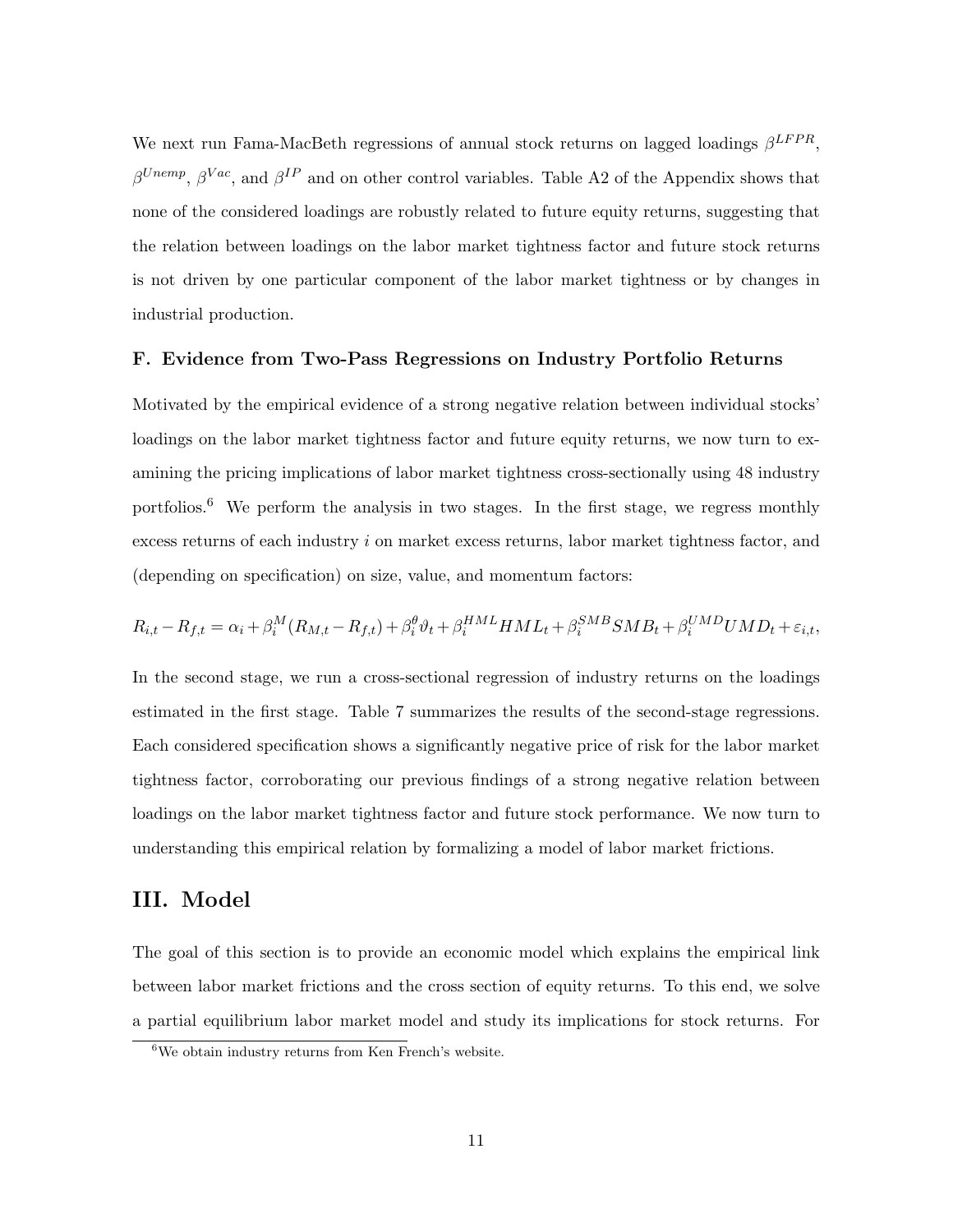We next run Fama-MacBeth regressions of annual stock returns on lagged loadings  $\beta^{LFPR}$ ,  $\beta^{Unemp}$ ,  $\beta^{Vac}$ , and  $\beta^{IP}$  and on other control variables. Table A2 of the Appendix shows that none of the considered loadings are robustly related to future equity returns, suggesting that the relation between loadings on the labor market tightness factor and future stock returns is not driven by one particular component of the labor market tightness or by changes in industrial production.

#### F. Evidence from Two-Pass Regressions on Industry Portfolio Returns

Motivated by the empirical evidence of a strong negative relation between individual stocks' loadings on the labor market tightness factor and future equity returns, we now turn to examining the pricing implications of labor market tightness cross-sectionally using 48 industry portfolios.<sup>6</sup> We perform the analysis in two stages. In the first stage, we regress monthly excess returns of each industry i on market excess returns, labor market tightness factor, and (depending on specification) on size, value, and momentum factors:

$$
R_{i,t} - R_{f,t} = \alpha_i + \beta_i^M (R_{M,t} - R_{f,t}) + \beta_i^{\theta} \vartheta_t + \beta_i^{HML} HML_t + \beta_i^{SMB} SMB_t + \beta_i^{UMD} UMD_t + \varepsilon_{i,t},
$$

In the second stage, we run a cross-sectional regression of industry returns on the loadings estimated in the first stage. Table 7 summarizes the results of the second-stage regressions. Each considered specification shows a significantly negative price of risk for the labor market tightness factor, corroborating our previous findings of a strong negative relation between loadings on the labor market tightness factor and future stock performance. We now turn to understanding this empirical relation by formalizing a model of labor market frictions.

## III. Model

The goal of this section is to provide an economic model which explains the empirical link between labor market frictions and the cross section of equity returns. To this end, we solve a partial equilibrium labor market model and study its implications for stock returns. For

 $6$ We obtain industry returns from Ken French's website.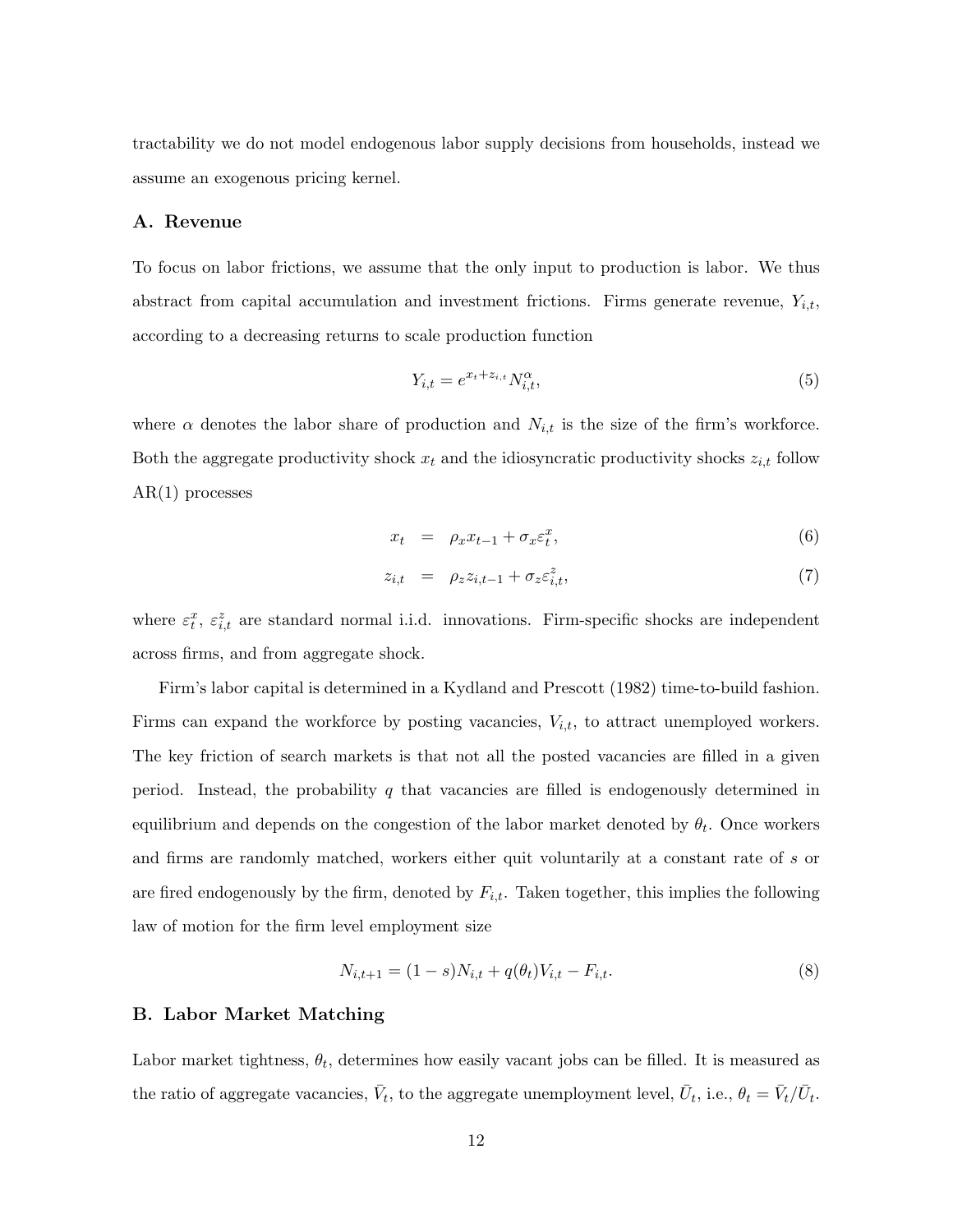tractability we do not model endogenous labor supply decisions from households, instead we assume an exogenous pricing kernel.

#### A. Revenue

To focus on labor frictions, we assume that the only input to production is labor. We thus abstract from capital accumulation and investment frictions. Firms generate revenue,  $Y_{i,t}$ , according to a decreasing returns to scale production function

$$
Y_{i,t} = e^{x_t + z_{i,t}} N_{i,t}^{\alpha},\tag{5}
$$

where  $\alpha$  denotes the labor share of production and  $N_{i,t}$  is the size of the firm's workforce. Both the aggregate productivity shock  $x_t$  and the idiosyncratic productivity shocks  $z_{i,t}$  follow AR(1) processes

$$
x_t = \rho_x x_{t-1} + \sigma_x \varepsilon_t^x, \tag{6}
$$

$$
z_{i,t} = \rho_z z_{i,t-1} + \sigma_z \varepsilon_{i,t}^z,\tag{7}
$$

where  $\varepsilon_t^x$ ,  $\varepsilon_{i,t}^z$  are standard normal i.i.d. innovations. Firm-specific shocks are independent across firms, and from aggregate shock.

Firm's labor capital is determined in a Kydland and Prescott (1982) time-to-build fashion. Firms can expand the workforce by posting vacancies,  $V_{i,t}$ , to attract unemployed workers. The key friction of search markets is that not all the posted vacancies are filled in a given period. Instead, the probability q that vacancies are filled is endogenously determined in equilibrium and depends on the congestion of the labor market denoted by  $\theta_t$ . Once workers and firms are randomly matched, workers either quit voluntarily at a constant rate of s or are fired endogenously by the firm, denoted by  $F_{i,t}$ . Taken together, this implies the following law of motion for the firm level employment size

$$
N_{i,t+1} = (1 - s)N_{i,t} + q(\theta_t)V_{i,t} - F_{i,t}.
$$
\n(8)

#### B. Labor Market Matching

Labor market tightness,  $\theta_t$ , determines how easily vacant jobs can be filled. It is measured as the ratio of aggregate vacancies,  $\bar{V}_t$ , to the aggregate unemployment level,  $\bar{U}_t$ , i.e.,  $\theta_t = \bar{V}_t / \bar{U}_t$ .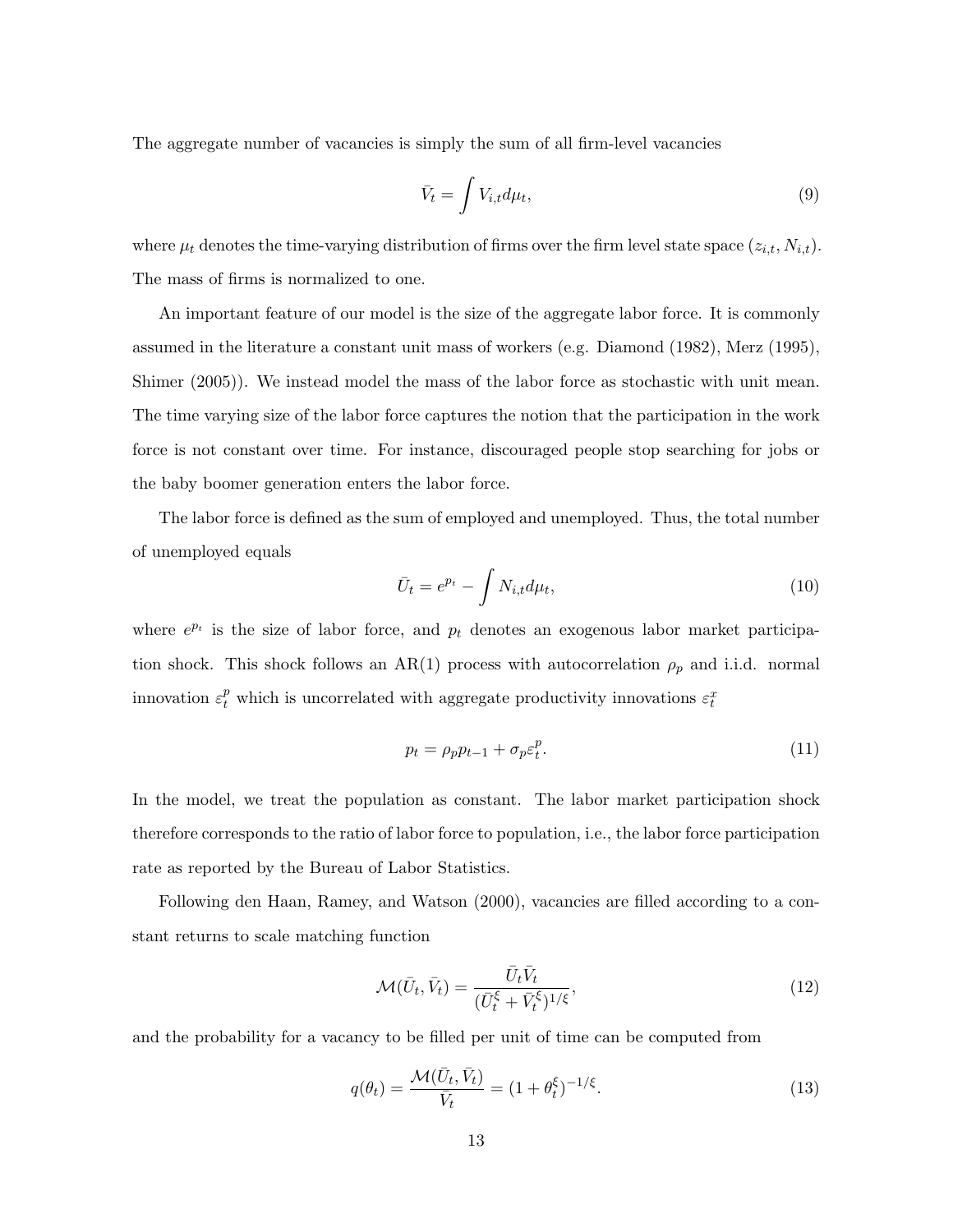The aggregate number of vacancies is simply the sum of all firm-level vacancies

$$
\bar{V}_t = \int V_{i,t} d\mu_t,\tag{9}
$$

where  $\mu_t$  denotes the time-varying distribution of firms over the firm level state space  $(z_{i,t}, N_{i,t})$ . The mass of firms is normalized to one.

An important feature of our model is the size of the aggregate labor force. It is commonly assumed in the literature a constant unit mass of workers (e.g. Diamond (1982), Merz (1995), Shimer (2005)). We instead model the mass of the labor force as stochastic with unit mean. The time varying size of the labor force captures the notion that the participation in the work force is not constant over time. For instance, discouraged people stop searching for jobs or the baby boomer generation enters the labor force.

The labor force is defined as the sum of employed and unemployed. Thus, the total number of unemployed equals

$$
\bar{U}_t = e^{p_t} - \int N_{i,t} d\mu_t,\tag{10}
$$

where  $e^{p_t}$  is the size of labor force, and  $p_t$  denotes an exogenous labor market participation shock. This shock follows an AR(1) process with autocorrelation  $\rho_p$  and i.i.d. normal innovation  $\varepsilon_t^p$  which is uncorrelated with aggregate productivity innovations  $\varepsilon_t^x$ 

$$
p_t = \rho_p p_{t-1} + \sigma_p \varepsilon_t^p. \tag{11}
$$

In the model, we treat the population as constant. The labor market participation shock therefore corresponds to the ratio of labor force to population, i.e., the labor force participation rate as reported by the Bureau of Labor Statistics.

Following den Haan, Ramey, and Watson (2000), vacancies are filled according to a constant returns to scale matching function

$$
\mathcal{M}(\bar{U}_t, \bar{V}_t) = \frac{\bar{U}_t \bar{V}_t}{(\bar{U}_t^{\xi} + \bar{V}_t^{\xi})^{1/\xi}},\tag{12}
$$

and the probability for a vacancy to be filled per unit of time can be computed from

$$
q(\theta_t) = \frac{\mathcal{M}(\bar{U}_t, \bar{V}_t)}{\bar{V}_t} = (1 + \theta_t^{\xi})^{-1/\xi}.
$$
\n(13)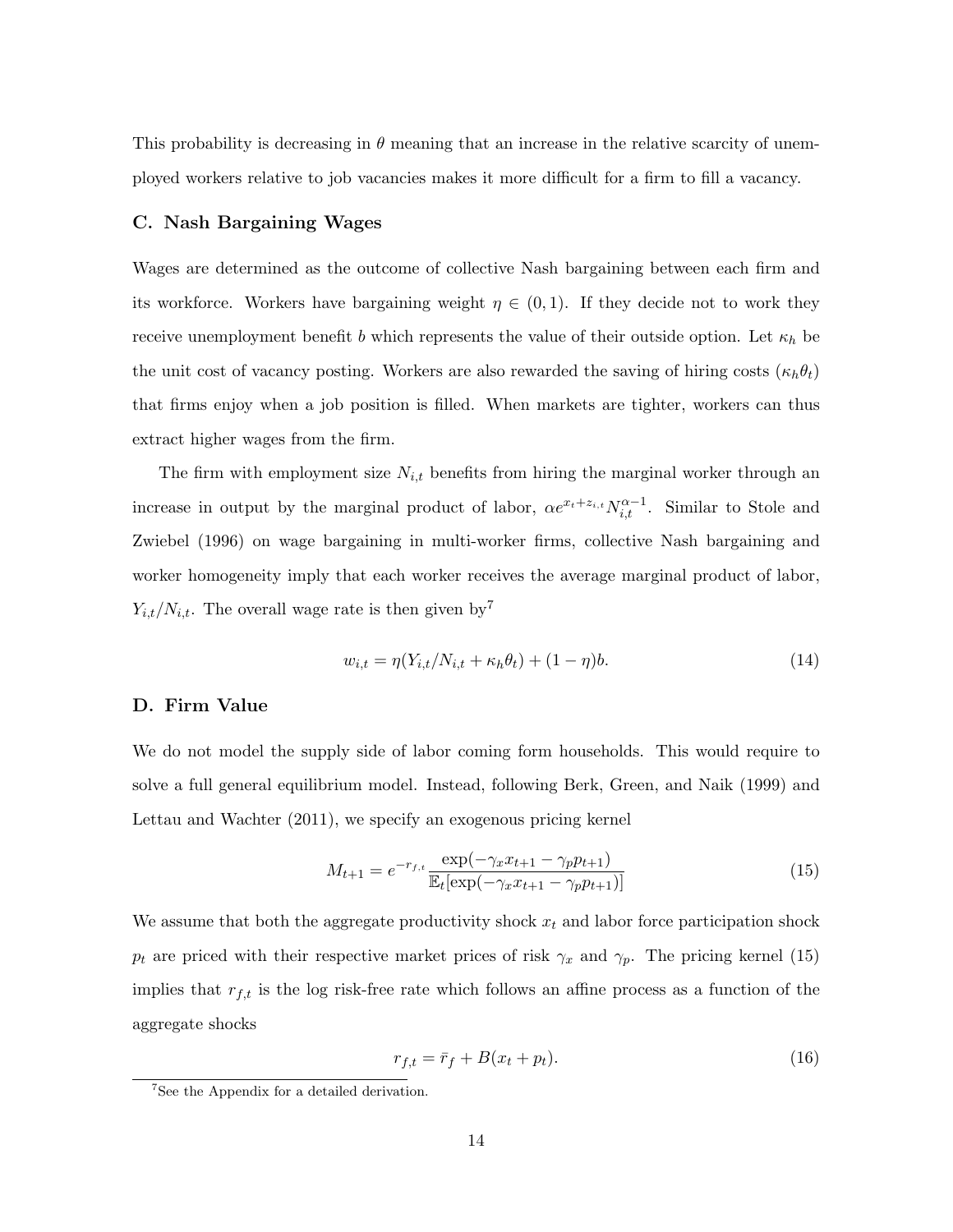This probability is decreasing in  $\theta$  meaning that an increase in the relative scarcity of unemployed workers relative to job vacancies makes it more difficult for a firm to fill a vacancy.

#### C. Nash Bargaining Wages

Wages are determined as the outcome of collective Nash bargaining between each firm and its workforce. Workers have bargaining weight  $\eta \in (0,1)$ . If they decide not to work they receive unemployment benefit b which represents the value of their outside option. Let  $\kappa_h$  be the unit cost of vacancy posting. Workers are also rewarded the saving of hiring costs  $(\kappa_h \theta_t)$ that firms enjoy when a job position is filled. When markets are tighter, workers can thus extract higher wages from the firm.

The firm with employment size  $N_{i,t}$  benefits from hiring the marginal worker through an increase in output by the marginal product of labor,  $\alpha e^{x_t+z_{i,t}} N_{i,t}^{\alpha-1}$ . Similar to Stole and Zwiebel (1996) on wage bargaining in multi-worker firms, collective Nash bargaining and worker homogeneity imply that each worker receives the average marginal product of labor,  $Y_{i,t}/N_{i,t}$ . The overall wage rate is then given by<sup>7</sup>

$$
w_{i,t} = \eta(Y_{i,t}/N_{i,t} + \kappa_h \theta_t) + (1 - \eta)b. \tag{14}
$$

#### D. Firm Value

We do not model the supply side of labor coming form households. This would require to solve a full general equilibrium model. Instead, following Berk, Green, and Naik (1999) and Lettau and Wachter (2011), we specify an exogenous pricing kernel

$$
M_{t+1} = e^{-r_{f,t}} \frac{\exp(-\gamma_x x_{t+1} - \gamma_p p_{t+1})}{\mathbb{E}_t[\exp(-\gamma_x x_{t+1} - \gamma_p p_{t+1})]}
$$
(15)

We assume that both the aggregate productivity shock  $x_t$  and labor force participation shock  $p_t$  are priced with their respective market prices of risk  $\gamma_x$  and  $\gamma_p$ . The pricing kernel (15) implies that  $r_{f,t}$  is the log risk-free rate which follows an affine process as a function of the aggregate shocks

$$
r_{f,t} = \bar{r}_f + B(x_t + p_t). \tag{16}
$$

<sup>7</sup>See the Appendix for a detailed derivation.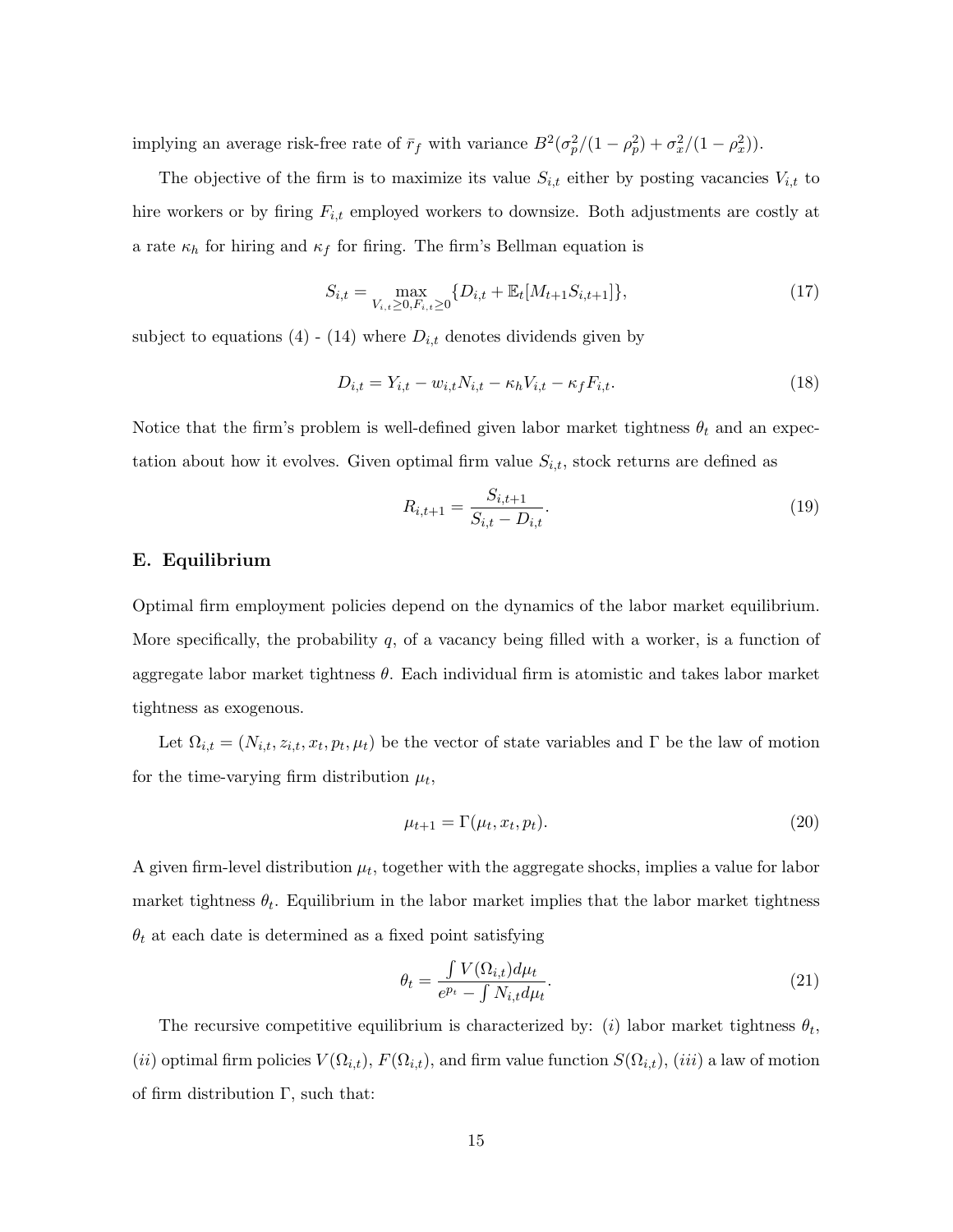implying an average risk-free rate of  $\bar{r}_f$  with variance  $B^2(\sigma_p^2/(1-\rho_p^2)+\sigma_x^2/(1-\rho_x^2)).$ 

The objective of the firm is to maximize its value  $S_{i,t}$  either by posting vacancies  $V_{i,t}$  to hire workers or by firing  $F_{i,t}$  employed workers to downsize. Both adjustments are costly at a rate  $\kappa_h$  for hiring and  $\kappa_f$  for firing. The firm's Bellman equation is

$$
S_{i,t} = \max_{V_{i,t} \ge 0, F_{i,t} \ge 0} \{ D_{i,t} + \mathbb{E}_t[M_{t+1}S_{i,t+1}]\},\tag{17}
$$

subject to equations (4) - (14) where  $D_{i,t}$  denotes dividends given by

$$
D_{i,t} = Y_{i,t} - w_{i,t} N_{i,t} - \kappa_h V_{i,t} - \kappa_f F_{i,t}.
$$
\n
$$
(18)
$$

Notice that the firm's problem is well-defined given labor market tightness  $\theta_t$  and an expectation about how it evolves. Given optimal firm value  $S_{i,t}$ , stock returns are defined as

$$
R_{i,t+1} = \frac{S_{i,t+1}}{S_{i,t} - D_{i,t}}.\tag{19}
$$

#### E. Equilibrium

Optimal firm employment policies depend on the dynamics of the labor market equilibrium. More specifically, the probability  $q$ , of a vacancy being filled with a worker, is a function of aggregate labor market tightness  $\theta$ . Each individual firm is atomistic and takes labor market tightness as exogenous.

Let  $\Omega_{i,t} = (N_{i,t}, z_{i,t}, x_t, p_t, \mu_t)$  be the vector of state variables and  $\Gamma$  be the law of motion for the time-varying firm distribution  $\mu_t$ ,

$$
\mu_{t+1} = \Gamma(\mu_t, x_t, p_t). \tag{20}
$$

A given firm-level distribution  $\mu_t$ , together with the aggregate shocks, implies a value for labor market tightness  $\theta_t$ . Equilibrium in the labor market implies that the labor market tightness  $\theta_t$  at each date is determined as a fixed point satisfying

$$
\theta_t = \frac{\int V(\Omega_{i,t}) d\mu_t}{e^{p_t} - \int N_{i,t} d\mu_t}.
$$
\n(21)

The recursive competitive equilibrium is characterized by: (i) labor market tightness  $\theta_t$ , (ii) optimal firm policies  $V(\Omega_{i,t}), F(\Omega_{i,t}),$  and firm value function  $S(\Omega_{i,t}),$  (iii) a law of motion of firm distribution  $\Gamma$ , such that: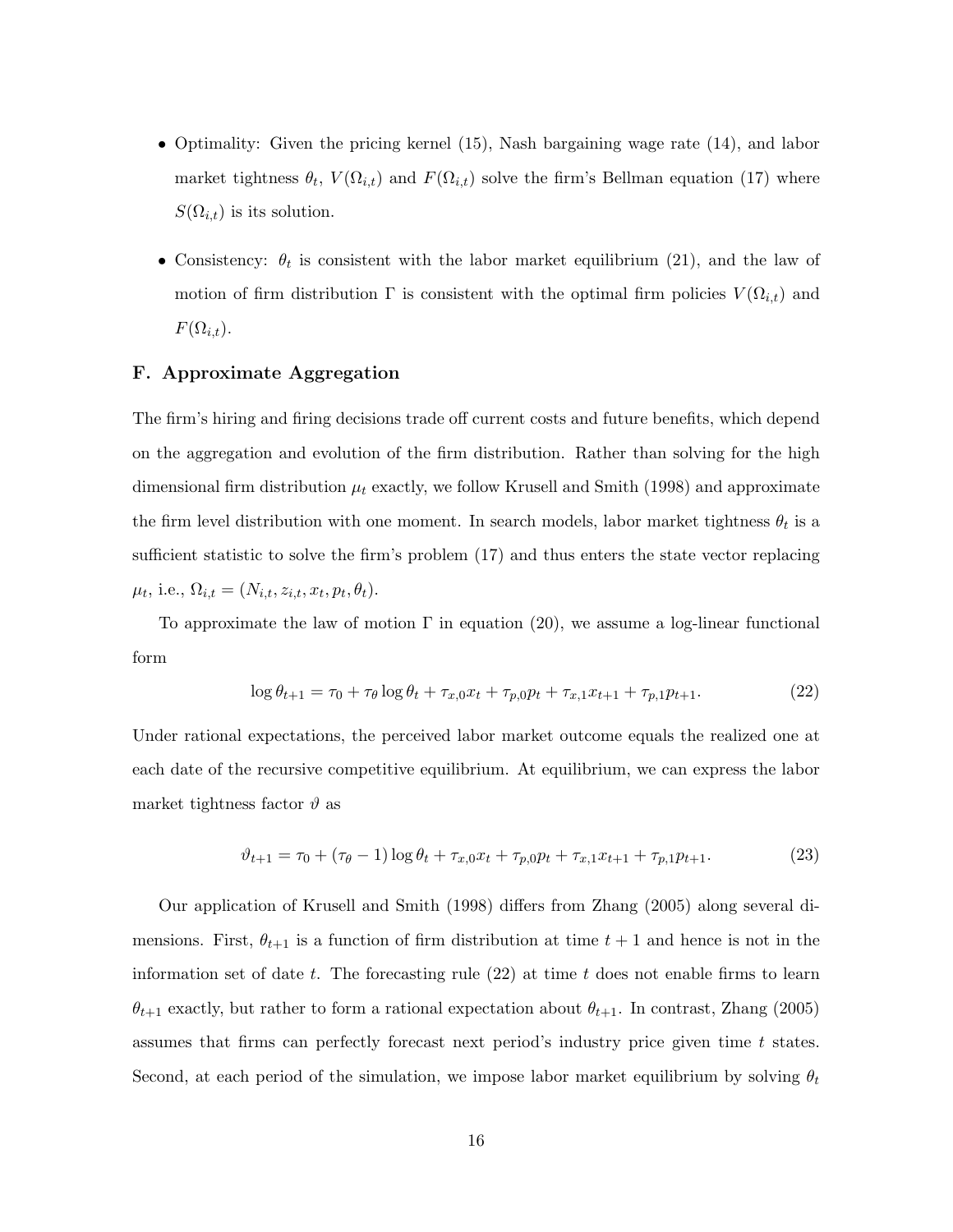- Optimality: Given the pricing kernel (15), Nash bargaining wage rate (14), and labor market tightness  $\theta_t$ ,  $V(\Omega_{i,t})$  and  $F(\Omega_{i,t})$  solve the firm's Bellman equation (17) where  $S(\Omega_{i,t})$  is its solution.
- Consistency:  $\theta_t$  is consistent with the labor market equilibrium (21), and the law of motion of firm distribution  $\Gamma$  is consistent with the optimal firm policies  $V(\Omega_{i,t})$  and  $F(\Omega_{i,t}).$

#### F. Approximate Aggregation

The firm's hiring and firing decisions trade off current costs and future benefits, which depend on the aggregation and evolution of the firm distribution. Rather than solving for the high dimensional firm distribution  $\mu_t$  exactly, we follow Krusell and Smith (1998) and approximate the firm level distribution with one moment. In search models, labor market tightness  $\theta_t$  is a sufficient statistic to solve the firm's problem (17) and thus enters the state vector replacing  $\mu_t$ , i.e.,  $\Omega_{i,t} = (N_{i,t}, z_{i,t}, x_t, p_t, \theta_t).$ 

To approximate the law of motion  $\Gamma$  in equation (20), we assume a log-linear functional form

$$
\log \theta_{t+1} = \tau_0 + \tau_\theta \log \theta_t + \tau_{x,0} x_t + \tau_{p,0} p_t + \tau_{x,1} x_{t+1} + \tau_{p,1} p_{t+1}.
$$
 (22)

Under rational expectations, the perceived labor market outcome equals the realized one at each date of the recursive competitive equilibrium. At equilibrium, we can express the labor market tightness factor  $\vartheta$  as

$$
\vartheta_{t+1} = \tau_0 + (\tau_\theta - 1) \log \theta_t + \tau_{x,0} x_t + \tau_{p,0} p_t + \tau_{x,1} x_{t+1} + \tau_{p,1} p_{t+1}.
$$
\n(23)

Our application of Krusell and Smith (1998) differs from Zhang (2005) along several dimensions. First,  $\theta_{t+1}$  is a function of firm distribution at time  $t+1$  and hence is not in the information set of date t. The forecasting rule  $(22)$  at time t does not enable firms to learn  $\theta_{t+1}$  exactly, but rather to form a rational expectation about  $\theta_{t+1}$ . In contrast, Zhang (2005) assumes that firms can perfectly forecast next period's industry price given time  $t$  states. Second, at each period of the simulation, we impose labor market equilibrium by solving  $\theta_t$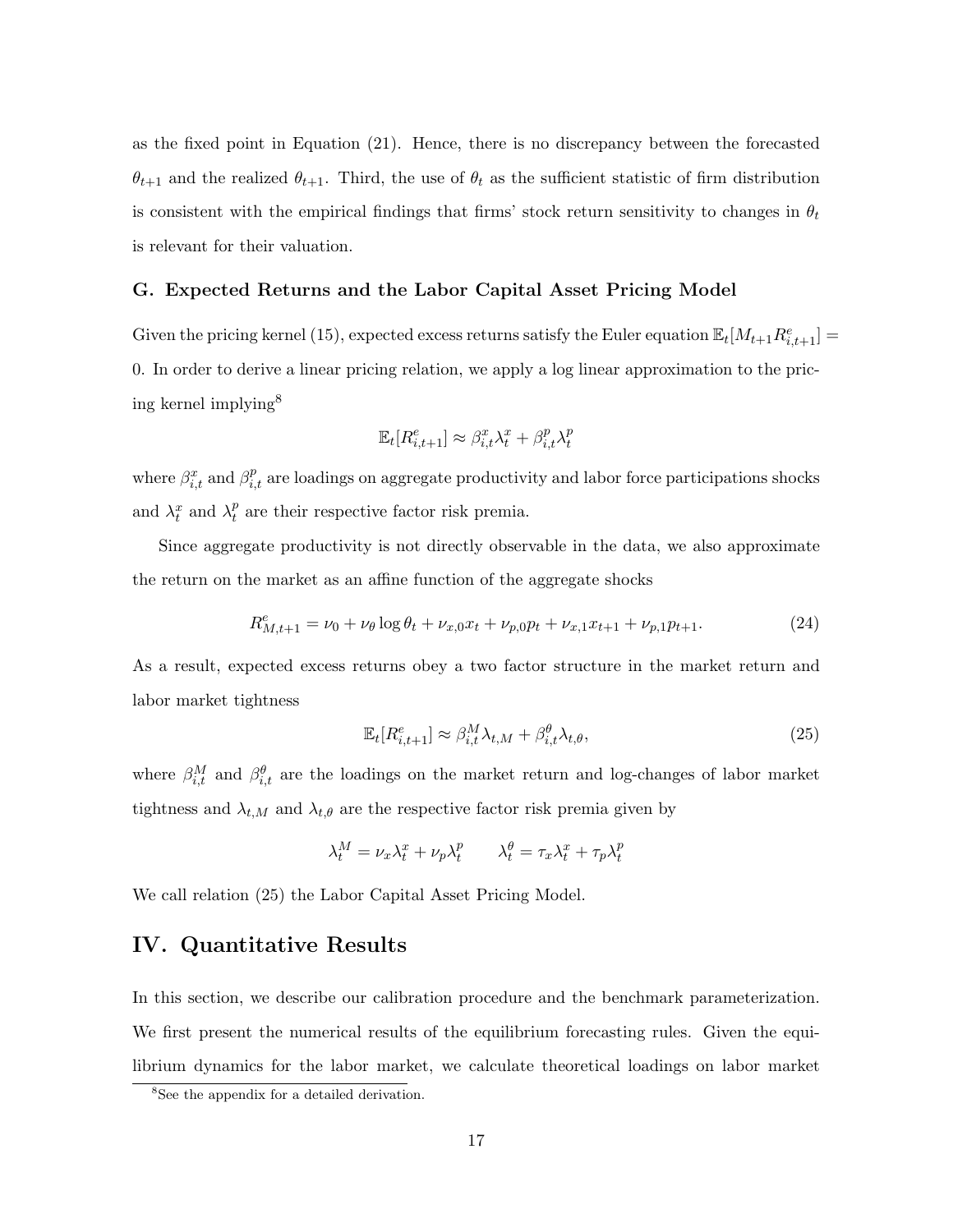as the fixed point in Equation (21). Hence, there is no discrepancy between the forecasted  $\theta_{t+1}$  and the realized  $\theta_{t+1}$ . Third, the use of  $\theta_t$  as the sufficient statistic of firm distribution is consistent with the empirical findings that firms' stock return sensitivity to changes in  $\theta_t$ is relevant for their valuation.

#### G. Expected Returns and the Labor Capital Asset Pricing Model

Given the pricing kernel (15), expected excess returns satisfy the Euler equation  $\mathbb{E}_{t}[M_{t+1}R_{i,t+1}^{e}] =$ 0. In order to derive a linear pricing relation, we apply a log linear approximation to the pricing kernel implying<sup>8</sup>

$$
\mathbb{E}_t[R_{i,t+1}^e] \approx \beta_{i,t}^x \lambda_t^x + \beta_{i,t}^p \lambda_t^p
$$

where  $\beta_{i,t}^x$  and  $\beta_{i,t}^p$  are loadings on aggregate productivity and labor force participations shocks and  $\lambda_t^x$  and  $\lambda_t^p$  $t<sup>p</sup>$  are their respective factor risk premia.

Since aggregate productivity is not directly observable in the data, we also approximate the return on the market as an affine function of the aggregate shocks

$$
R_{M,t+1}^e = \nu_0 + \nu_\theta \log \theta_t + \nu_{x,0} x_t + \nu_{p,0} p_t + \nu_{x,1} x_{t+1} + \nu_{p,1} p_{t+1}.
$$
\n(24)

As a result, expected excess returns obey a two factor structure in the market return and labor market tightness

$$
\mathbb{E}_t[R_{i,t+1}^e] \approx \beta_{i,t}^M \lambda_{t,M} + \beta_{i,t}^\theta \lambda_{t,\theta},\tag{25}
$$

where  $\beta_{i,t}^M$  and  $\beta_{i,t}^{\theta}$  are the loadings on the market return and log-changes of labor market tightness and  $\lambda_{t,M}$  and  $\lambda_{t,\theta}$  are the respective factor risk premia given by

$$
\lambda_t^M = \nu_x \lambda_t^x + \nu_p \lambda_t^p \qquad \lambda_t^{\theta} = \tau_x \lambda_t^x + \tau_p \lambda_t^p
$$

We call relation (25) the Labor Capital Asset Pricing Model.

## IV. Quantitative Results

In this section, we describe our calibration procedure and the benchmark parameterization. We first present the numerical results of the equilibrium forecasting rules. Given the equilibrium dynamics for the labor market, we calculate theoretical loadings on labor market

<sup>&</sup>lt;sup>8</sup>See the appendix for a detailed derivation.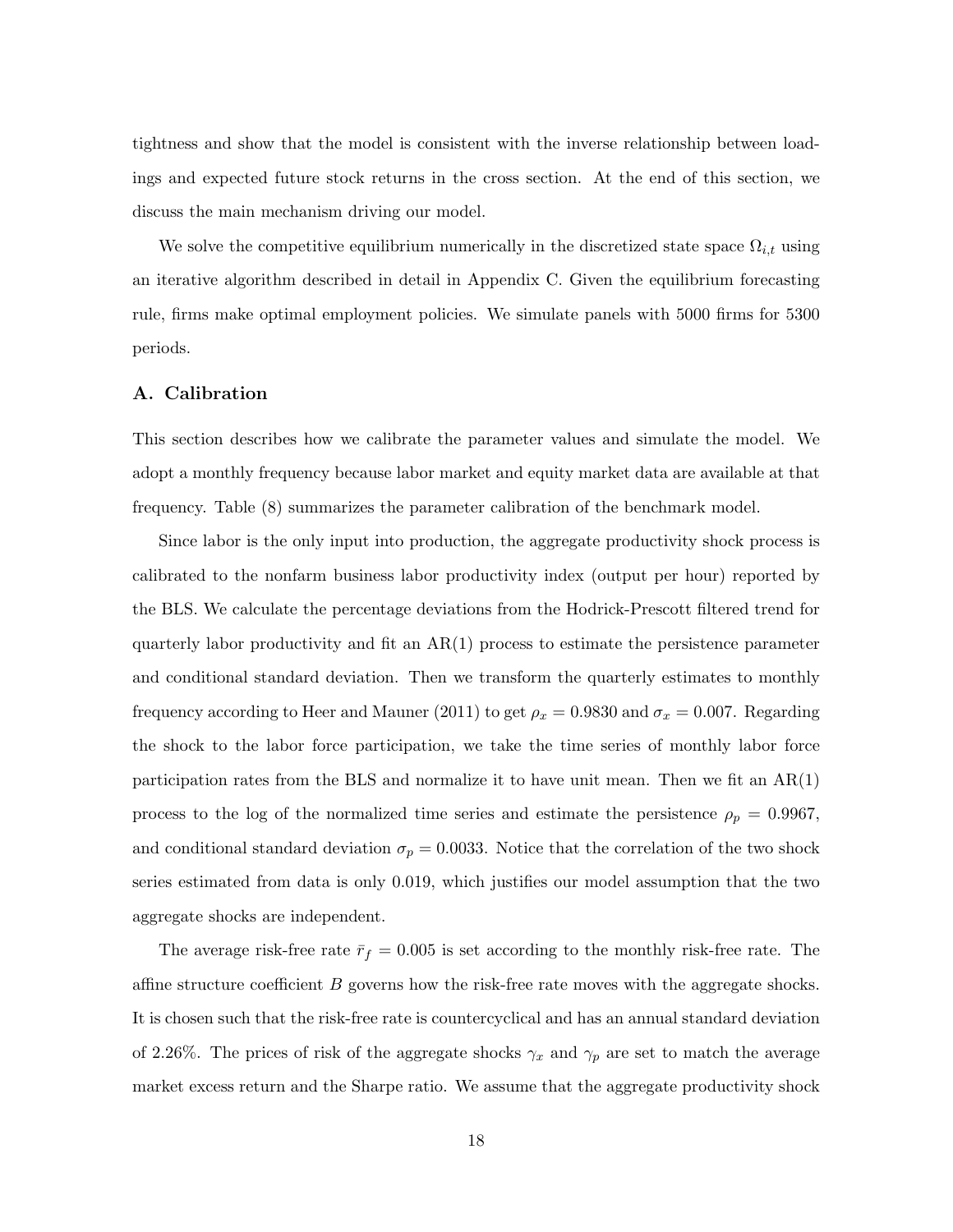tightness and show that the model is consistent with the inverse relationship between loadings and expected future stock returns in the cross section. At the end of this section, we discuss the main mechanism driving our model.

We solve the competitive equilibrium numerically in the discretized state space  $\Omega_{i,t}$  using an iterative algorithm described in detail in Appendix C. Given the equilibrium forecasting rule, firms make optimal employment policies. We simulate panels with 5000 firms for 5300 periods.

#### A. Calibration

This section describes how we calibrate the parameter values and simulate the model. We adopt a monthly frequency because labor market and equity market data are available at that frequency. Table (8) summarizes the parameter calibration of the benchmark model.

Since labor is the only input into production, the aggregate productivity shock process is calibrated to the nonfarm business labor productivity index (output per hour) reported by the BLS. We calculate the percentage deviations from the Hodrick-Prescott filtered trend for quarterly labor productivity and fit an  $AR(1)$  process to estimate the persistence parameter and conditional standard deviation. Then we transform the quarterly estimates to monthly frequency according to Heer and Mauner (2011) to get  $\rho_x = 0.9830$  and  $\sigma_x = 0.007$ . Regarding the shock to the labor force participation, we take the time series of monthly labor force participation rates from the BLS and normalize it to have unit mean. Then we fit an  $AR(1)$ process to the log of the normalized time series and estimate the persistence  $\rho_p = 0.9967$ , and conditional standard deviation  $\sigma_p = 0.0033$ . Notice that the correlation of the two shock series estimated from data is only 0.019, which justifies our model assumption that the two aggregate shocks are independent.

The average risk-free rate  $\bar{r}_f = 0.005$  is set according to the monthly risk-free rate. The affine structure coefficient B governs how the risk-free rate moves with the aggregate shocks. It is chosen such that the risk-free rate is countercyclical and has an annual standard deviation of 2.26%. The prices of risk of the aggregate shocks  $\gamma_x$  and  $\gamma_p$  are set to match the average market excess return and the Sharpe ratio. We assume that the aggregate productivity shock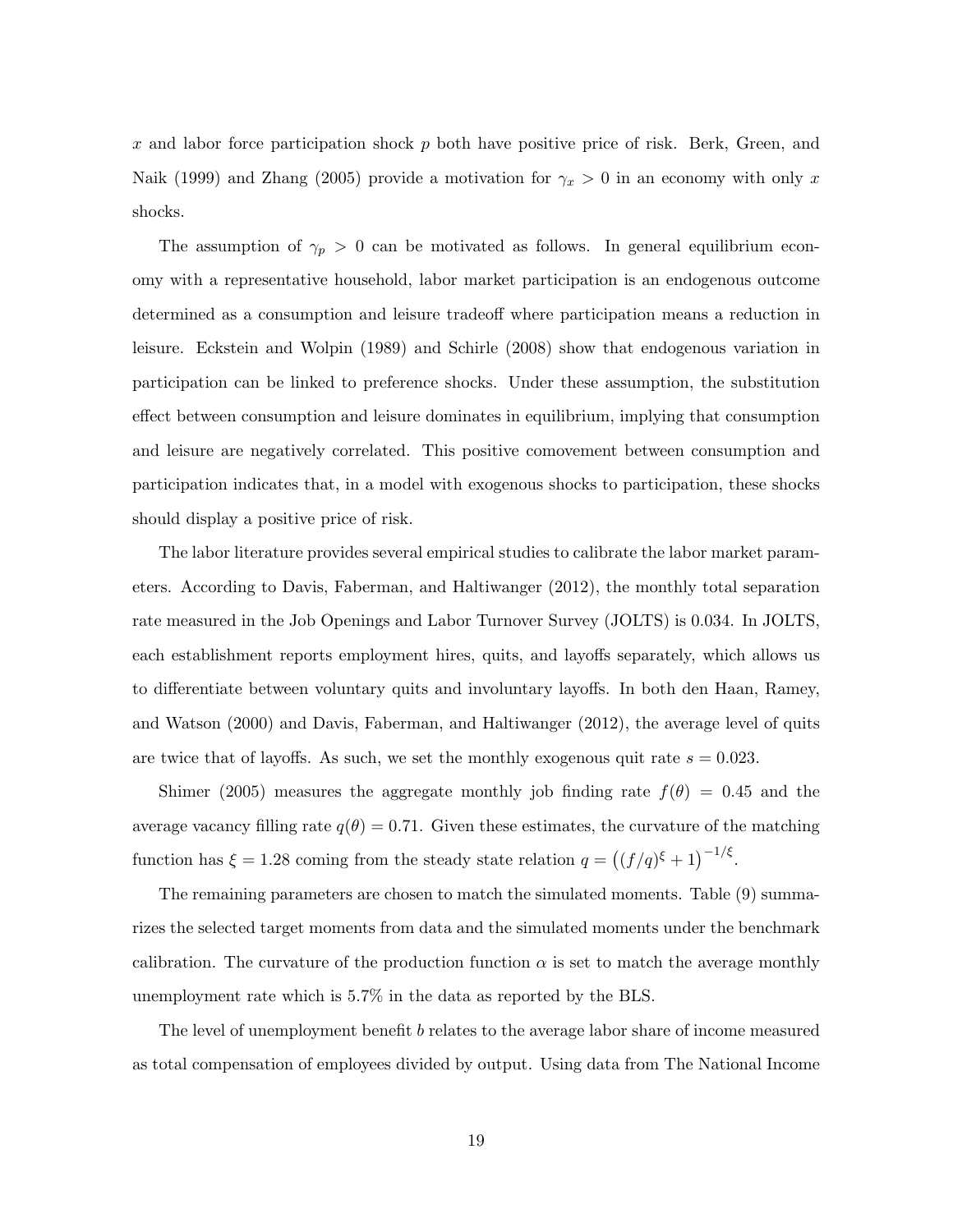x and labor force participation shock  $p$  both have positive price of risk. Berk, Green, and Naik (1999) and Zhang (2005) provide a motivation for  $\gamma_x > 0$  in an economy with only x shocks.

The assumption of  $\gamma_p > 0$  can be motivated as follows. In general equilibrium economy with a representative household, labor market participation is an endogenous outcome determined as a consumption and leisure tradeoff where participation means a reduction in leisure. Eckstein and Wolpin (1989) and Schirle (2008) show that endogenous variation in participation can be linked to preference shocks. Under these assumption, the substitution effect between consumption and leisure dominates in equilibrium, implying that consumption and leisure are negatively correlated. This positive comovement between consumption and participation indicates that, in a model with exogenous shocks to participation, these shocks should display a positive price of risk.

The labor literature provides several empirical studies to calibrate the labor market parameters. According to Davis, Faberman, and Haltiwanger (2012), the monthly total separation rate measured in the Job Openings and Labor Turnover Survey (JOLTS) is 0.034. In JOLTS, each establishment reports employment hires, quits, and layoffs separately, which allows us to differentiate between voluntary quits and involuntary layoffs. In both den Haan, Ramey, and Watson (2000) and Davis, Faberman, and Haltiwanger (2012), the average level of quits are twice that of layoffs. As such, we set the monthly exogenous quit rate  $s = 0.023$ .

Shimer (2005) measures the aggregate monthly job finding rate  $f(\theta) = 0.45$  and the average vacancy filling rate  $q(\theta) = 0.71$ . Given these estimates, the curvature of the matching function has  $\xi = 1.28$  coming from the steady state relation  $q = ((f/q)^{\xi} + 1)^{-1/\xi}$ .

The remaining parameters are chosen to match the simulated moments. Table (9) summarizes the selected target moments from data and the simulated moments under the benchmark calibration. The curvature of the production function  $\alpha$  is set to match the average monthly unemployment rate which is 5.7% in the data as reported by the BLS.

The level of unemployment benefit b relates to the average labor share of income measured as total compensation of employees divided by output. Using data from The National Income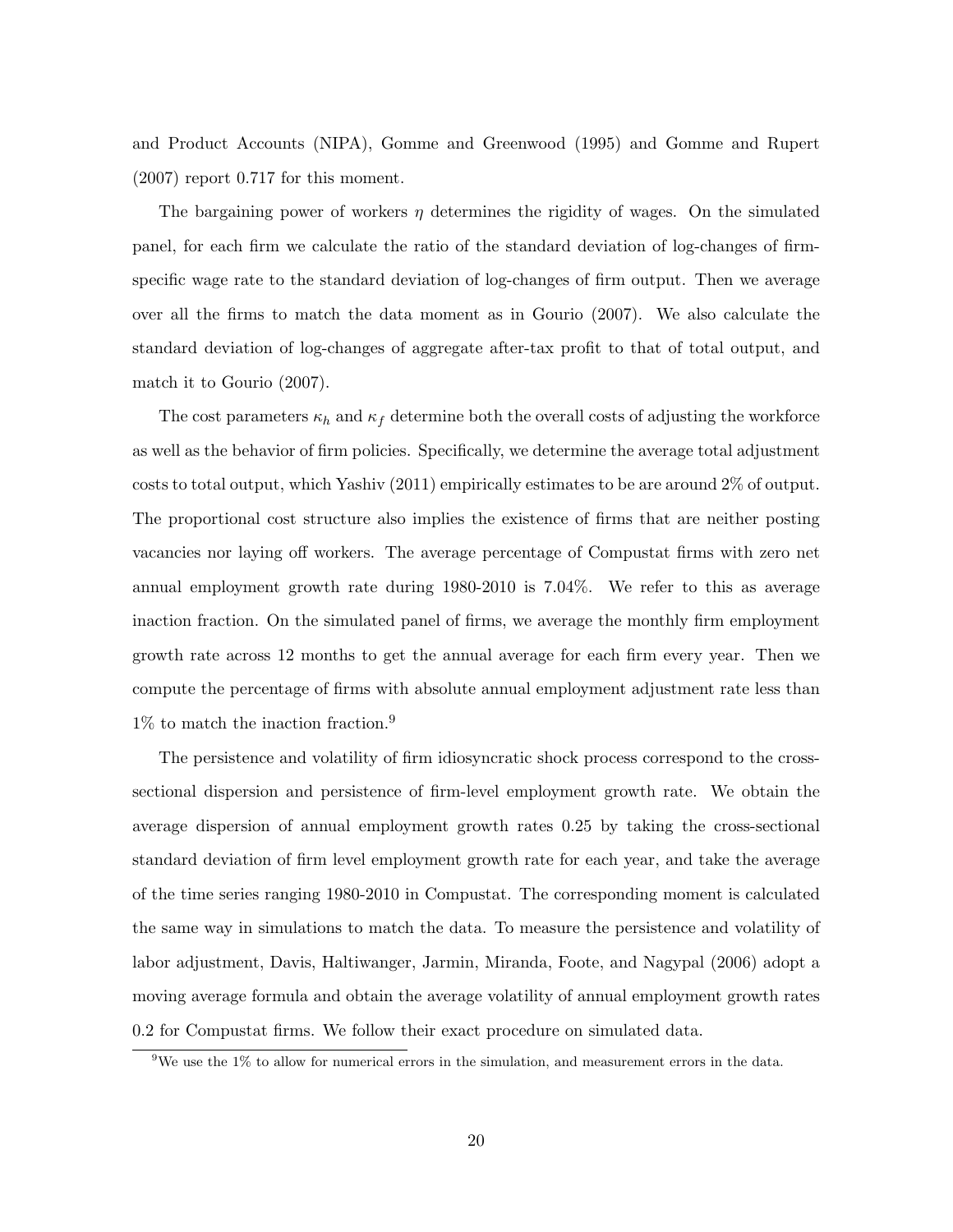and Product Accounts (NIPA), Gomme and Greenwood (1995) and Gomme and Rupert (2007) report 0.717 for this moment.

The bargaining power of workers  $\eta$  determines the rigidity of wages. On the simulated panel, for each firm we calculate the ratio of the standard deviation of log-changes of firmspecific wage rate to the standard deviation of log-changes of firm output. Then we average over all the firms to match the data moment as in Gourio (2007). We also calculate the standard deviation of log-changes of aggregate after-tax profit to that of total output, and match it to Gourio (2007).

The cost parameters  $\kappa_h$  and  $\kappa_f$  determine both the overall costs of adjusting the workforce as well as the behavior of firm policies. Specifically, we determine the average total adjustment costs to total output, which Yashiv (2011) empirically estimates to be are around 2% of output. The proportional cost structure also implies the existence of firms that are neither posting vacancies nor laying off workers. The average percentage of Compustat firms with zero net annual employment growth rate during 1980-2010 is 7.04%. We refer to this as average inaction fraction. On the simulated panel of firms, we average the monthly firm employment growth rate across 12 months to get the annual average for each firm every year. Then we compute the percentage of firms with absolute annual employment adjustment rate less than 1% to match the inaction fraction.<sup>9</sup>

The persistence and volatility of firm idiosyncratic shock process correspond to the crosssectional dispersion and persistence of firm-level employment growth rate. We obtain the average dispersion of annual employment growth rates 0.25 by taking the cross-sectional standard deviation of firm level employment growth rate for each year, and take the average of the time series ranging 1980-2010 in Compustat. The corresponding moment is calculated the same way in simulations to match the data. To measure the persistence and volatility of labor adjustment, Davis, Haltiwanger, Jarmin, Miranda, Foote, and Nagypal (2006) adopt a moving average formula and obtain the average volatility of annual employment growth rates 0.2 for Compustat firms. We follow their exact procedure on simulated data.

<sup>&</sup>lt;sup>9</sup>We use the 1% to allow for numerical errors in the simulation, and measurement errors in the data.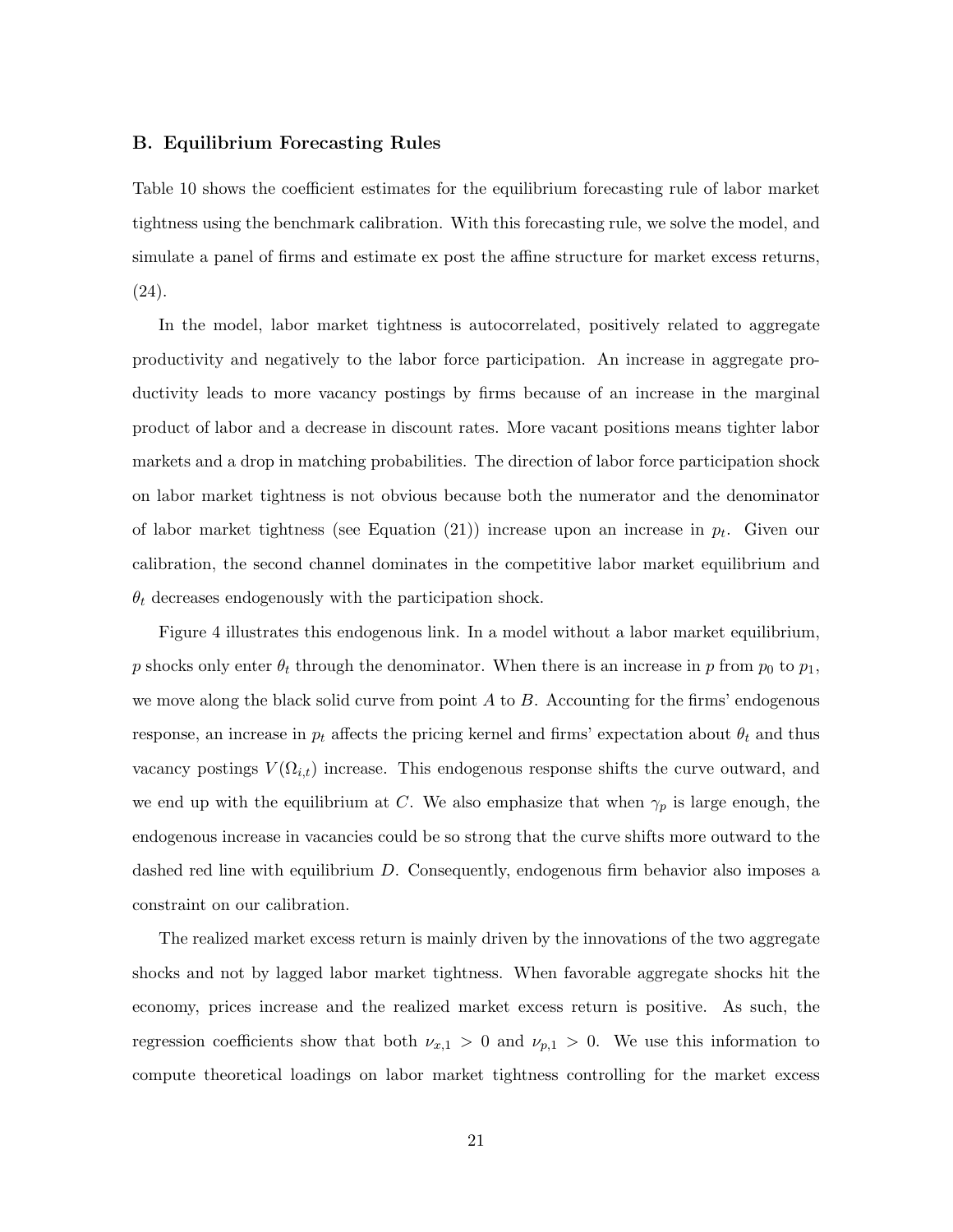#### B. Equilibrium Forecasting Rules

Table 10 shows the coefficient estimates for the equilibrium forecasting rule of labor market tightness using the benchmark calibration. With this forecasting rule, we solve the model, and simulate a panel of firms and estimate ex post the affine structure for market excess returns, (24).

In the model, labor market tightness is autocorrelated, positively related to aggregate productivity and negatively to the labor force participation. An increase in aggregate productivity leads to more vacancy postings by firms because of an increase in the marginal product of labor and a decrease in discount rates. More vacant positions means tighter labor markets and a drop in matching probabilities. The direction of labor force participation shock on labor market tightness is not obvious because both the numerator and the denominator of labor market tightness (see Equation  $(21)$ ) increase upon an increase in  $p_t$ . Given our calibration, the second channel dominates in the competitive labor market equilibrium and  $\theta_t$  decreases endogenously with the participation shock.

Figure 4 illustrates this endogenous link. In a model without a labor market equilibrium, p shocks only enter  $\theta_t$  through the denominator. When there is an increase in p from  $p_0$  to  $p_1$ , we move along the black solid curve from point  $A$  to  $B$ . Accounting for the firms' endogenous response, an increase in  $p_t$  affects the pricing kernel and firms' expectation about  $\theta_t$  and thus vacancy postings  $V(\Omega_{i,t})$  increase. This endogenous response shifts the curve outward, and we end up with the equilibrium at C. We also emphasize that when  $\gamma_p$  is large enough, the endogenous increase in vacancies could be so strong that the curve shifts more outward to the dashed red line with equilibrium D. Consequently, endogenous firm behavior also imposes a constraint on our calibration.

The realized market excess return is mainly driven by the innovations of the two aggregate shocks and not by lagged labor market tightness. When favorable aggregate shocks hit the economy, prices increase and the realized market excess return is positive. As such, the regression coefficients show that both  $\nu_{x,1} > 0$  and  $\nu_{p,1} > 0$ . We use this information to compute theoretical loadings on labor market tightness controlling for the market excess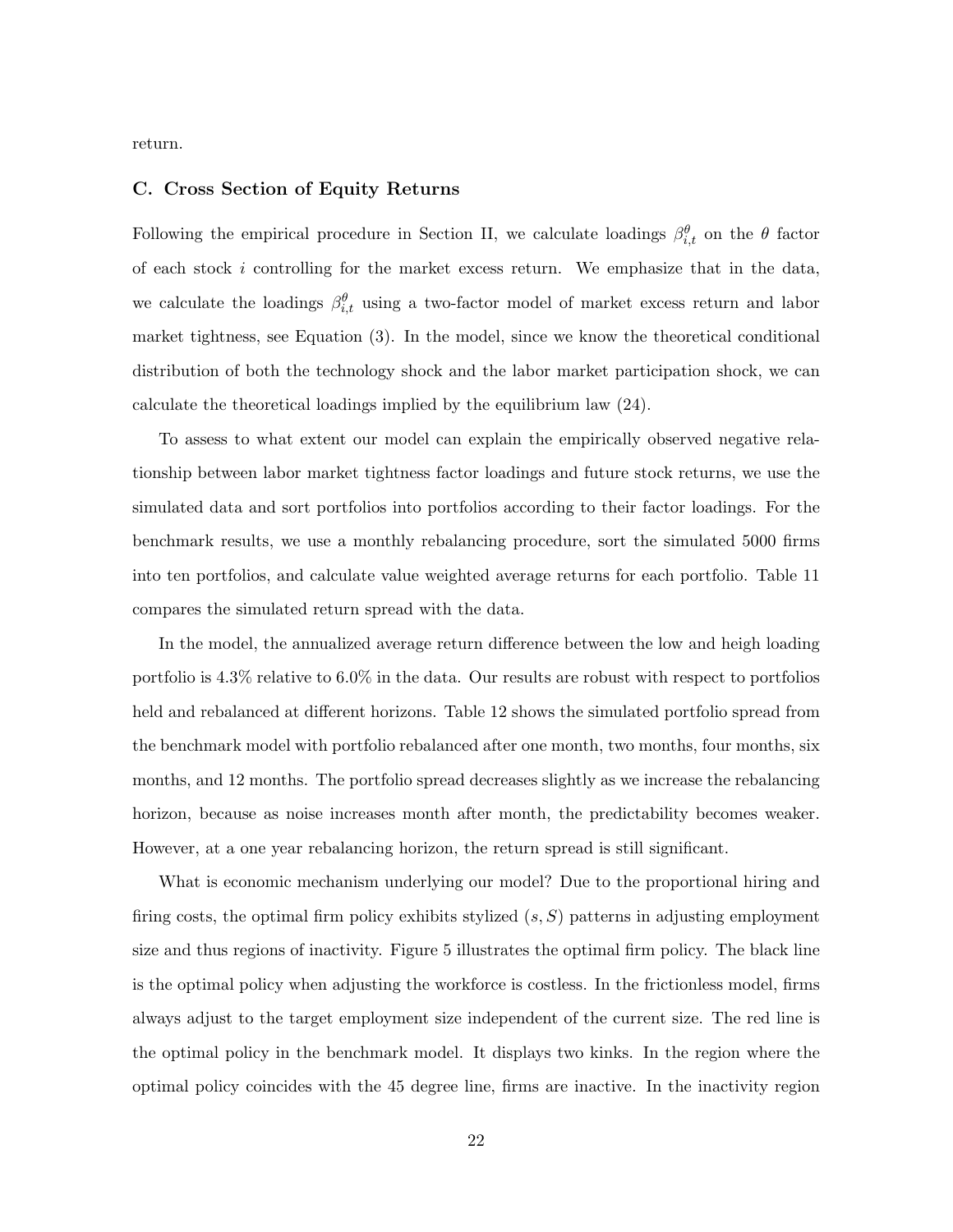return.

#### C. Cross Section of Equity Returns

Following the empirical procedure in Section II, we calculate loadings  $\beta_{i,t}^{\theta}$  on the  $\theta$  factor of each stock i controlling for the market excess return. We emphasize that in the data, we calculate the loadings  $\beta_{i,t}^{\theta}$  using a two-factor model of market excess return and labor market tightness, see Equation (3). In the model, since we know the theoretical conditional distribution of both the technology shock and the labor market participation shock, we can calculate the theoretical loadings implied by the equilibrium law (24).

To assess to what extent our model can explain the empirically observed negative relationship between labor market tightness factor loadings and future stock returns, we use the simulated data and sort portfolios into portfolios according to their factor loadings. For the benchmark results, we use a monthly rebalancing procedure, sort the simulated 5000 firms into ten portfolios, and calculate value weighted average returns for each portfolio. Table 11 compares the simulated return spread with the data.

In the model, the annualized average return difference between the low and heigh loading portfolio is 4.3% relative to 6.0% in the data. Our results are robust with respect to portfolios held and rebalanced at different horizons. Table 12 shows the simulated portfolio spread from the benchmark model with portfolio rebalanced after one month, two months, four months, six months, and 12 months. The portfolio spread decreases slightly as we increase the rebalancing horizon, because as noise increases month after month, the predictability becomes weaker. However, at a one year rebalancing horizon, the return spread is still significant.

What is economic mechanism underlying our model? Due to the proportional hiring and firing costs, the optimal firm policy exhibits stylized  $(s, S)$  patterns in adjusting employment size and thus regions of inactivity. Figure 5 illustrates the optimal firm policy. The black line is the optimal policy when adjusting the workforce is costless. In the frictionless model, firms always adjust to the target employment size independent of the current size. The red line is the optimal policy in the benchmark model. It displays two kinks. In the region where the optimal policy coincides with the 45 degree line, firms are inactive. In the inactivity region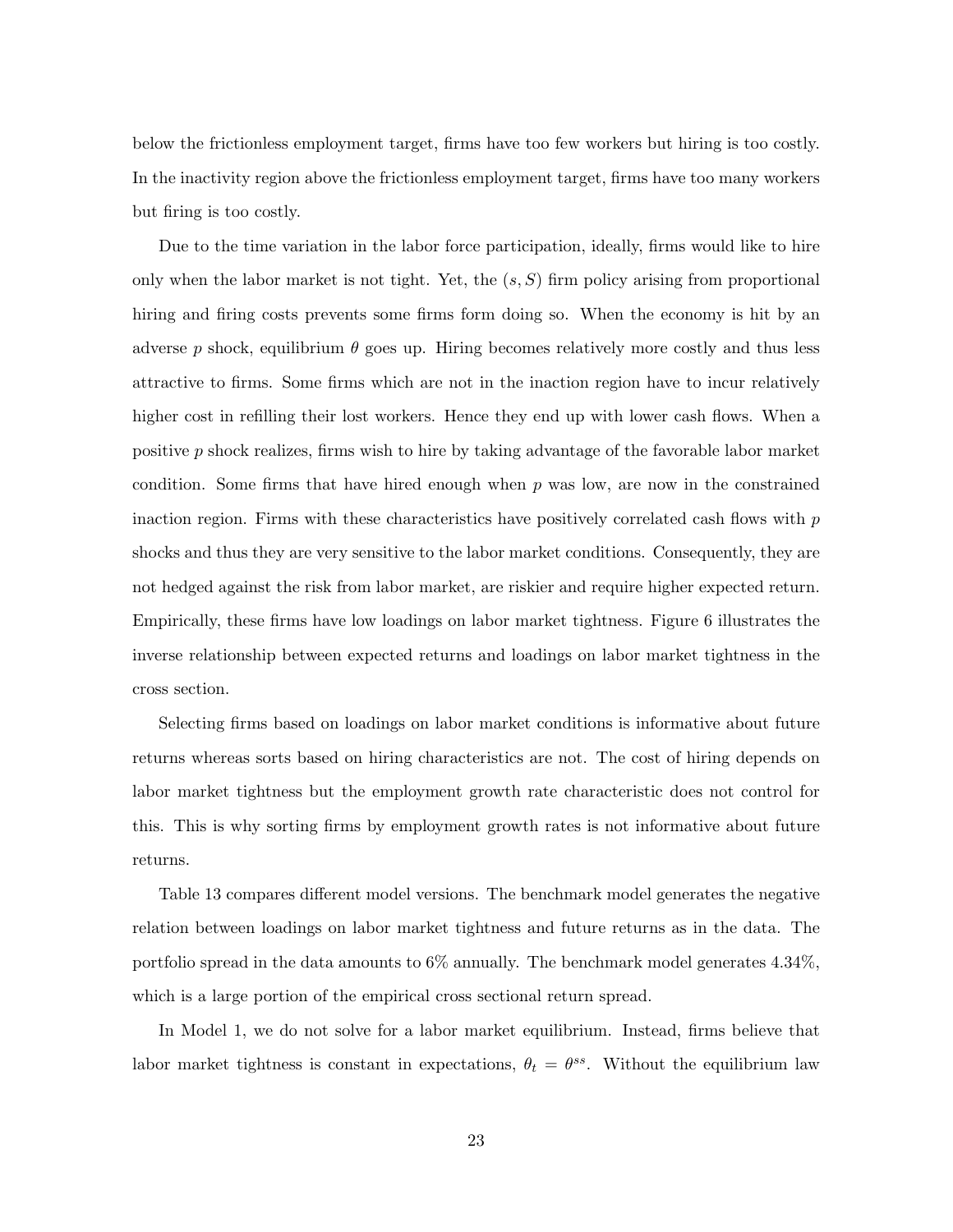below the frictionless employment target, firms have too few workers but hiring is too costly. In the inactivity region above the frictionless employment target, firms have too many workers but firing is too costly.

Due to the time variation in the labor force participation, ideally, firms would like to hire only when the labor market is not tight. Yet, the  $(s, S)$  firm policy arising from proportional hiring and firing costs prevents some firms form doing so. When the economy is hit by an adverse p shock, equilibrium  $\theta$  goes up. Hiring becomes relatively more costly and thus less attractive to firms. Some firms which are not in the inaction region have to incur relatively higher cost in refilling their lost workers. Hence they end up with lower cash flows. When a positive  $p$  shock realizes, firms wish to hire by taking advantage of the favorable labor market condition. Some firms that have hired enough when  $p$  was low, are now in the constrained inaction region. Firms with these characteristics have positively correlated cash flows with  $p$ shocks and thus they are very sensitive to the labor market conditions. Consequently, they are not hedged against the risk from labor market, are riskier and require higher expected return. Empirically, these firms have low loadings on labor market tightness. Figure 6 illustrates the inverse relationship between expected returns and loadings on labor market tightness in the cross section.

Selecting firms based on loadings on labor market conditions is informative about future returns whereas sorts based on hiring characteristics are not. The cost of hiring depends on labor market tightness but the employment growth rate characteristic does not control for this. This is why sorting firms by employment growth rates is not informative about future returns.

Table 13 compares different model versions. The benchmark model generates the negative relation between loadings on labor market tightness and future returns as in the data. The portfolio spread in the data amounts to  $6\%$  annually. The benchmark model generates 4.34%, which is a large portion of the empirical cross sectional return spread.

In Model 1, we do not solve for a labor market equilibrium. Instead, firms believe that labor market tightness is constant in expectations,  $\theta_t = \theta^{ss}$ . Without the equilibrium law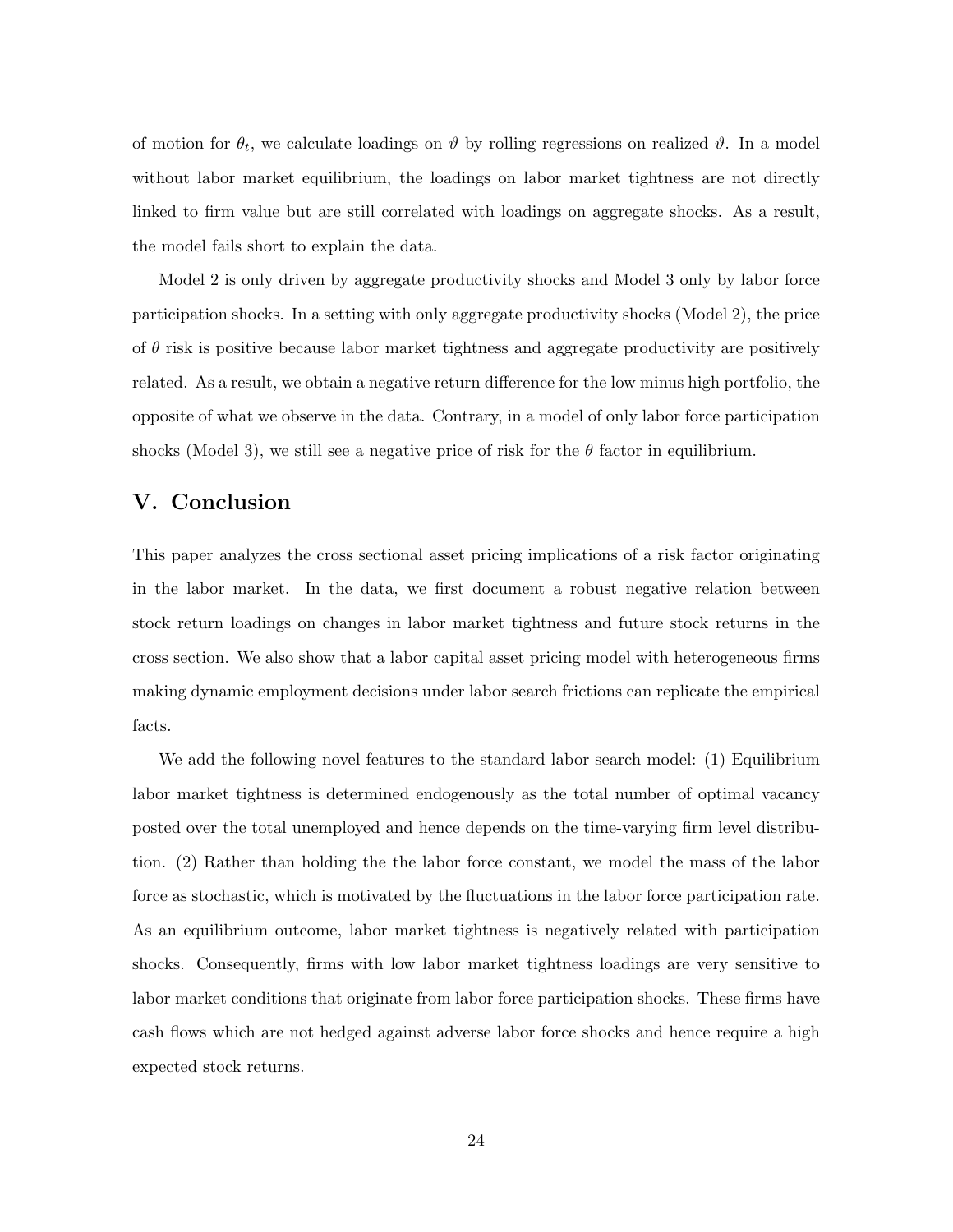of motion for  $\theta_t$ , we calculate loadings on  $\vartheta$  by rolling regressions on realized  $\vartheta$ . In a model without labor market equilibrium, the loadings on labor market tightness are not directly linked to firm value but are still correlated with loadings on aggregate shocks. As a result, the model fails short to explain the data.

Model 2 is only driven by aggregate productivity shocks and Model 3 only by labor force participation shocks. In a setting with only aggregate productivity shocks (Model 2), the price of  $\theta$  risk is positive because labor market tightness and aggregate productivity are positively related. As a result, we obtain a negative return difference for the low minus high portfolio, the opposite of what we observe in the data. Contrary, in a model of only labor force participation shocks (Model 3), we still see a negative price of risk for the  $\theta$  factor in equilibrium.

### V. Conclusion

This paper analyzes the cross sectional asset pricing implications of a risk factor originating in the labor market. In the data, we first document a robust negative relation between stock return loadings on changes in labor market tightness and future stock returns in the cross section. We also show that a labor capital asset pricing model with heterogeneous firms making dynamic employment decisions under labor search frictions can replicate the empirical facts.

We add the following novel features to the standard labor search model: (1) Equilibrium labor market tightness is determined endogenously as the total number of optimal vacancy posted over the total unemployed and hence depends on the time-varying firm level distribution. (2) Rather than holding the the labor force constant, we model the mass of the labor force as stochastic, which is motivated by the fluctuations in the labor force participation rate. As an equilibrium outcome, labor market tightness is negatively related with participation shocks. Consequently, firms with low labor market tightness loadings are very sensitive to labor market conditions that originate from labor force participation shocks. These firms have cash flows which are not hedged against adverse labor force shocks and hence require a high expected stock returns.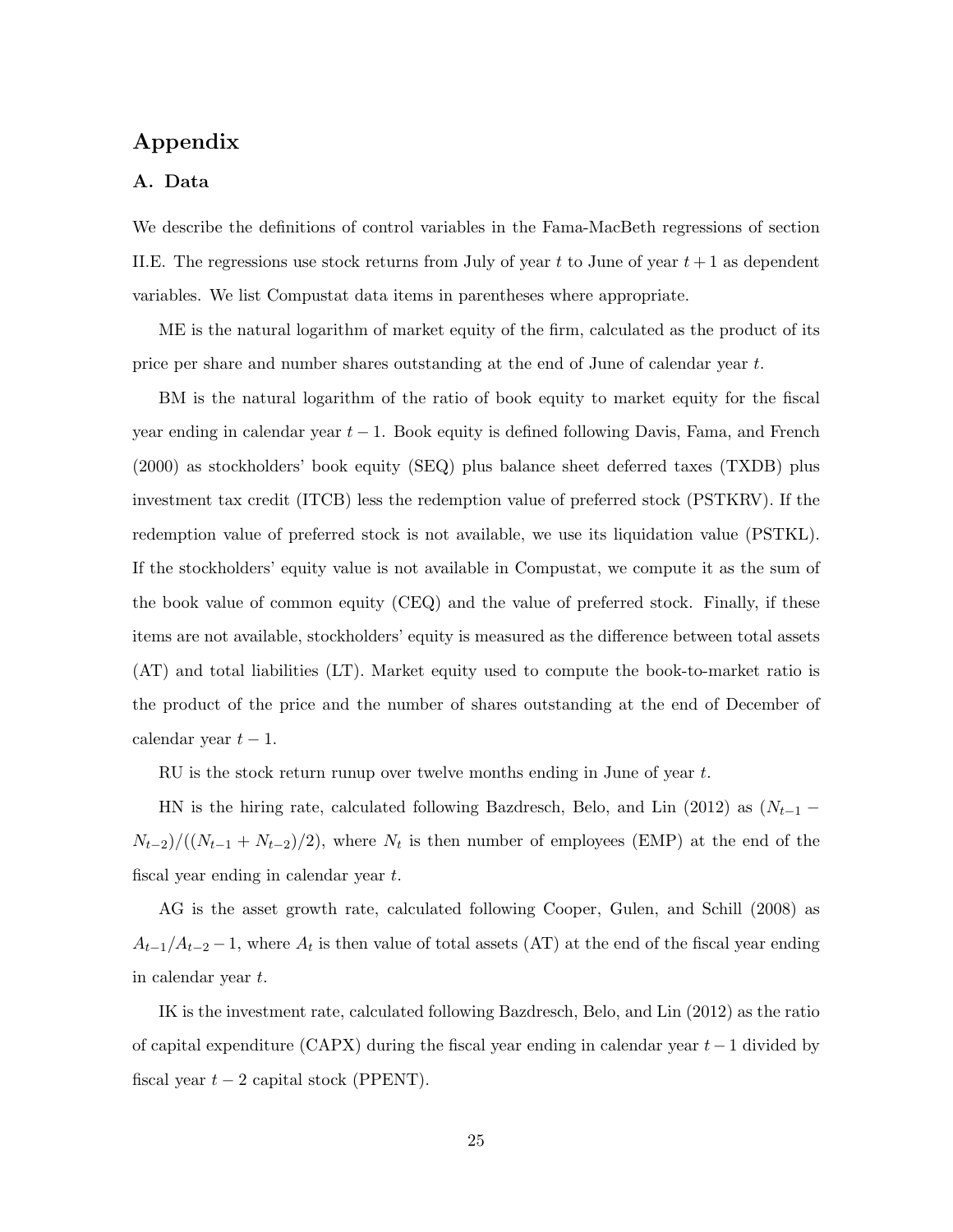## Appendix

#### A. Data

We describe the definitions of control variables in the Fama-MacBeth regressions of section II.E. The regressions use stock returns from July of year t to June of year  $t+1$  as dependent variables. We list Compustat data items in parentheses where appropriate.

ME is the natural logarithm of market equity of the firm, calculated as the product of its price per share and number shares outstanding at the end of June of calendar year t.

BM is the natural logarithm of the ratio of book equity to market equity for the fiscal year ending in calendar year  $t-1$ . Book equity is defined following Davis, Fama, and French (2000) as stockholders' book equity (SEQ) plus balance sheet deferred taxes (TXDB) plus investment tax credit (ITCB) less the redemption value of preferred stock (PSTKRV). If the redemption value of preferred stock is not available, we use its liquidation value (PSTKL). If the stockholders' equity value is not available in Compustat, we compute it as the sum of the book value of common equity (CEQ) and the value of preferred stock. Finally, if these items are not available, stockholders' equity is measured as the difference between total assets (AT) and total liabilities (LT). Market equity used to compute the book-to-market ratio is the product of the price and the number of shares outstanding at the end of December of calendar year  $t-1$ .

RU is the stock return runup over twelve months ending in June of year  $t$ .

HN is the hiring rate, calculated following Bazdresch, Belo, and Lin (2012) as  $(N_{t-1} N_{t-2}/((N_{t-1}+N_{t-2})/2)$ , where  $N_t$  is then number of employees (EMP) at the end of the fiscal year ending in calendar year t.

AG is the asset growth rate, calculated following Cooper, Gulen, and Schill (2008) as  $A_{t-1}/A_{t-2}-1$ , where  $A_t$  is then value of total assets (AT) at the end of the fiscal year ending in calendar year t.

IK is the investment rate, calculated following Bazdresch, Belo, and Lin (2012) as the ratio of capital expenditure (CAPX) during the fiscal year ending in calendar year  $t-1$  divided by fiscal year  $t - 2$  capital stock (PPENT).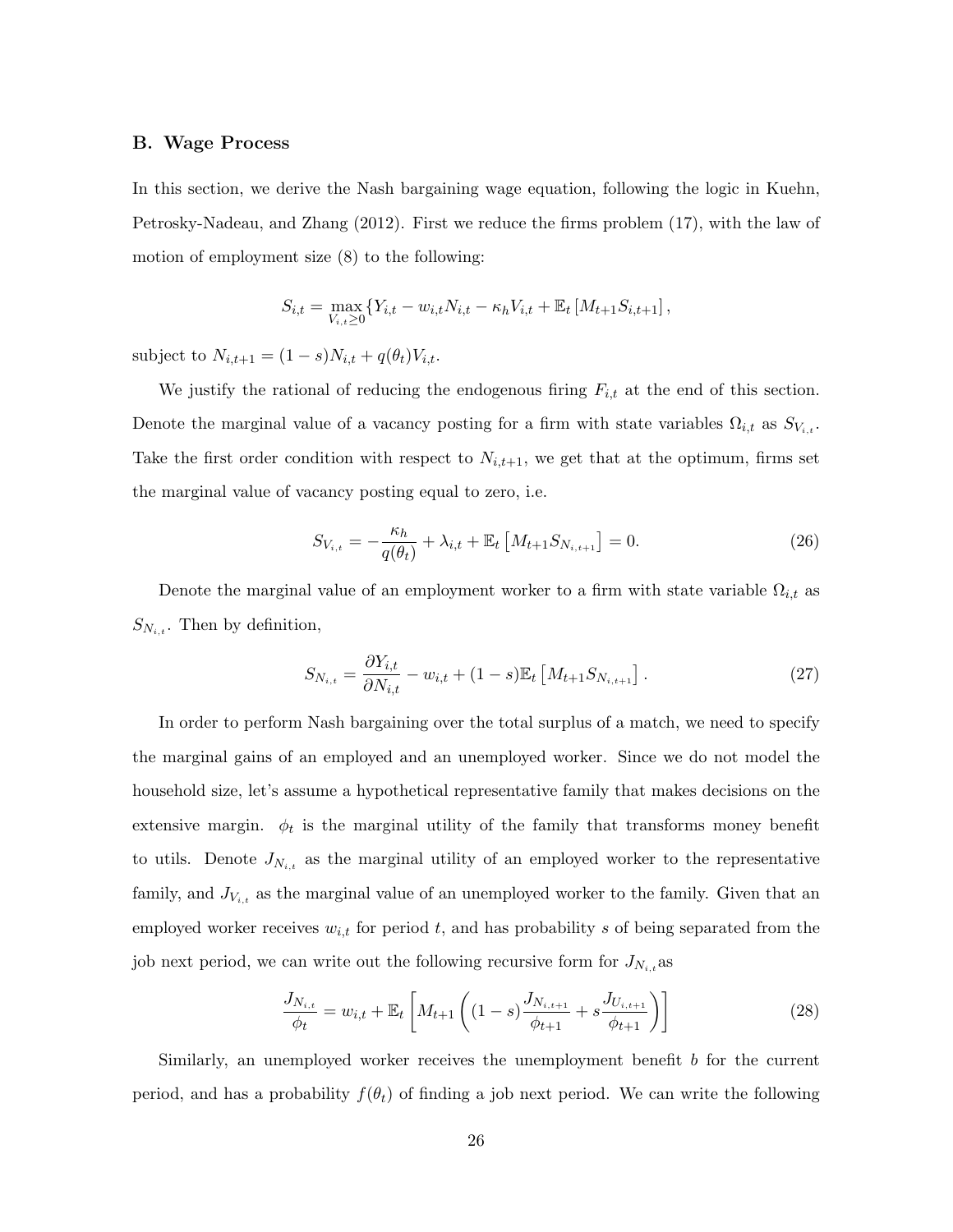#### B. Wage Process

In this section, we derive the Nash bargaining wage equation, following the logic in Kuehn, Petrosky-Nadeau, and Zhang (2012). First we reduce the firms problem (17), with the law of motion of employment size (8) to the following:

$$
S_{i,t} = \max_{V_{i,t} \geq 0} \{ Y_{i,t} - w_{i,t} N_{i,t} - \kappa_h V_{i,t} + \mathbb{E}_t [M_{t+1} S_{i,t+1}],
$$

subject to  $N_{i,t+1} = (1 - s)N_{i,t} + q(\theta_t)V_{i,t}$ .

We justify the rational of reducing the endogenous firing  $F_{i,t}$  at the end of this section. Denote the marginal value of a vacancy posting for a firm with state variables  $\Omega_{i,t}$  as  $S_{V_{i,t}}$ . Take the first order condition with respect to  $N_{i,t+1}$ , we get that at the optimum, firms set the marginal value of vacancy posting equal to zero, i.e.

$$
S_{V_{i,t}} = -\frac{\kappa_h}{q(\theta_t)} + \lambda_{i,t} + \mathbb{E}_t \left[ M_{t+1} S_{N_{i,t+1}} \right] = 0. \tag{26}
$$

Denote the marginal value of an employment worker to a firm with state variable  $\Omega_{i,t}$  as  $S_{N_{i,t}}$ . Then by definition,

$$
S_{N_{i,t}} = \frac{\partial Y_{i,t}}{\partial N_{i,t}} - w_{i,t} + (1 - s) \mathbb{E}_t \left[ M_{t+1} S_{N_{i,t+1}} \right]. \tag{27}
$$

In order to perform Nash bargaining over the total surplus of a match, we need to specify the marginal gains of an employed and an unemployed worker. Since we do not model the household size, let's assume a hypothetical representative family that makes decisions on the extensive margin.  $\phi_t$  is the marginal utility of the family that transforms money benefit to utils. Denote  $J_{N_{i,t}}$  as the marginal utility of an employed worker to the representative family, and  $J_{V_{i,t}}$  as the marginal value of an unemployed worker to the family. Given that an employed worker receives  $w_{i,t}$  for period t, and has probability s of being separated from the job next period, we can write out the following recursive form for  $J_{N_{i,t}}$  as

$$
\frac{J_{N_{i,t}}}{\phi_t} = w_{i,t} + \mathbb{E}_t \left[ M_{t+1} \left( (1-s) \frac{J_{N_{i,t+1}}}{\phi_{t+1}} + s \frac{J_{U_{i,t+1}}}{\phi_{t+1}} \right) \right]
$$
(28)

Similarly, an unemployed worker receives the unemployment benefit b for the current period, and has a probability  $f(\theta_t)$  of finding a job next period. We can write the following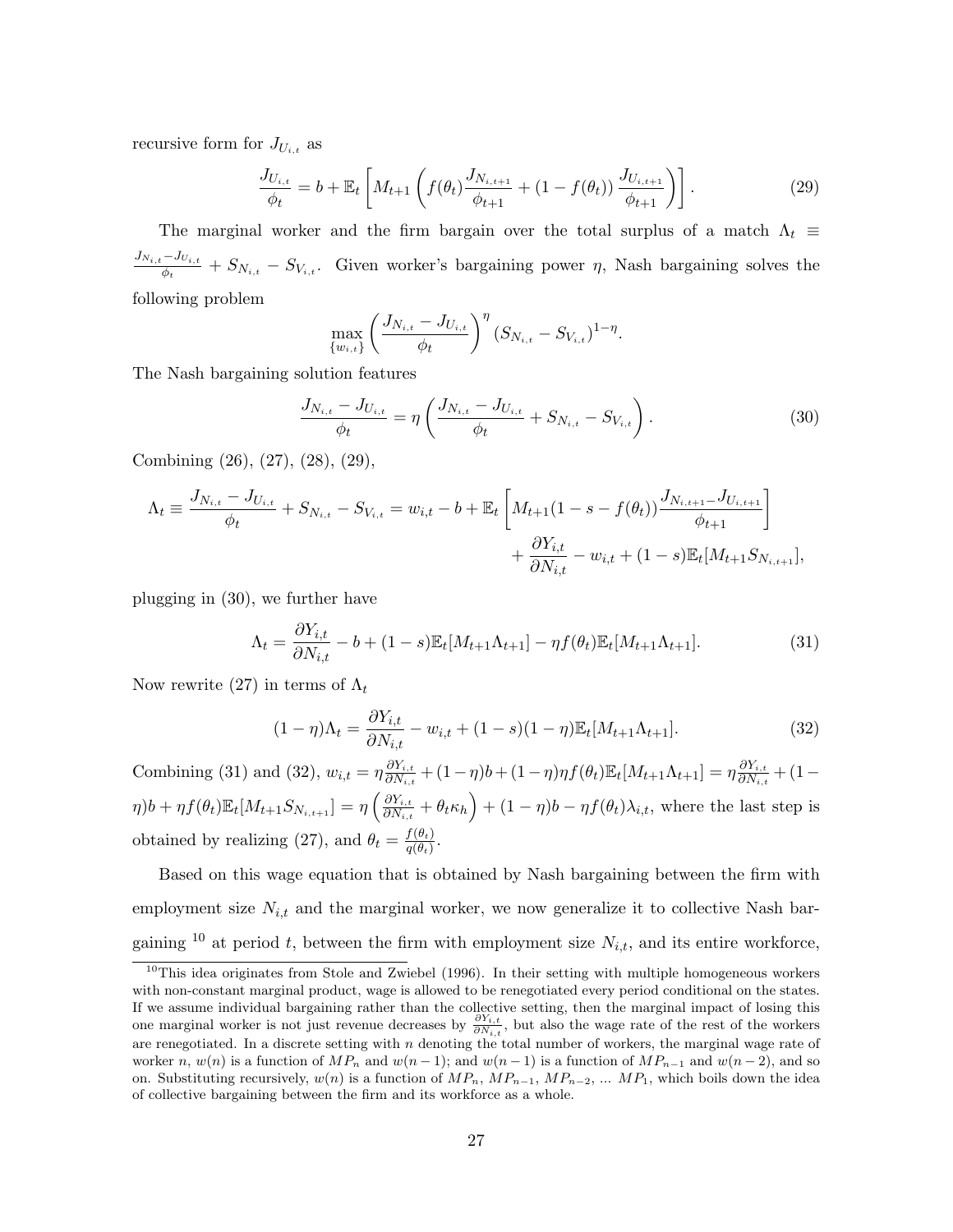recursive form for  $J_{U_{i,t}}$  as

$$
\frac{J_{U_{i,t}}}{\phi_t} = b + \mathbb{E}_t \left[ M_{t+1} \left( f(\theta_t) \frac{J_{N_{i,t+1}}}{\phi_{t+1}} + (1 - f(\theta_t)) \frac{J_{U_{i,t+1}}}{\phi_{t+1}} \right) \right].
$$
\n(29)

The marginal worker and the firm bargain over the total surplus of a match  $\Lambda_t$  $J_{N_{i,t}-J_{U_{i,t}}}$  $\frac{d}{dt} - \delta_{N_{i,t}} - S_{N_{i,t}}$ . Given worker's bargaining power  $\eta$ , Nash bargaining solves the following problem

$$
\max_{\{w_{i,t}\}} \left(\frac{J_{N_{i,t}} - J_{U_{i,t}}}{\phi_t}\right)^{\eta} (S_{N_{i,t}} - S_{V_{i,t}})^{1-\eta}.
$$

The Nash bargaining solution features

$$
\frac{J_{N_{i,t}} - J_{U_{i,t}}}{\phi_t} = \eta \left( \frac{J_{N_{i,t}} - J_{U_{i,t}}}{\phi_t} + S_{N_{i,t}} - S_{V_{i,t}} \right). \tag{30}
$$

Combining (26), (27), (28), (29),

$$
\Lambda_t \equiv \frac{J_{N_{i,t}} - J_{U_{i,t}}}{\phi_t} + S_{N_{i,t}} - S_{V_{i,t}} = w_{i,t} - b + \mathbb{E}_t \left[ M_{t+1} (1 - s - f(\theta_t)) \frac{J_{N_{i,t+1}} - J_{U_{i,t+1}}}{\phi_{t+1}} \right] + \frac{\partial Y_{i,t}}{\partial N_{i,t}} - w_{i,t} + (1 - s) \mathbb{E}_t [M_{t+1} S_{N_{i,t+1}}],
$$

plugging in (30), we further have

$$
\Lambda_t = \frac{\partial Y_{i,t}}{\partial N_{i,t}} - b + (1 - s)\mathbb{E}_t[M_{t+1}\Lambda_{t+1}] - \eta f(\theta_t)\mathbb{E}_t[M_{t+1}\Lambda_{t+1}].
$$
\n(31)

Now rewrite (27) in terms of  $\Lambda_t$ 

$$
(1 - \eta)\Lambda_t = \frac{\partial Y_{i,t}}{\partial N_{i,t}} - w_{i,t} + (1 - s)(1 - \eta)\mathbb{E}_t[M_{t+1}\Lambda_{t+1}].
$$
\n(32)

Combining (31) and (32),  $w_{i,t} = \eta \frac{\partial Y_{i,t}}{\partial N_{i,t}}$  $\frac{\partial Y_{i,t}}{\partial N_{i,t}} + (1 - \eta)b + (1 - \eta)\eta f(\theta_t) \mathbb{E}_t[M_{t+1}\Lambda_{t+1}] = \eta \frac{\partial Y_{i,t}}{\partial N_{i,t}}$  $\frac{\partial Y_{i,t}}{\partial N_{i,t}} + (1 \eta) b + \eta f(\theta_t) \mathbb{E}_t[M_{t+1}S_{N_{i,t+1}}] = \eta\left(\frac{\partial Y_{i,t}}{\partial N_{i,t}}\right)$  $\left(\frac{\partial Y_{i,t}}{\partial N_{i,t}} + \theta_t \kappa_h\right) + (1 - \eta)b - \eta f(\theta_t) \lambda_{i,t}$ , where the last step is obtained by realizing (27), and  $\theta_t = \frac{f(\theta_t)}{q(\theta_t)}$  $\frac{J(\theta_t)}{q(\theta_t)}$ .

Based on this wage equation that is obtained by Nash bargaining between the firm with employment size  $N_{i,t}$  and the marginal worker, we now generalize it to collective Nash bargaining <sup>10</sup> at period t, between the firm with employment size  $N_{i,t}$ , and its entire workforce,

 $10$ This idea originates from Stole and Zwiebel (1996). In their setting with multiple homogeneous workers with non-constant marginal product, wage is allowed to be renegotiated every period conditional on the states. If we assume individual bargaining rather than the collective setting, then the marginal impact of losing this one marginal worker is not just revenue decreases by  $\frac{\partial Y_{i,t}}{\partial N_{i,t}}$ , but also the wage rate of the rest of the workers are renegotiated. In a discrete setting with  $n$  denoting the total number of workers, the marginal wage rate of worker n,  $w(n)$  is a function of  $MP_n$  and  $w(n-1)$ ; and  $w(n-1)$  is a function of  $MP_{n-1}$  and  $w(n-2)$ , and so on. Substituting recursively,  $w(n)$  is a function of  $MP_n$ ,  $MP_{n-1}$ ,  $MP_{n-2}$ , ...  $MP_1$ , which boils down the idea of collective bargaining between the firm and its workforce as a whole.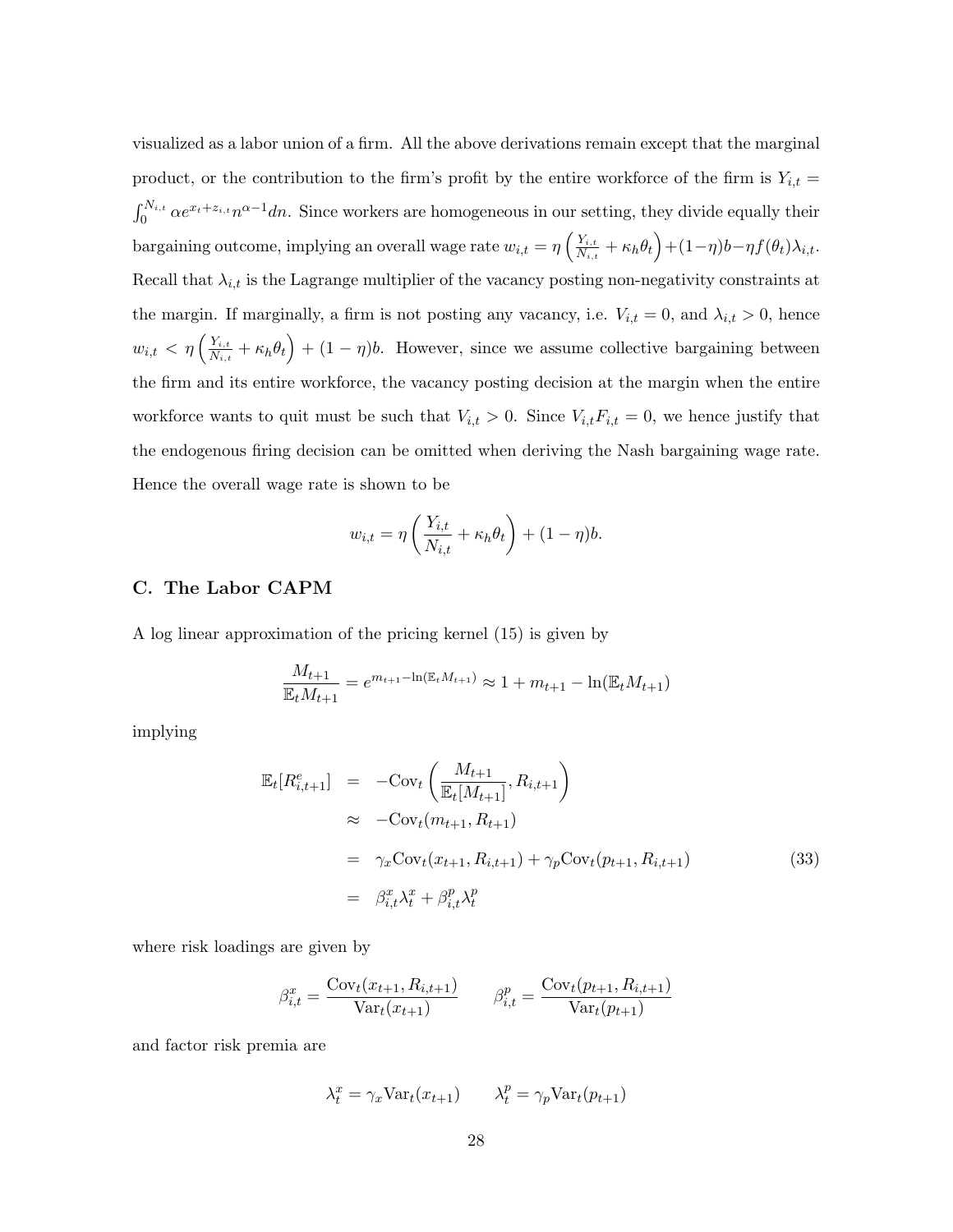visualized as a labor union of a firm. All the above derivations remain except that the marginal product, or the contribution to the firm's profit by the entire workforce of the firm is  $Y_{i,t} =$  $\int_0^{N_{i,t}} \alpha e^{x_t + z_{i,t}} n^{\alpha - 1} dn$ . Since workers are homogeneous in our setting, they divide equally their bargaining outcome, implying an overall wage rate  $w_{i,t} = \eta \left( \frac{Y_{i,t}}{N_{i,t}} \right)$  $\frac{Y_{i,t}}{N_{i,t}} + \kappa_h \theta_t \Big) + (1-\eta)b - \eta f(\theta_t) \lambda_{i,t}.$ Recall that  $\lambda_{i,t}$  is the Lagrange multiplier of the vacancy posting non-negativity constraints at the margin. If marginally, a firm is not posting any vacancy, i.e.  $V_{i,t} = 0$ , and  $\lambda_{i,t} > 0$ , hence  $w_{i,t} < \eta \left( \frac{Y_{i,t}}{N_{i,t}} \right)$  $\frac{Y_{i,t}}{N_{i,t}} + \kappa_h \theta_t$  +  $(1 - \eta)b$ . However, since we assume collective bargaining between the firm and its entire workforce, the vacancy posting decision at the margin when the entire workforce wants to quit must be such that  $V_{i,t} > 0$ . Since  $V_{i,t} F_{i,t} = 0$ , we hence justify that the endogenous firing decision can be omitted when deriving the Nash bargaining wage rate. Hence the overall wage rate is shown to be

$$
w_{i,t} = \eta \left( \frac{Y_{i,t}}{N_{i,t}} + \kappa_h \theta_t \right) + (1 - \eta)b.
$$

#### C. The Labor CAPM

A log linear approximation of the pricing kernel (15) is given by

$$
\frac{M_{t+1}}{\mathbb{E}_t M_{t+1}} = e^{m_{t+1} - \ln(\mathbb{E}_t M_{t+1})} \approx 1 + m_{t+1} - \ln(\mathbb{E}_t M_{t+1})
$$

implying

$$
\mathbb{E}_{t}[R_{i,t+1}^{e}] = -\text{Cov}_{t}\left(\frac{M_{t+1}}{\mathbb{E}_{t}[M_{t+1}]}, R_{i,t+1}\right)
$$
\n
$$
\approx -\text{Cov}_{t}(m_{t+1}, R_{t+1})
$$
\n
$$
= \gamma_{x}\text{Cov}_{t}(x_{t+1}, R_{i,t+1}) + \gamma_{p}\text{Cov}_{t}(p_{t+1}, R_{i,t+1})
$$
\n
$$
= \beta_{i,t}^{x} \lambda_{t}^{x} + \beta_{i,t}^{p} \lambda_{t}^{p}
$$
\n(33)

where risk loadings are given by

$$
\beta_{i,t}^x = \frac{\text{Cov}_t(x_{t+1}, R_{i,t+1})}{\text{Var}_t(x_{t+1})} \qquad \beta_{i,t}^p = \frac{\text{Cov}_t(p_{t+1}, R_{i,t+1})}{\text{Var}_t(p_{t+1})}
$$

and factor risk premia are

$$
\lambda_t^x = \gamma_x \text{Var}_t(x_{t+1}) \qquad \lambda_t^p = \gamma_p \text{Var}_t(p_{t+1})
$$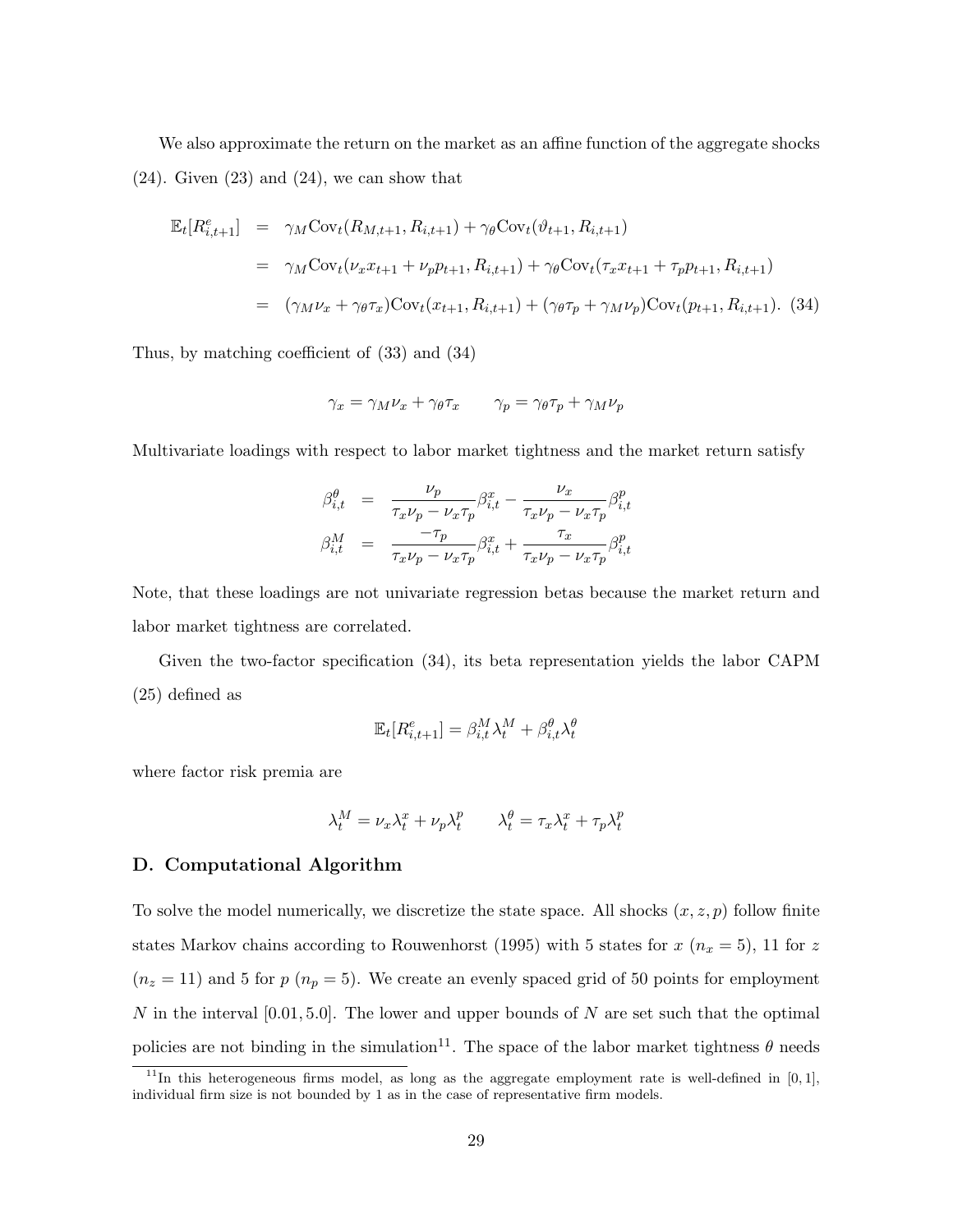We also approximate the return on the market as an affine function of the aggregate shocks  $(24)$ . Given  $(23)$  and  $(24)$ , we can show that

$$
\mathbb{E}_{t}[R_{i,t+1}^{e}] = \gamma_{M} \text{Cov}_{t}(R_{M,t+1}, R_{i,t+1}) + \gamma_{\theta} \text{Cov}_{t}(\vartheta_{t+1}, R_{i,t+1})
$$
\n
$$
= \gamma_{M} \text{Cov}_{t}(\nu_{x} x_{t+1} + \nu_{p} p_{t+1}, R_{i,t+1}) + \gamma_{\theta} \text{Cov}_{t}(\tau_{x} x_{t+1} + \tau_{p} p_{t+1}, R_{i,t+1})
$$
\n
$$
= (\gamma_{M} \nu_{x} + \gamma_{\theta} \tau_{x}) \text{Cov}_{t}(x_{t+1}, R_{i,t+1}) + (\gamma_{\theta} \tau_{p} + \gamma_{M} \nu_{p}) \text{Cov}_{t}(p_{t+1}, R_{i,t+1}). \quad (34)
$$

Thus, by matching coefficient of (33) and (34)

$$
\gamma_x = \gamma_M \nu_x + \gamma_\theta \tau_x \qquad \gamma_p = \gamma_\theta \tau_p + \gamma_M \nu_p
$$

Multivariate loadings with respect to labor market tightness and the market return satisfy

$$
\beta_{i,t}^{\theta} = \frac{\nu_p}{\tau_x \nu_p - \nu_x \tau_p} \beta_{i,t}^x - \frac{\nu_x}{\tau_x \nu_p - \nu_x \tau_p} \beta_{i,t}^p
$$
\n
$$
\beta_{i,t}^M = \frac{-\tau_p}{\tau_x \nu_p - \nu_x \tau_p} \beta_{i,t}^x + \frac{\tau_x}{\tau_x \nu_p - \nu_x \tau_p} \beta_{i,t}^p
$$

Note, that these loadings are not univariate regression betas because the market return and labor market tightness are correlated.

Given the two-factor specification (34), its beta representation yields the labor CAPM (25) defined as

$$
\mathbb{E}_t[R_{i,t+1}^e] = \beta_{i,t}^M \lambda_t^M + \beta_{i,t}^\theta \lambda_t^\theta
$$

where factor risk premia are

$$
\lambda_t^M = \nu_x \lambda_t^x + \nu_p \lambda_t^p \qquad \lambda_t^\theta = \tau_x \lambda_t^x + \tau_p \lambda_t^p
$$

#### D. Computational Algorithm

To solve the model numerically, we discretize the state space. All shocks  $(x, z, p)$  follow finite states Markov chains according to Rouwenhorst (1995) with 5 states for  $x(n_x = 5)$ , 11 for z  $(n_z = 11)$  and 5 for  $p(n_p = 5)$ . We create an evenly spaced grid of 50 points for employment N in the interval  $[0.01, 5.0]$ . The lower and upper bounds of N are set such that the optimal policies are not binding in the simulation<sup>11</sup>. The space of the labor market tightness  $\theta$  needs

<sup>&</sup>lt;sup>11</sup>In this heterogeneous firms model, as long as the aggregate employment rate is well-defined in  $[0, 1]$ , individual firm size is not bounded by 1 as in the case of representative firm models.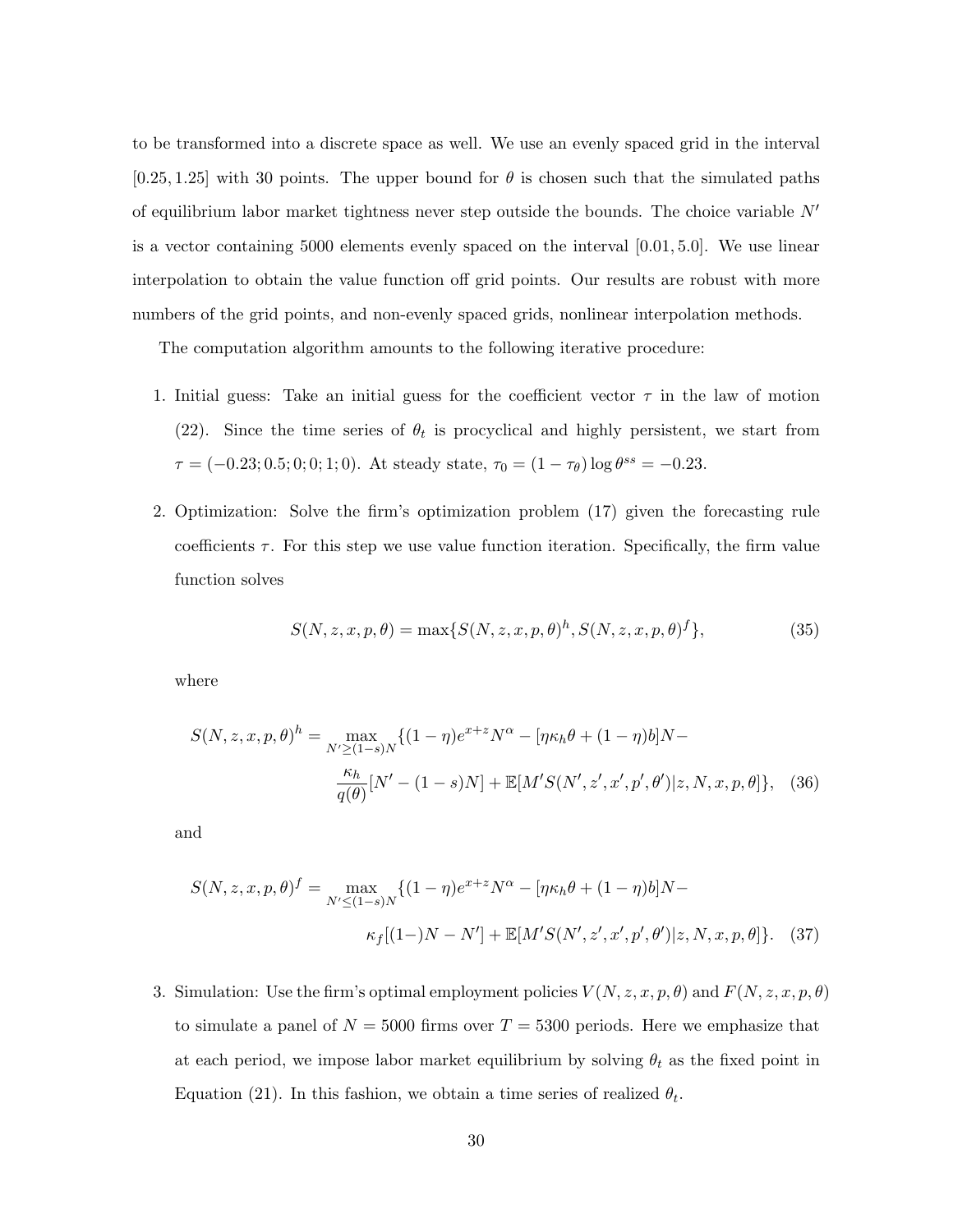to be transformed into a discrete space as well. We use an evenly spaced grid in the interval  $[0.25, 1.25]$  with 30 points. The upper bound for  $\theta$  is chosen such that the simulated paths of equilibrium labor market tightness never step outside the bounds. The choice variable  $N'$ is a vector containing 5000 elements evenly spaced on the interval [0.01, 5.0]. We use linear interpolation to obtain the value function off grid points. Our results are robust with more numbers of the grid points, and non-evenly spaced grids, nonlinear interpolation methods.

The computation algorithm amounts to the following iterative procedure:

- 1. Initial guess: Take an initial guess for the coefficient vector  $\tau$  in the law of motion (22). Since the time series of  $\theta_t$  is procyclical and highly persistent, we start from  $\tau = (-0.23; 0.5; 0; 0; 1; 0)$ . At steady state,  $\tau_0 = (1 - \tau_\theta) \log \theta^{ss} = -0.23$ .
- 2. Optimization: Solve the firm's optimization problem (17) given the forecasting rule coefficients  $\tau$ . For this step we use value function iteration. Specifically, the firm value function solves

$$
S(N, z, x, p, \theta) = \max\{S(N, z, x, p, \theta)^h, S(N, z, x, p, \theta)^f\},\tag{35}
$$

where

$$
S(N, z, x, p, \theta)^h = \max_{N' \ge (1-s)N} \{ (1-\eta)e^{x+z}N^{\alpha} - [\eta\kappa_h\theta + (1-\eta)b]N - \frac{\kappa_h}{q(\theta)}[N' - (1-s)N] + \mathbb{E}[M'S(N', z', x', p', \theta')]z, N, x, p, \theta] \}, \quad (36)
$$

and

$$
S(N, z, x, p, \theta)^f = \max_{N' \le (1-s)N} \{ (1-\eta)e^{x+z}N^{\alpha} - [\eta\kappa_h\theta + (1-\eta)b]N - \kappa_f[(1-N-N'] + \mathbb{E}[M'S(N', z', x', p', \theta')]z, N, x, p, \theta] \}. \tag{37}
$$

3. Simulation: Use the firm's optimal employment policies  $V(N,z,x,p,\theta)$  and  $F(N,z,x,p,\theta)$ to simulate a panel of  $N = 5000$  firms over  $T = 5300$  periods. Here we emphasize that at each period, we impose labor market equilibrium by solving  $\theta_t$  as the fixed point in Equation (21). In this fashion, we obtain a time series of realized  $\theta_t$ .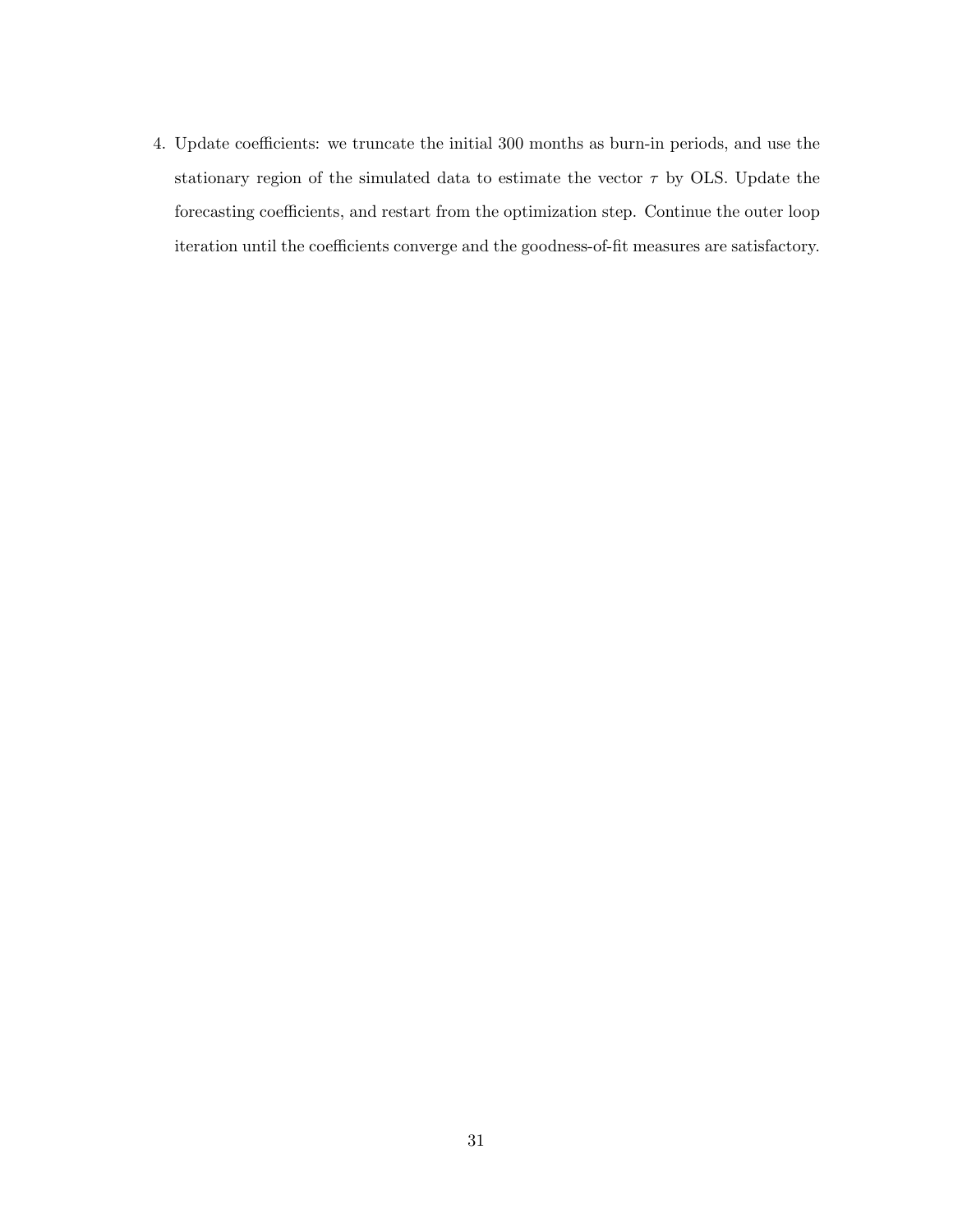4. Update coefficients: we truncate the initial 300 months as burn-in periods, and use the stationary region of the simulated data to estimate the vector  $\tau$  by OLS. Update the forecasting coefficients, and restart from the optimization step. Continue the outer loop iteration until the coefficients converge and the goodness-of-fit measures are satisfactory.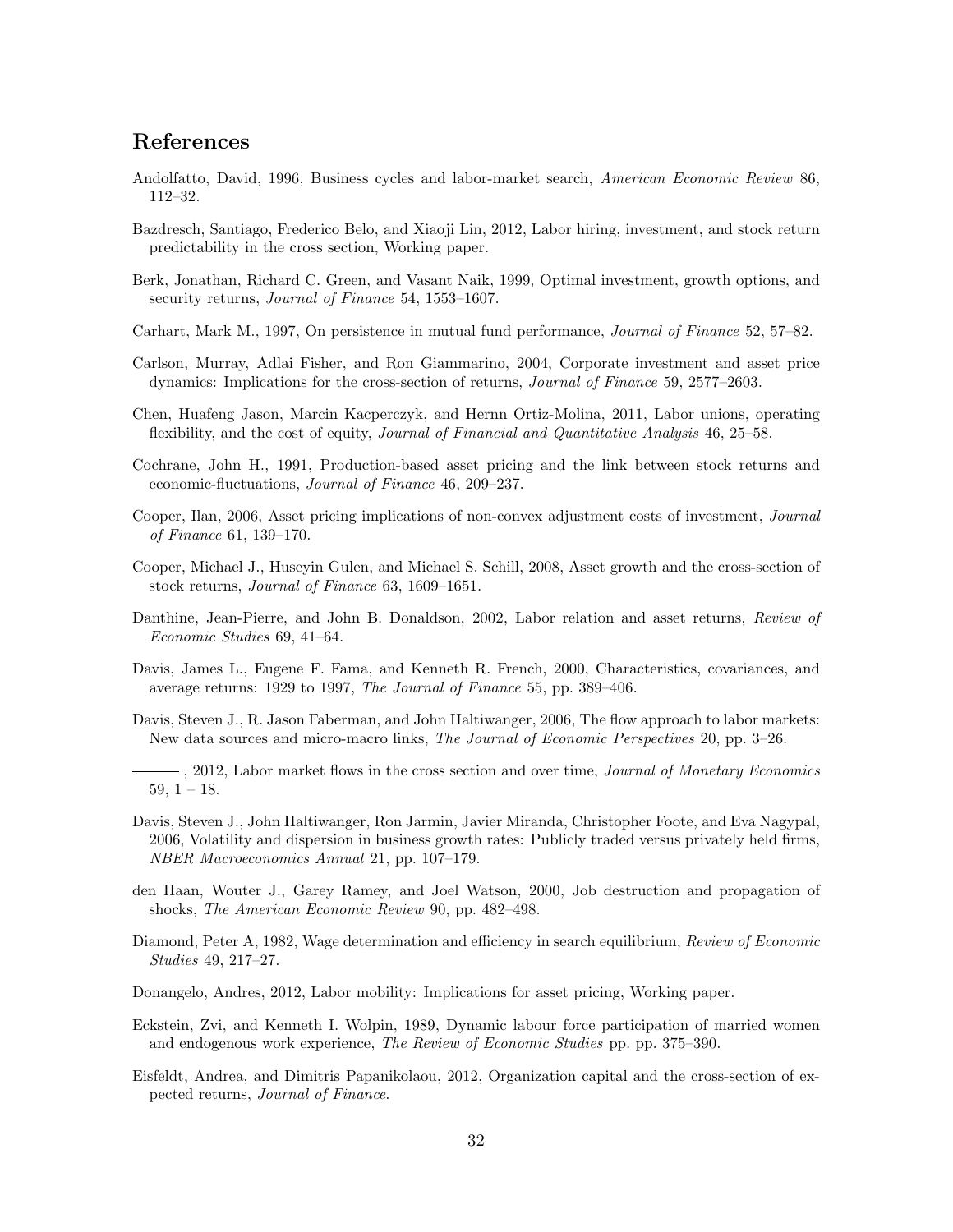### References

- Andolfatto, David, 1996, Business cycles and labor-market search, American Economic Review 86, 112–32.
- Bazdresch, Santiago, Frederico Belo, and Xiaoji Lin, 2012, Labor hiring, investment, and stock return predictability in the cross section, Working paper.
- Berk, Jonathan, Richard C. Green, and Vasant Naik, 1999, Optimal investment, growth options, and security returns, Journal of Finance 54, 1553–1607.
- Carhart, Mark M., 1997, On persistence in mutual fund performance, Journal of Finance 52, 57–82.
- Carlson, Murray, Adlai Fisher, and Ron Giammarino, 2004, Corporate investment and asset price dynamics: Implications for the cross-section of returns, Journal of Finance 59, 2577–2603.
- Chen, Huafeng Jason, Marcin Kacperczyk, and Hernn Ortiz-Molina, 2011, Labor unions, operating flexibility, and the cost of equity, *Journal of Financial and Quantitative Analysis* 46, 25–58.
- Cochrane, John H., 1991, Production-based asset pricing and the link between stock returns and economic-fluctuations, Journal of Finance 46, 209–237.
- Cooper, Ilan, 2006, Asset pricing implications of non-convex adjustment costs of investment, *Journal* of Finance 61, 139–170.
- Cooper, Michael J., Huseyin Gulen, and Michael S. Schill, 2008, Asset growth and the cross-section of stock returns, Journal of Finance 63, 1609–1651.
- Danthine, Jean-Pierre, and John B. Donaldson, 2002, Labor relation and asset returns, Review of Economic Studies 69, 41–64.
- Davis, James L., Eugene F. Fama, and Kenneth R. French, 2000, Characteristics, covariances, and average returns: 1929 to 1997, The Journal of Finance 55, pp. 389–406.
- Davis, Steven J., R. Jason Faberman, and John Haltiwanger, 2006, The flow approach to labor markets: New data sources and micro-macro links, The Journal of Economic Perspectives 20, pp. 3–26.
- -, 2012, Labor market flows in the cross section and over time, *Journal of Monetary Economics*  $59, 1 - 18.$
- Davis, Steven J., John Haltiwanger, Ron Jarmin, Javier Miranda, Christopher Foote, and Eva Nagypal, 2006, Volatility and dispersion in business growth rates: Publicly traded versus privately held firms, NBER Macroeconomics Annual 21, pp. 107–179.
- den Haan, Wouter J., Garey Ramey, and Joel Watson, 2000, Job destruction and propagation of shocks, The American Economic Review 90, pp. 482–498.
- Diamond, Peter A, 1982, Wage determination and efficiency in search equilibrium, Review of Economic Studies 49, 217–27.
- Donangelo, Andres, 2012, Labor mobility: Implications for asset pricing, Working paper.
- Eckstein, Zvi, and Kenneth I. Wolpin, 1989, Dynamic labour force participation of married women and endogenous work experience, The Review of Economic Studies pp. pp. 375–390.
- Eisfeldt, Andrea, and Dimitris Papanikolaou, 2012, Organization capital and the cross-section of expected returns, Journal of Finance.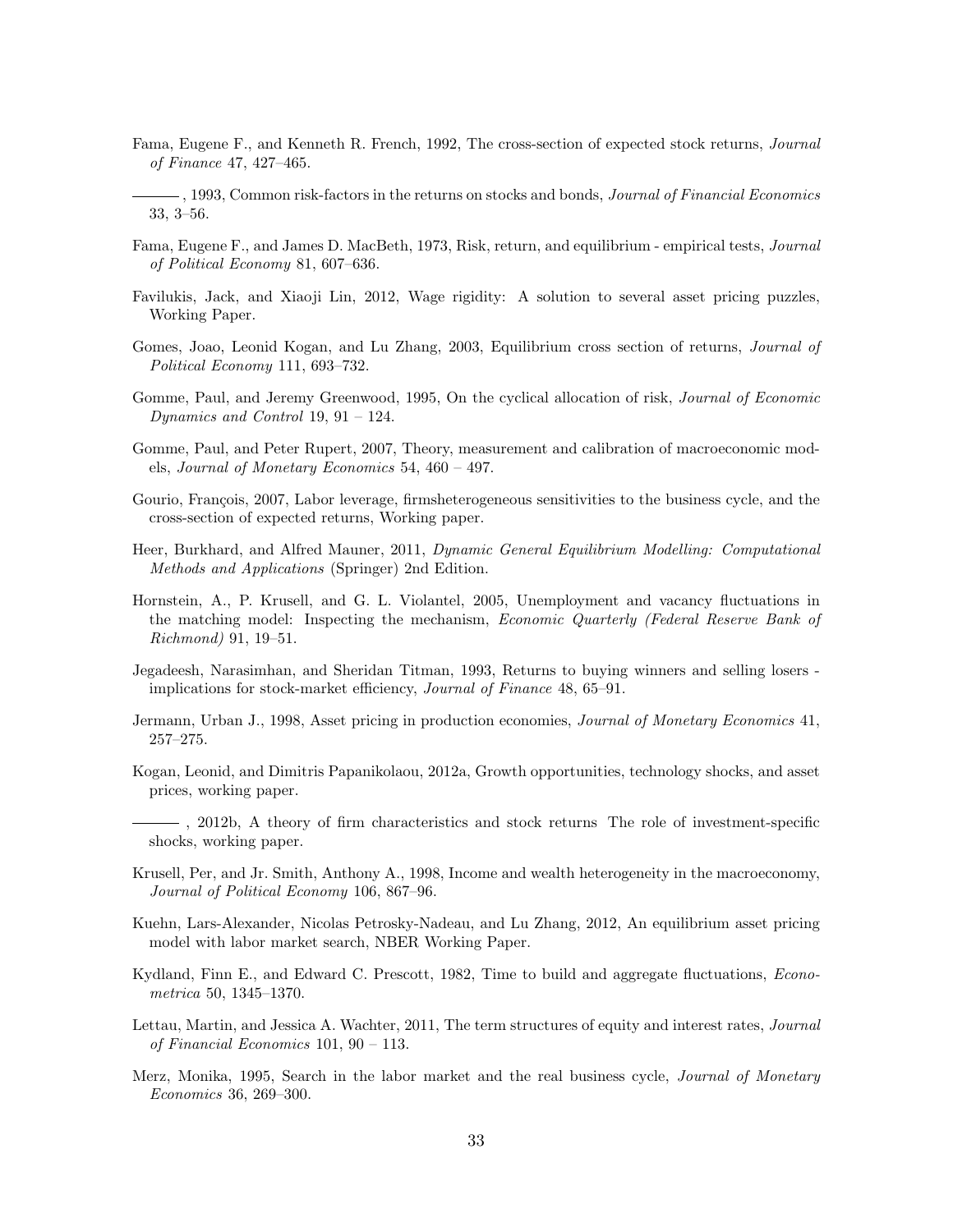- Fama, Eugene F., and Kenneth R. French, 1992, The cross-section of expected stock returns, Journal of Finance 47, 427–465.
- -, 1993, Common risk-factors in the returns on stocks and bonds, *Journal of Financial Economics* 33, 3–56.
- Fama, Eugene F., and James D. MacBeth, 1973, Risk, return, and equilibrium empirical tests, Journal of Political Economy 81, 607–636.
- Favilukis, Jack, and Xiaoji Lin, 2012, Wage rigidity: A solution to several asset pricing puzzles, Working Paper.
- Gomes, Joao, Leonid Kogan, and Lu Zhang, 2003, Equilibrium cross section of returns, *Journal of* Political Economy 111, 693–732.
- Gomme, Paul, and Jeremy Greenwood, 1995, On the cyclical allocation of risk, Journal of Economic Dynamics and Control 19,  $91 - 124$ .
- Gomme, Paul, and Peter Rupert, 2007, Theory, measurement and calibration of macroeconomic models, Journal of Monetary Economics 54, 460 – 497.
- Gourio, François, 2007, Labor leverage, firmsheterogeneous sensitivities to the business cycle, and the cross-section of expected returns, Working paper.
- Heer, Burkhard, and Alfred Mauner, 2011, Dynamic General Equilibrium Modelling: Computational Methods and Applications (Springer) 2nd Edition.
- Hornstein, A., P. Krusell, and G. L. Violantel, 2005, Unemployment and vacancy fluctuations in the matching model: Inspecting the mechanism, Economic Quarterly (Federal Reserve Bank of Richmond) 91, 19–51.
- Jegadeesh, Narasimhan, and Sheridan Titman, 1993, Returns to buying winners and selling losers implications for stock-market efficiency, Journal of Finance 48, 65–91.
- Jermann, Urban J., 1998, Asset pricing in production economies, Journal of Monetary Economics 41, 257–275.
- Kogan, Leonid, and Dimitris Papanikolaou, 2012a, Growth opportunities, technology shocks, and asset prices, working paper.
- , 2012b, A theory of firm characteristics and stock returns The role of investment-specific shocks, working paper.
- Krusell, Per, and Jr. Smith, Anthony A., 1998, Income and wealth heterogeneity in the macroeconomy, Journal of Political Economy 106, 867–96.
- Kuehn, Lars-Alexander, Nicolas Petrosky-Nadeau, and Lu Zhang, 2012, An equilibrium asset pricing model with labor market search, NBER Working Paper.
- Kydland, Finn E., and Edward C. Prescott, 1982, Time to build and aggregate fluctuations, Econometrica 50, 1345–1370.
- Lettau, Martin, and Jessica A. Wachter, 2011, The term structures of equity and interest rates, Journal of Financial Economics 101, 90 – 113.
- Merz, Monika, 1995, Search in the labor market and the real business cycle, Journal of Monetary Economics 36, 269–300.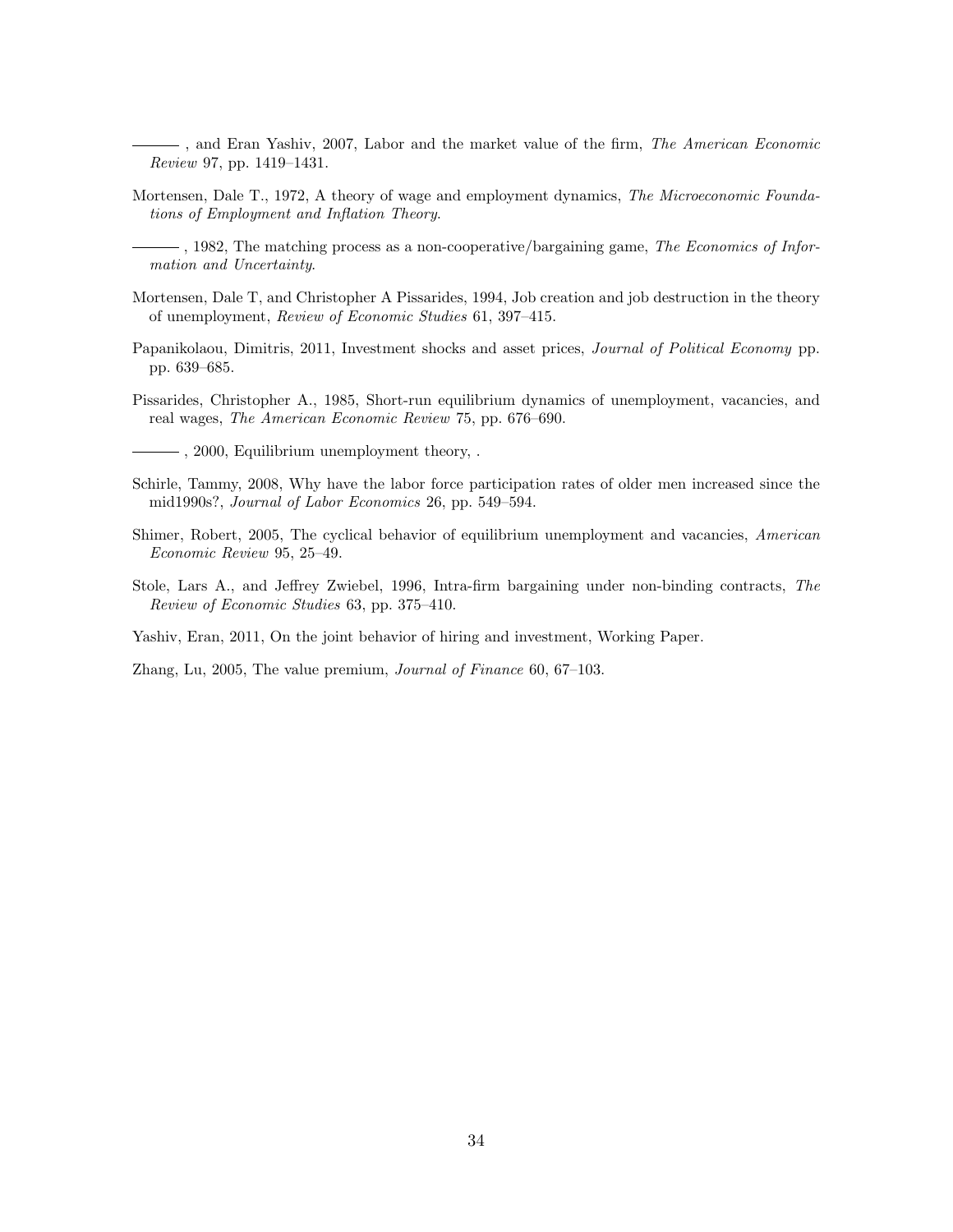- -, and Eran Yashiv, 2007, Labor and the market value of the firm, *The American Economic* Review 97, pp. 1419–1431.
- Mortensen, Dale T., 1972, A theory of wage and employment dynamics, The Microeconomic Foundations of Employment and Inflation Theory.
- , 1982, The matching process as a non-cooperative/bargaining game, The Economics of Information and Uncertainty.
- Mortensen, Dale T, and Christopher A Pissarides, 1994, Job creation and job destruction in the theory of unemployment, Review of Economic Studies 61, 397–415.
- Papanikolaou, Dimitris, 2011, Investment shocks and asset prices, *Journal of Political Economy* pp. pp. 639–685.
- Pissarides, Christopher A., 1985, Short-run equilibrium dynamics of unemployment, vacancies, and real wages, The American Economic Review 75, pp. 676–690.

, 2000, Equilibrium unemployment theory, .

- Schirle, Tammy, 2008, Why have the labor force participation rates of older men increased since the mid1990s?, Journal of Labor Economics 26, pp. 549–594.
- Shimer, Robert, 2005, The cyclical behavior of equilibrium unemployment and vacancies, American Economic Review 95, 25–49.
- Stole, Lars A., and Jeffrey Zwiebel, 1996, Intra-firm bargaining under non-binding contracts, The Review of Economic Studies 63, pp. 375–410.

Yashiv, Eran, 2011, On the joint behavior of hiring and investment, Working Paper.

Zhang, Lu, 2005, The value premium, Journal of Finance 60, 67–103.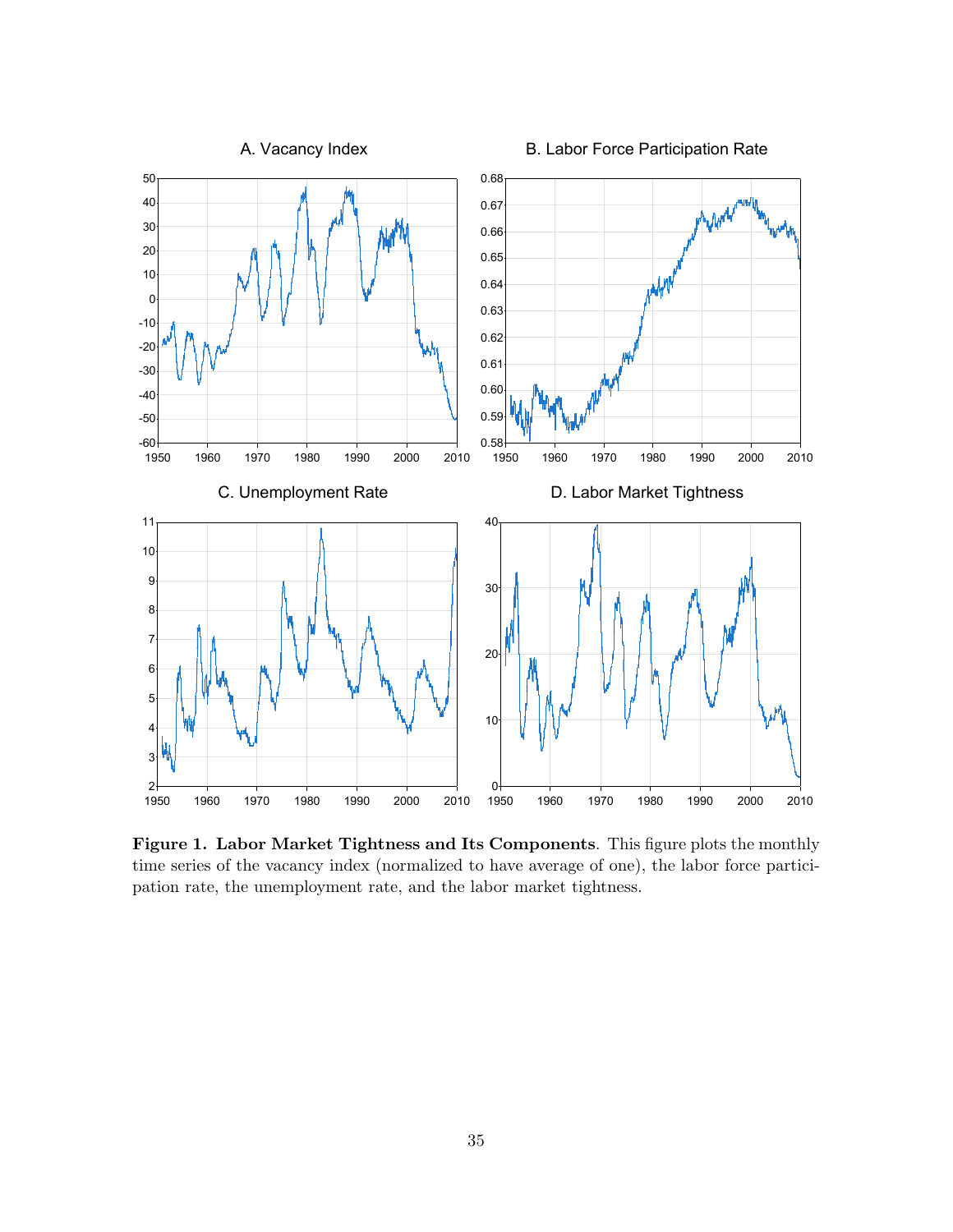

Figure 1. Labor Market Tightness and Its Components. This figure plots the monthly time series of the vacancy index (normalized to have average of one), the labor force participation rate, the unemployment rate, and the labor market tightness.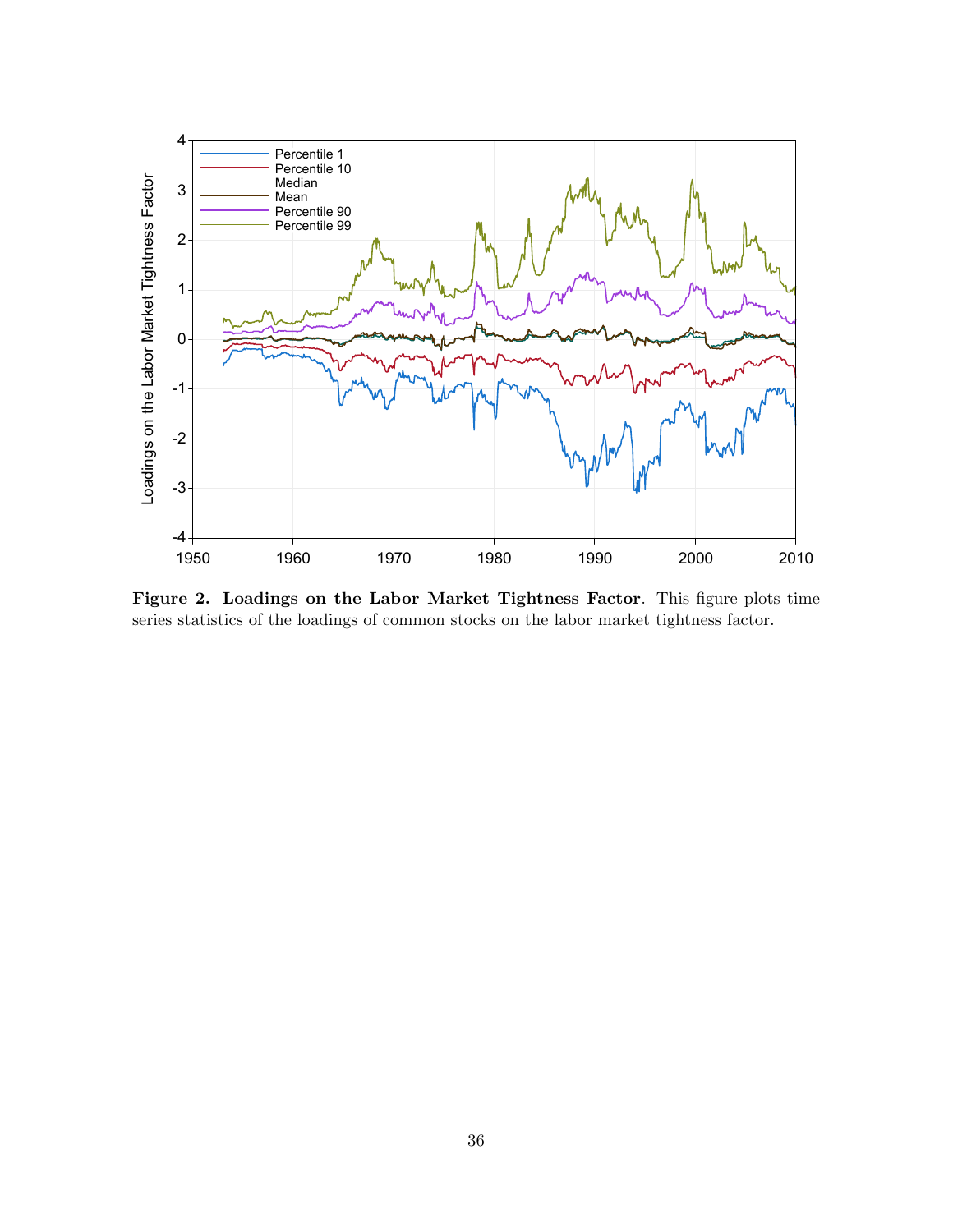

Figure 2. Loadings on the Labor Market Tightness Factor. This figure plots time series statistics of the loadings of common stocks on the labor market tightness factor.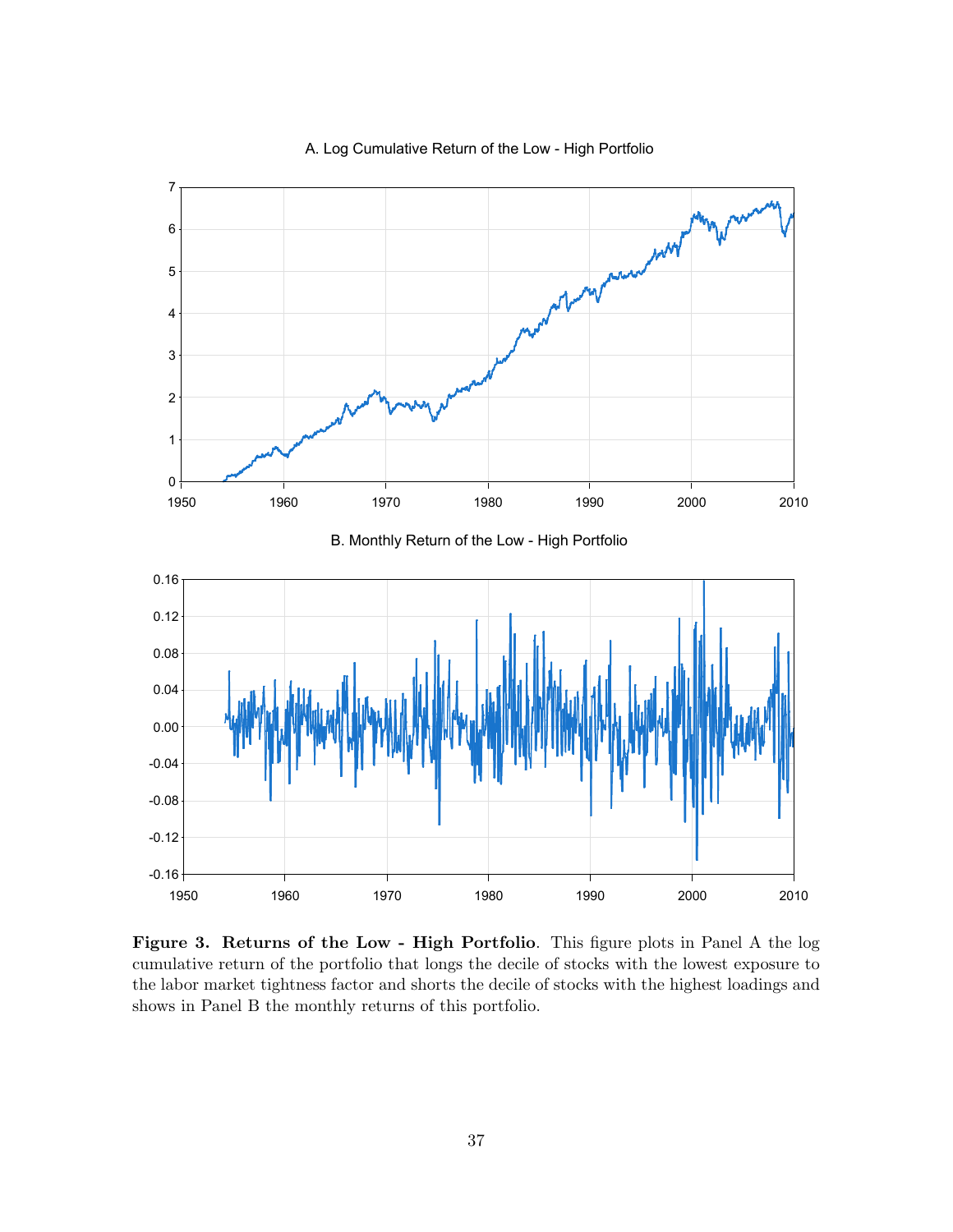

#### A. Log Cumulative Return of the Low - High Portfolio

Figure 3. Returns of the Low - High Portfolio. This figure plots in Panel A the log cumulative return of the portfolio that longs the decile of stocks with the lowest exposure to the labor market tightness factor and shorts the decile of stocks with the highest loadings and shows in Panel B the monthly returns of this portfolio.

1950 1960 1970 1980 1990 2000 2010

 $-0.16 +$ 

-0.12

-0.08

-0.04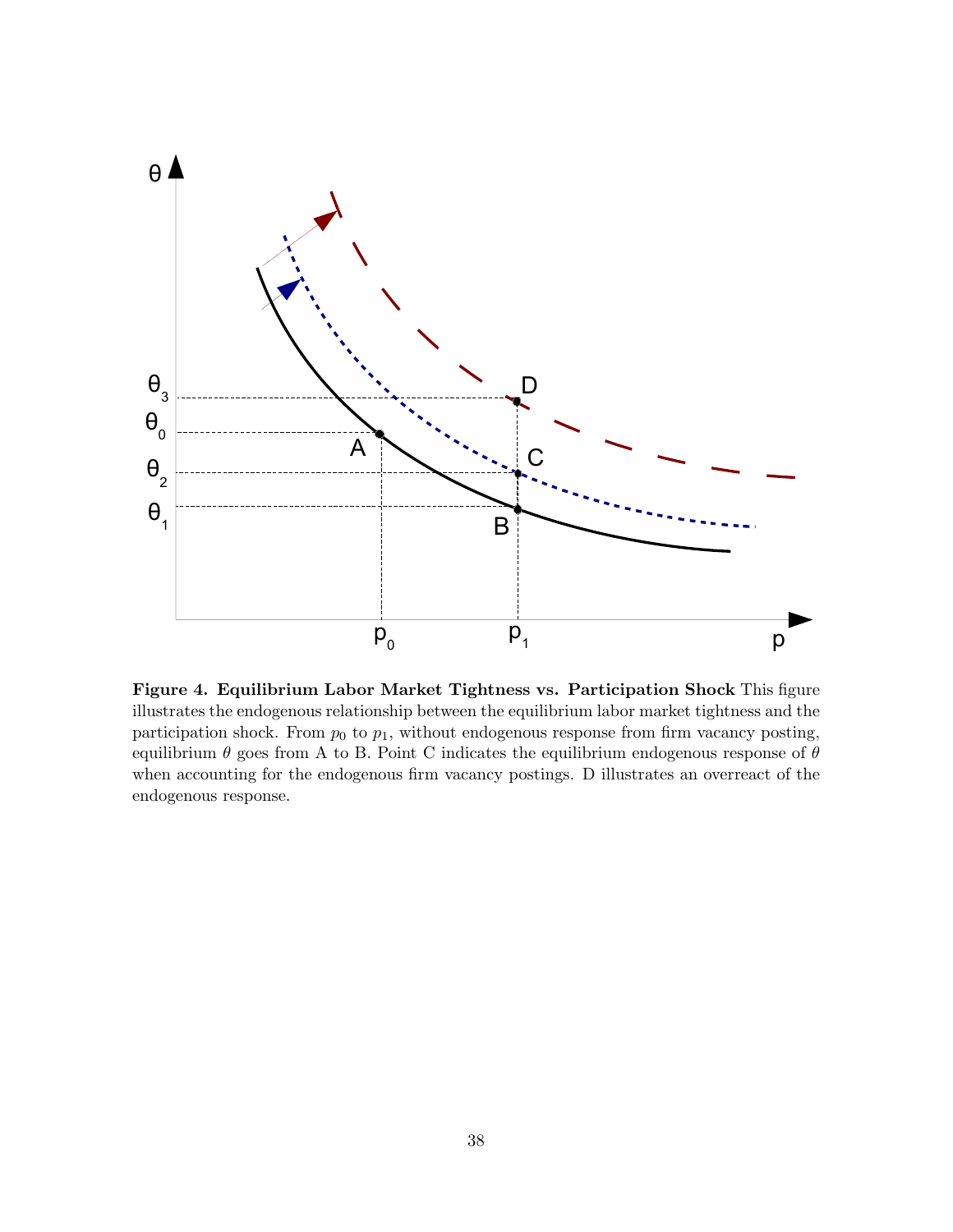

Figure 4. Equilibrium Labor Market Tightness vs. Participation Shock This figure illustrates the endogenous relationship between the equilibrium labor market tightness and the participation shock. From  $p_0$  to  $p_1$ , without endogenous response from firm vacancy posting, equilibrium  $\theta$  goes from A to B. Point C indicates the equilibrium endogenous response of  $\theta$ when accounting for the endogenous firm vacancy postings. D illustrates an overreact of the endogenous response.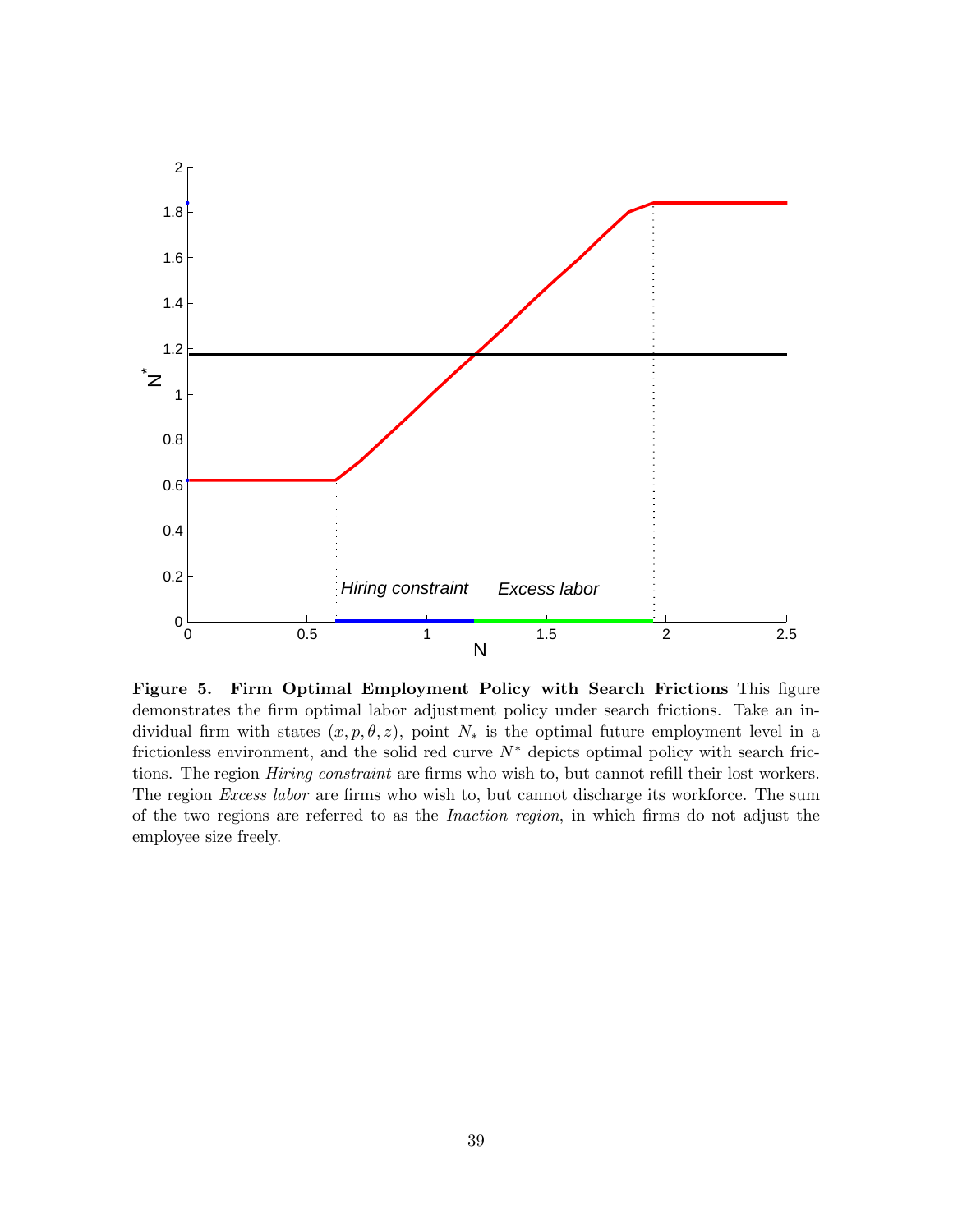

Figure 5. Firm Optimal Employment Policy with Search Frictions This figure demonstrates the firm optimal labor adjustment policy under search frictions. Take an individual firm with states  $(x, p, \theta, z)$ , point  $N_*$  is the optimal future employment level in a frictionless environment, and the solid red curve  $N^*$  depicts optimal policy with search frictions. The region *Hiring constraint* are firms who wish to, but cannot refill their lost workers. The region *Excess labor* are firms who wish to, but cannot discharge its workforce. The sum of the two regions are referred to as the Inaction region, in which firms do not adjust the employee size freely.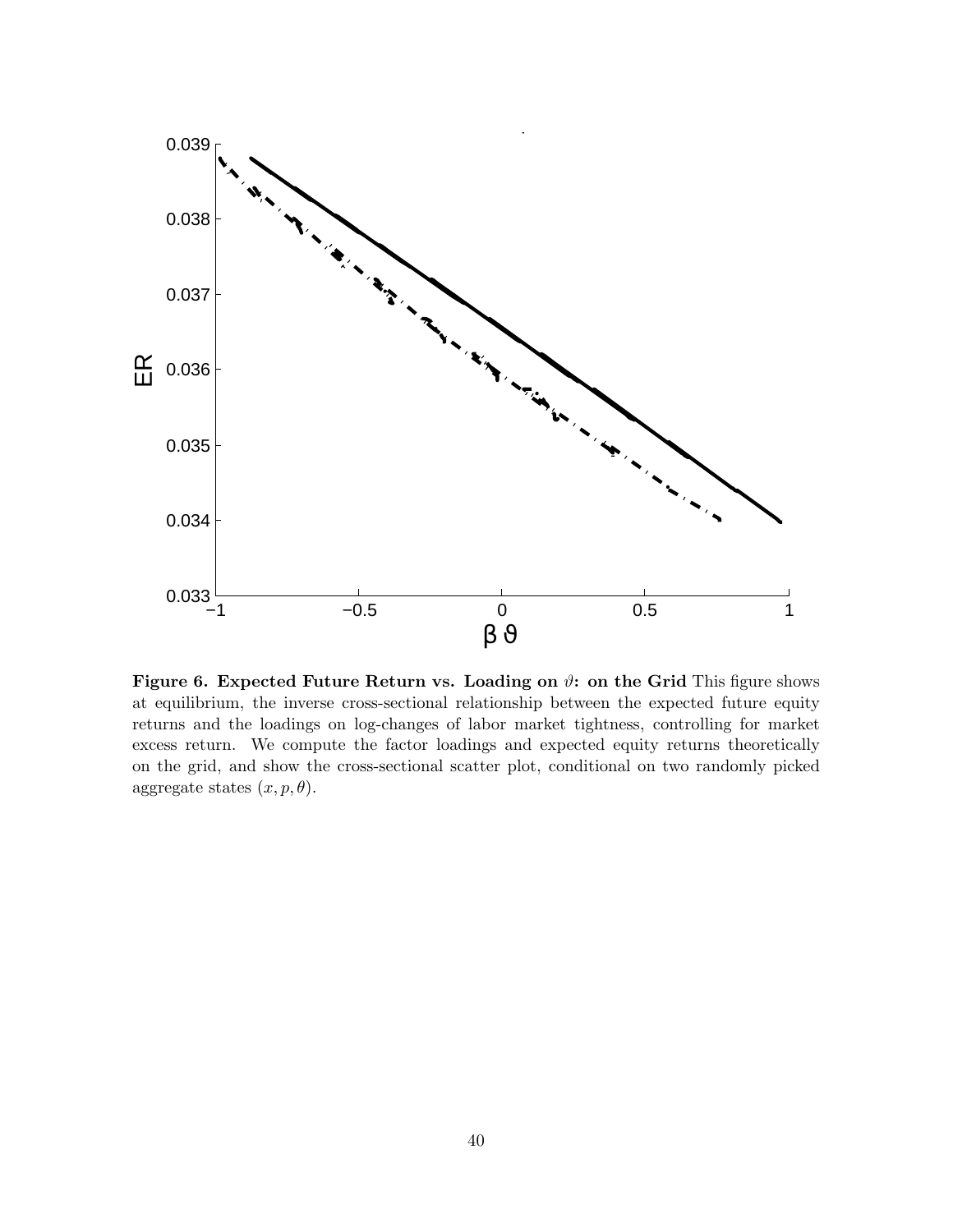

Figure 6. Expected Future Return vs. Loading on  $\vartheta$ : on the Grid This figure shows at equilibrium, the inverse cross-sectional relationship between the expected future equity returns and the loadings on log-changes of labor market tightness, controlling for market excess return. We compute the factor loadings and expected equity returns theoretically on the grid, and show the cross-sectional scatter plot, conditional on two randomly picked aggregate states  $(x, p, \theta)$ .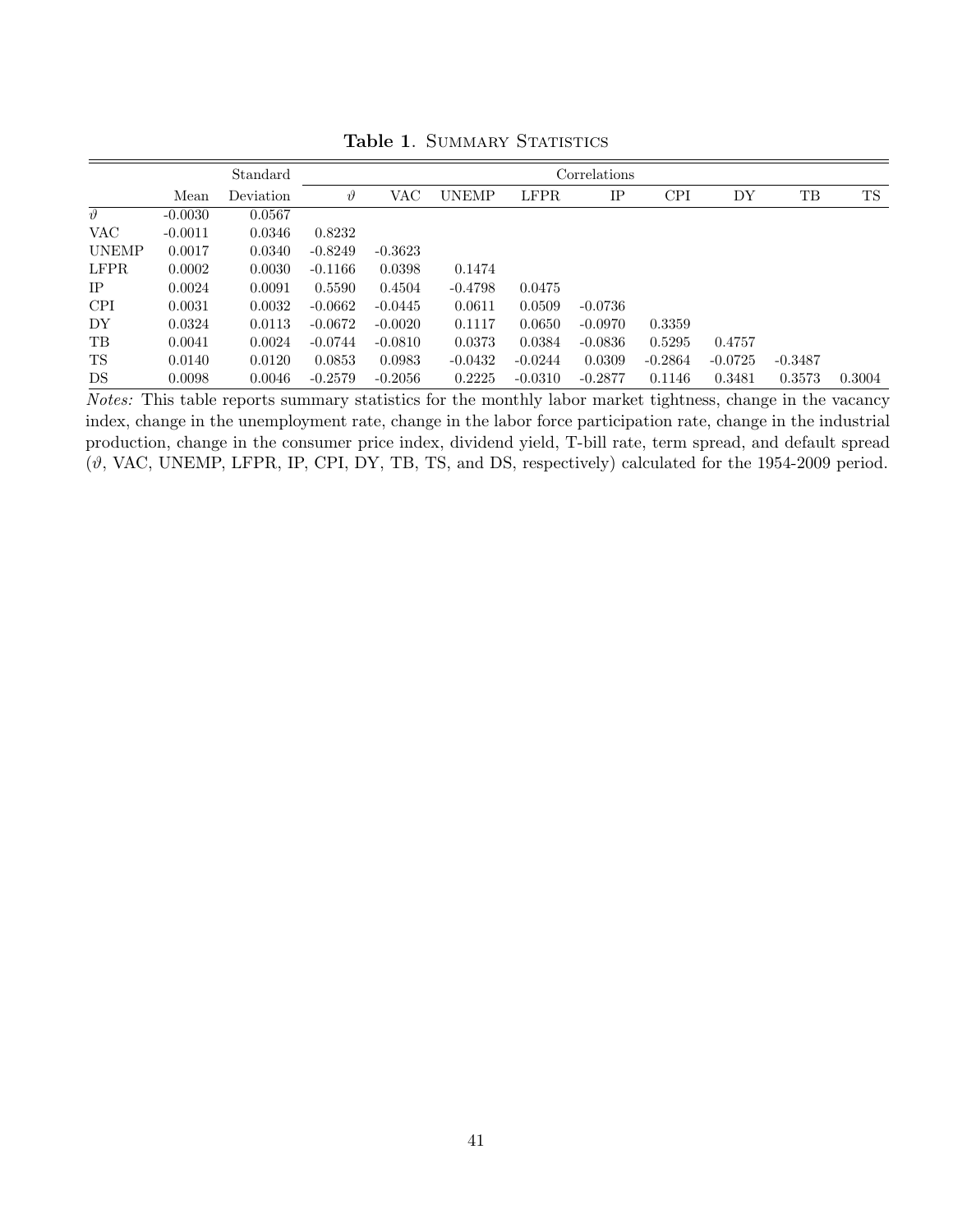|              |           | Standard  |             | Correlations |              |             |           |            |           |           |        |
|--------------|-----------|-----------|-------------|--------------|--------------|-------------|-----------|------------|-----------|-----------|--------|
|              | Mean      | Deviation | $\vartheta$ | VAC          | <b>UNEMP</b> | <b>LFPR</b> | IP        | <b>CPI</b> | DY        | TB        | TS     |
| $\eta^0$     | $-0.0030$ | 0.0567    |             |              |              |             |           |            |           |           |        |
| VAC          | $-0.0011$ | 0.0346    | 0.8232      |              |              |             |           |            |           |           |        |
| <b>UNEMP</b> | 0.0017    | 0.0340    | $-0.8249$   | $-0.3623$    |              |             |           |            |           |           |        |
| <b>LFPR</b>  | 0.0002    | 0.0030    | $-0.1166$   | 0.0398       | 0.1474       |             |           |            |           |           |        |
| IP           | 0.0024    | 0.0091    | 0.5590      | 0.4504       | $-0.4798$    | 0.0475      |           |            |           |           |        |
| <b>CPI</b>   | 0.0031    | 0.0032    | $-0.0662$   | $-0.0445$    | 0.0611       | 0.0509      | $-0.0736$ |            |           |           |        |
| DY           | 0.0324    | 0.0113    | $-0.0672$   | $-0.0020$    | 0.1117       | 0.0650      | $-0.0970$ | 0.3359     |           |           |        |
| TB           | 0.0041    | 0.0024    | $-0.0744$   | $-0.0810$    | 0.0373       | 0.0384      | $-0.0836$ | 0.5295     | 0.4757    |           |        |
| TS           | 0.0140    | 0.0120    | 0.0853      | 0.0983       | $-0.0432$    | $-0.0244$   | 0.0309    | $-0.2864$  | $-0.0725$ | $-0.3487$ |        |
| DS           | 0.0098    | 0.0046    | $-0.2579$   | $-0.2056$    | 0.2225       | $-0.0310$   | $-0.2877$ | 0.1146     | 0.3481    | 0.3573    | 0.3004 |

Table 1. SUMMARY STATISTICS

Notes: This table reports summary statistics for the monthly labor market tightness, change in the vacancy index, change in the unemployment rate, change in the labor force participation rate, change in the industrial production, change in the consumer price index, dividend yield, T-bill rate, term spread, and default spread (ϑ, VAC, UNEMP, LFPR, IP, CPI, DY, TB, TS, and DS, respectively) calculated for the 1954-2009 period.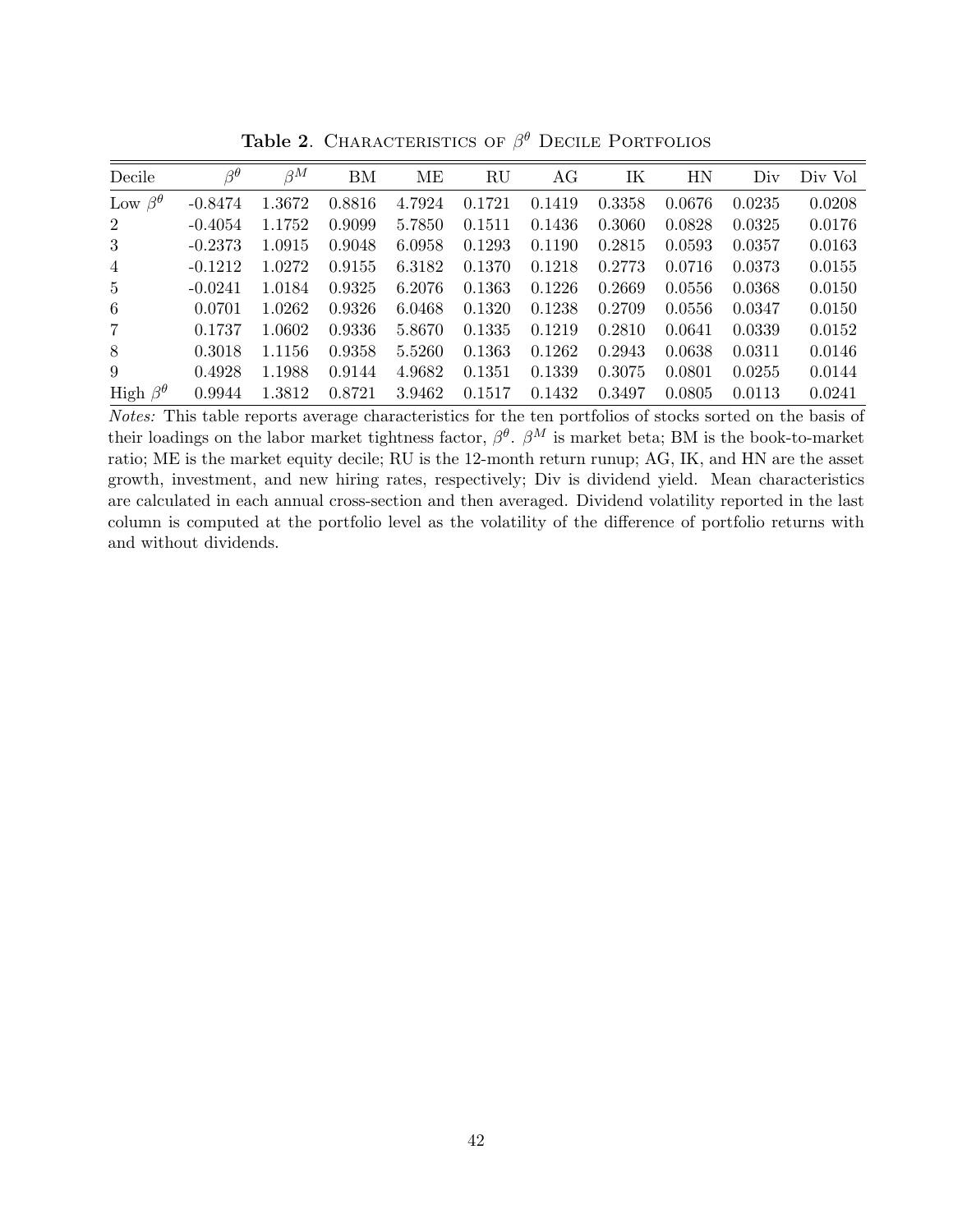| Decile                | $\beta^{\theta}$ | $\beta^M$ | BM     | ME     | RU     | AG     | IK     | HN     | Div    | Div Vol |
|-----------------------|------------------|-----------|--------|--------|--------|--------|--------|--------|--------|---------|
| Low $\beta^{\theta}$  | $-0.8474$        | 1.3672    | 0.8816 | 4.7924 | 0.1721 | 0.1419 | 0.3358 | 0.0676 | 0.0235 | 0.0208  |
| $\overline{2}$        | $-0.4054$        | 1.1752    | 0.9099 | 5.7850 | 0.1511 | 0.1436 | 0.3060 | 0.0828 | 0.0325 | 0.0176  |
| 3                     | $-0.2373$        | 1.0915    | 0.9048 | 6.0958 | 0.1293 | 0.1190 | 0.2815 | 0.0593 | 0.0357 | 0.0163  |
| $\overline{4}$        | $-0.1212$        | 1.0272    | 0.9155 | 6.3182 | 0.1370 | 0.1218 | 0.2773 | 0.0716 | 0.0373 | 0.0155  |
| $5^{\circ}$           | $-0.0241$        | 1.0184    | 0.9325 | 6.2076 | 0.1363 | 0.1226 | 0.2669 | 0.0556 | 0.0368 | 0.0150  |
| 6                     | 0.0701           | 1.0262    | 0.9326 | 6.0468 | 0.1320 | 0.1238 | 0.2709 | 0.0556 | 0.0347 | 0.0150  |
| $\overline{7}$        | 0.1737           | 1.0602    | 0.9336 | 5.8670 | 0.1335 | 0.1219 | 0.2810 | 0.0641 | 0.0339 | 0.0152  |
| 8                     | 0.3018           | 1.1156    | 0.9358 | 5.5260 | 0.1363 | 0.1262 | 0.2943 | 0.0638 | 0.0311 | 0.0146  |
| 9                     | 0.4928           | 1.1988    | 0.9144 | 4.9682 | 0.1351 | 0.1339 | 0.3075 | 0.0801 | 0.0255 | 0.0144  |
| High $\beta^{\theta}$ | 0.9944           | 1.3812    | 0.8721 | 3.9462 | 0.1517 | 0.1432 | 0.3497 | 0.0805 | 0.0113 | 0.0241  |

Table 2. CHARACTERISTICS OF  $\beta^{\theta}$  Decile Portfolios

Notes: This table reports average characteristics for the ten portfolios of stocks sorted on the basis of their loadings on the labor market tightness factor,  $\beta^{\theta}$ .  $\beta^{M}$  is market beta; BM is the book-to-market ratio; ME is the market equity decile; RU is the 12-month return runup; AG, IK, and HN are the asset growth, investment, and new hiring rates, respectively; Div is dividend yield. Mean characteristics are calculated in each annual cross-section and then averaged. Dividend volatility reported in the last column is computed at the portfolio level as the volatility of the difference of portfolio returns with and without dividends.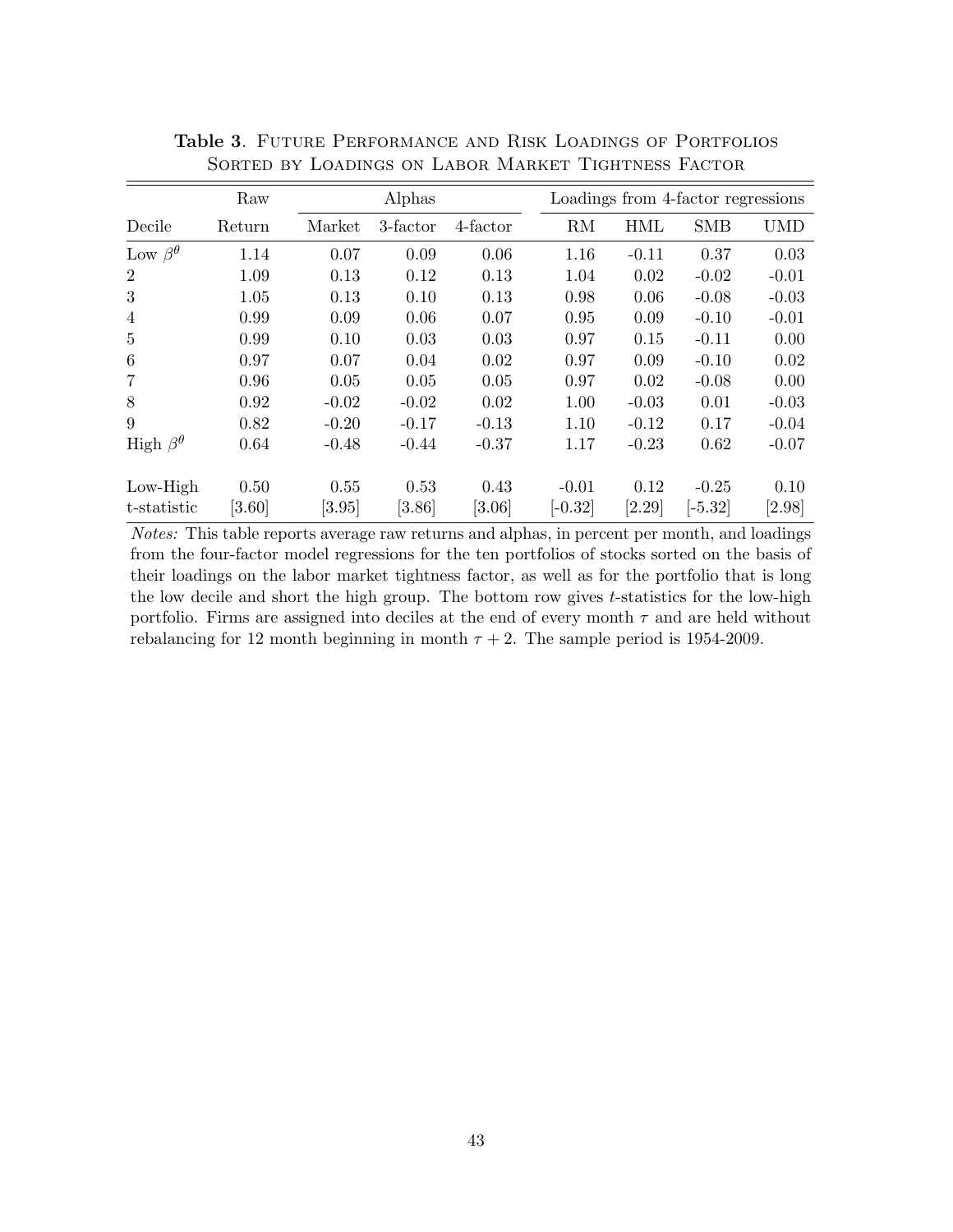|                       | Raw    |         | Alphas   |          | Loadings from 4-factor regressions |         |            |            |
|-----------------------|--------|---------|----------|----------|------------------------------------|---------|------------|------------|
| Decile                | Return | Market  | 3-factor | 4-factor | RM                                 | HML     | <b>SMB</b> | <b>UMD</b> |
| Low $\beta^{\theta}$  | 1.14   | 0.07    | 0.09     | 0.06     | 1.16                               | $-0.11$ | 0.37       | 0.03       |
| $\overline{2}$        | 1.09   | 0.13    | 0.12     | 0.13     | 1.04                               | 0.02    | $-0.02$    | $-0.01$    |
| 3                     | 1.05   | 0.13    | 0.10     | 0.13     | 0.98                               | 0.06    | $-0.08$    | $-0.03$    |
| $\overline{4}$        | 0.99   | 0.09    | 0.06     | 0.07     | 0.95                               | 0.09    | $-0.10$    | $-0.01$    |
| 5                     | 0.99   | 0.10    | 0.03     | 0.03     | 0.97                               | 0.15    | $-0.11$    | 0.00       |
| 6                     | 0.97   | 0.07    | 0.04     | 0.02     | 0.97                               | 0.09    | $-0.10$    | 0.02       |
| 7                     | 0.96   | 0.05    | 0.05     | 0.05     | 0.97                               | 0.02    | $-0.08$    | 0.00       |
| 8                     | 0.92   | $-0.02$ | $-0.02$  | 0.02     | 1.00                               | $-0.03$ | 0.01       | $-0.03$    |
| 9                     | 0.82   | $-0.20$ | $-0.17$  | $-0.13$  | 1.10                               | $-0.12$ | 0.17       | $-0.04$    |
| High $\beta^{\theta}$ | 0.64   | $-0.48$ | $-0.44$  | $-0.37$  | 1.17                               | $-0.23$ | 0.62       | $-0.07$    |
| $Low-High$            | 0.50   | 0.55    | 0.53     | 0.43     | $-0.01$                            | 0.12    | $-0.25$    | 0.10       |
| t-statistic           | [3.60] | [3.95]  | [3.86]   | [3.06]   | $[-0.32]$                          | [2.29]  | $[-5.32]$  | [2.98]     |

Table 3. Future Performance and Risk Loadings of Portfolios Sorted by Loadings on Labor Market Tightness Factor

Notes: This table reports average raw returns and alphas, in percent per month, and loadings from the four-factor model regressions for the ten portfolios of stocks sorted on the basis of their loadings on the labor market tightness factor, as well as for the portfolio that is long the low decile and short the high group. The bottom row gives  $t$ -statistics for the low-high portfolio. Firms are assigned into deciles at the end of every month  $\tau$  and are held without rebalancing for 12 month beginning in month  $\tau + 2$ . The sample period is 1954-2009.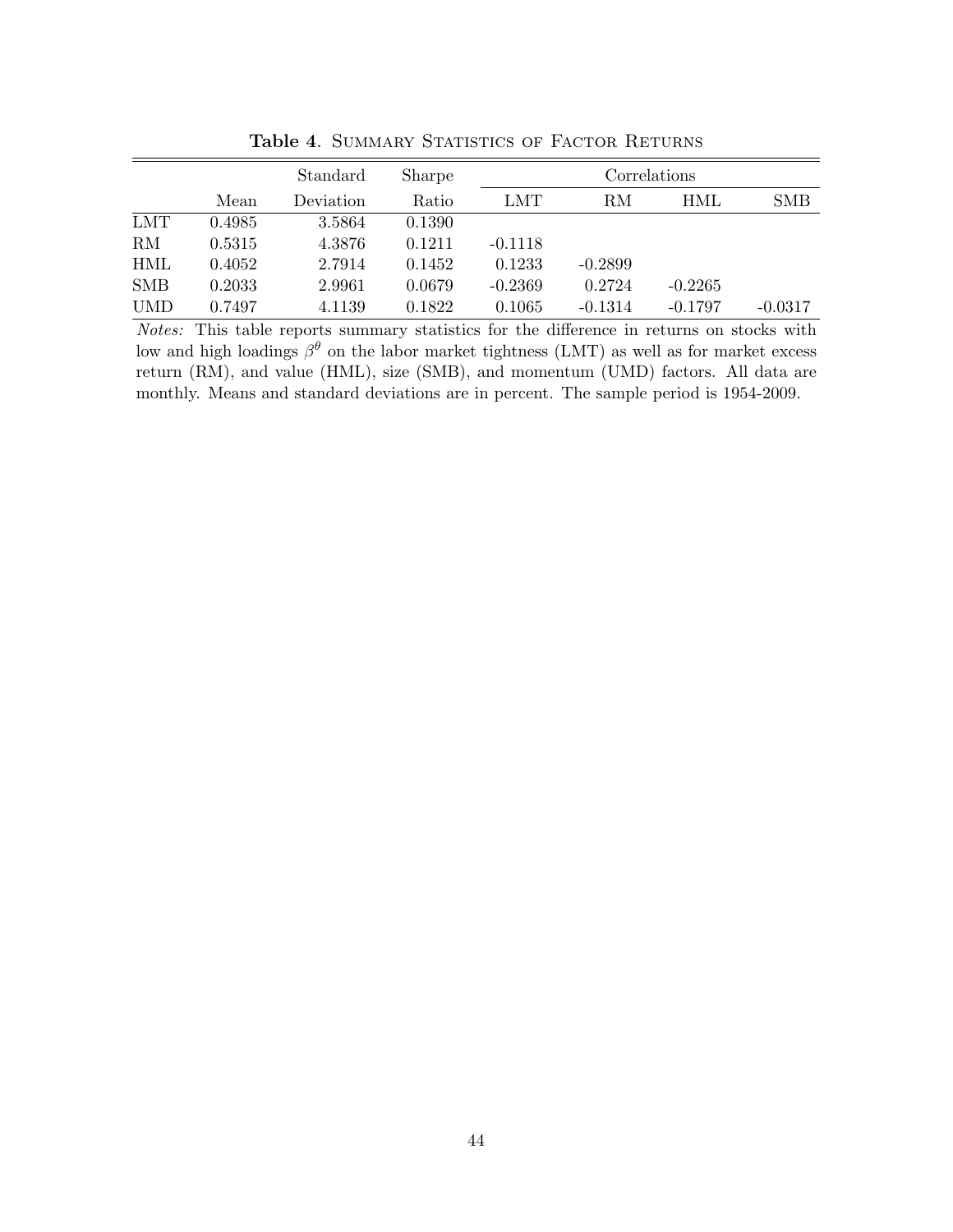|            |        | Standard  | Sharpe | Correlations |           |           |            |  |
|------------|--------|-----------|--------|--------------|-----------|-----------|------------|--|
|            | Mean   | Deviation | Ratio  | LMT          | RM        | HML       | <b>SMB</b> |  |
| <b>LMT</b> | 0.4985 | 3.5864    | 0.1390 |              |           |           |            |  |
| RM         | 0.5315 | 4.3876    | 0.1211 | $-0.1118$    |           |           |            |  |
| <b>HML</b> | 0.4052 | 2.7914    | 0.1452 | 0.1233       | $-0.2899$ |           |            |  |
| <b>SMB</b> | 0.2033 | 2.9961    | 0.0679 | $-0.2369$    | 0.2724    | $-0.2265$ |            |  |
| <b>UMD</b> | 0.7497 | 4.1139    | 0.1822 | 0.1065       | $-0.1314$ | $-0.1797$ | $-0.0317$  |  |

Table 4. SUMMARY STATISTICS OF FACTOR RETURNS

Notes: This table reports summary statistics for the difference in returns on stocks with low and high loadings  $\beta^{\theta}$  on the labor market tightness (LMT) as well as for market excess return (RM), and value (HML), size (SMB), and momentum (UMD) factors. All data are monthly. Means and standard deviations are in percent. The sample period is 1954-2009.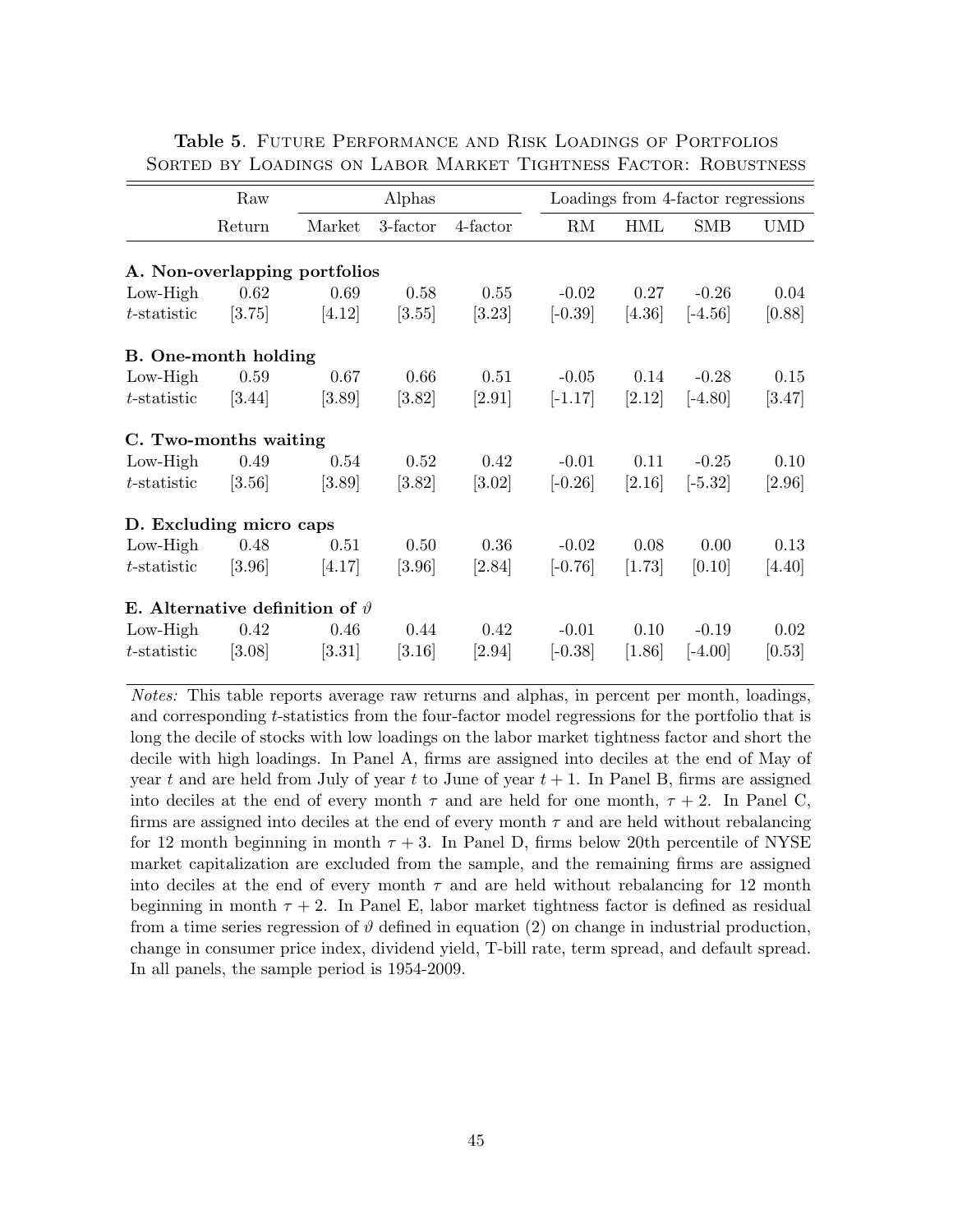|                                          | Raw                 |        | Alphas   |                     |           | Loadings from 4-factor regressions |            |            |  |  |  |
|------------------------------------------|---------------------|--------|----------|---------------------|-----------|------------------------------------|------------|------------|--|--|--|
|                                          | Return              | Market | 3-factor | 4-factor            | RM        | <b>HML</b>                         | <b>SMB</b> | <b>UMD</b> |  |  |  |
| A. Non-overlapping portfolios            |                     |        |          |                     |           |                                    |            |            |  |  |  |
| $Low-High$                               | 0.62                | 0.69   | 0.58     | 0.55                | $-0.02$   | 0.27                               | $-0.26$    | 0.04       |  |  |  |
| $t$ -statistic                           | [3.75]              | [4.12] | [3.55]   | $[3.23]$            | $[-0.39]$ | [4.36]                             | $[-4.56]$  | [0.88]     |  |  |  |
| <b>B.</b> One-month holding              |                     |        |          |                     |           |                                    |            |            |  |  |  |
| $Low-High$                               | 0.59                | 0.67   | 0.66     | 0.51                | $-0.05$   | 0.14                               | $-0.28$    | 0.15       |  |  |  |
| $t$ -statistic                           | $\left[3.44\right]$ | [3.89] | $[3.82]$ | [2.91]              | $[-1.17]$ | [2.12]                             | $[-4.80]$  | [3.47]     |  |  |  |
| C. Two-months waiting                    |                     |        |          |                     |           |                                    |            |            |  |  |  |
| $Low-High$                               | 0.49                | 0.54   | 0.52     | 0.42                | $-0.01$   | 0.11                               | $-0.25$    | 0.10       |  |  |  |
| $t$ -statistic                           | [3.56]              | [3.89] | $[3.82]$ | $\left[3.02\right]$ | $[-0.26]$ | [2.16]                             | $[-5.32]$  | [2.96]     |  |  |  |
| D. Excluding micro caps                  |                     |        |          |                     |           |                                    |            |            |  |  |  |
| $Low-High$                               | 0.48                | 0.51   | 0.50     | 0.36                | $-0.02$   | 0.08                               | 0.00       | 0.13       |  |  |  |
| $t$ -statistic                           | [3.96]              | [4.17] | $[3.96]$ | [2.84]              | $[-0.76]$ | [1.73]                             | [0.10]     | [4.40]     |  |  |  |
| E. Alternative definition of $\vartheta$ |                     |        |          |                     |           |                                    |            |            |  |  |  |
| $Low-High$                               | 0.42                | 0.46   | 0.44     | 0.42                | $-0.01$   | 0.10                               | $-0.19$    | 0.02       |  |  |  |
| $t$ -statistic                           | [3.08]              | [3.31] | [3.16]   | [2.94]              | $[-0.38]$ | [1.86]                             | $[-4.00]$  | [0.53]     |  |  |  |

Table 5. Future Performance and Risk Loadings of Portfolios Sorted by Loadings on Labor Market Tightness Factor: Robustness

Notes: This table reports average raw returns and alphas, in percent per month, loadings, and corresponding t-statistics from the four-factor model regressions for the portfolio that is long the decile of stocks with low loadings on the labor market tightness factor and short the decile with high loadings. In Panel A, firms are assigned into deciles at the end of May of year t and are held from July of year t to June of year  $t + 1$ . In Panel B, firms are assigned into deciles at the end of every month  $\tau$  and are held for one month,  $\tau + 2$ . In Panel C, firms are assigned into deciles at the end of every month  $\tau$  and are held without rebalancing for 12 month beginning in month  $\tau$  + 3. In Panel D, firms below 20th percentile of NYSE market capitalization are excluded from the sample, and the remaining firms are assigned into deciles at the end of every month  $\tau$  and are held without rebalancing for 12 month beginning in month  $\tau + 2$ . In Panel E, labor market tightness factor is defined as residual from a time series regression of  $\vartheta$  defined in equation (2) on change in industrial production, change in consumer price index, dividend yield, T-bill rate, term spread, and default spread. In all panels, the sample period is 1954-2009.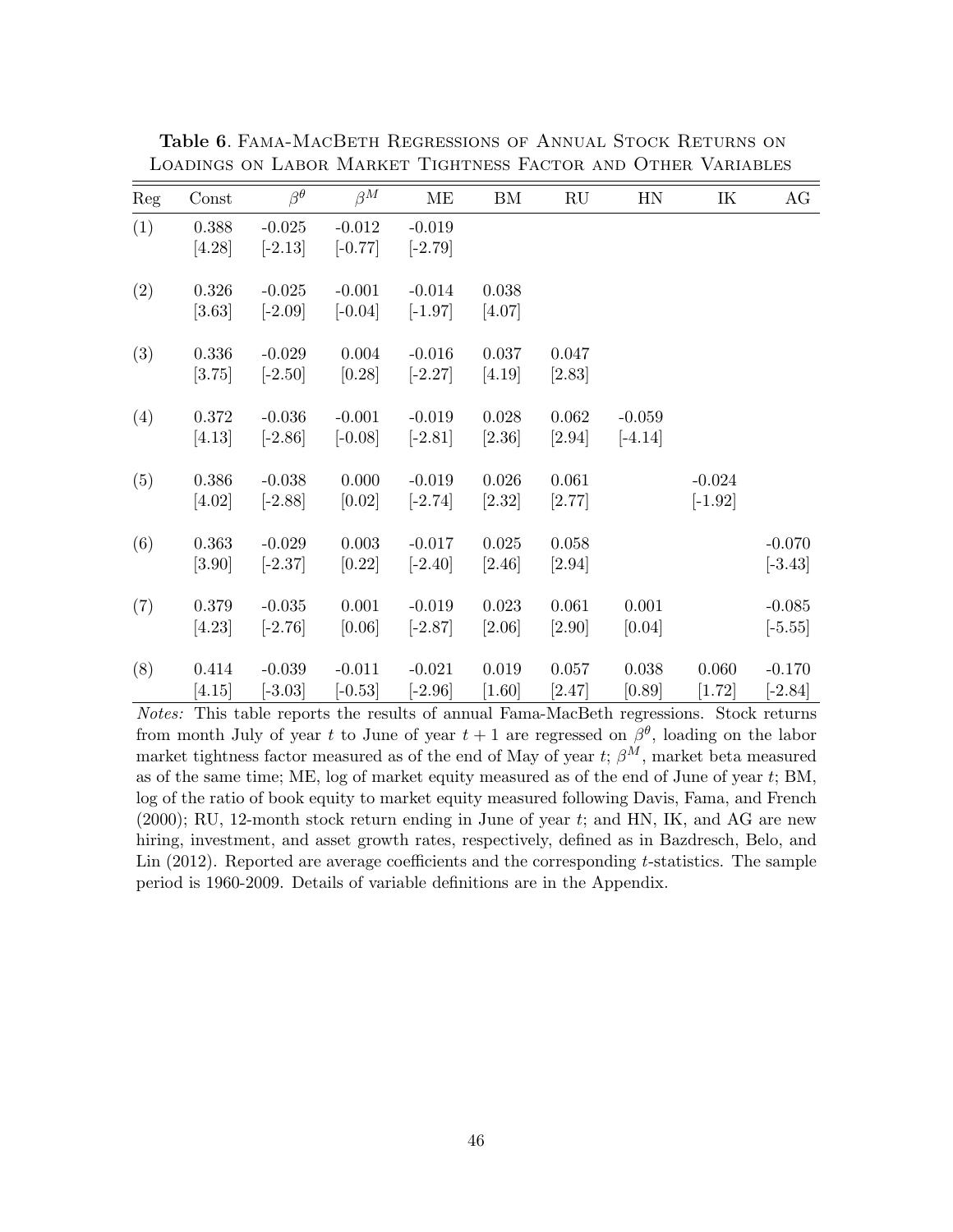| Reg | Const               | $\beta^{\theta}$      | $\beta^M$             | ME                    | BM                    | RU                | HN                    | IK                    | AG                    |
|-----|---------------------|-----------------------|-----------------------|-----------------------|-----------------------|-------------------|-----------------------|-----------------------|-----------------------|
| (1) | $0.388\,$<br>[4.28] | $-0.025$<br>$[-2.13]$ | $-0.012$<br>$[-0.77]$ | $-0.019$<br>$[-2.79]$ |                       |                   |                       |                       |                       |
| (2) | 0.326<br>$[3.63]$   | $-0.025$<br>$[-2.09]$ | $-0.001$<br>$[-0.04]$ | $-0.014$<br>$[-1.97]$ | 0.038<br>[4.07]       |                   |                       |                       |                       |
| (3) | 0.336<br>[3.75]     | $-0.029$<br>$[-2.50]$ | 0.004<br>[0.28]       | $-0.016$<br>$[-2.27]$ | 0.037<br>[4.19]       | 0.047<br>$[2.83]$ |                       |                       |                       |
| (4) | 0.372<br>[4.13]     | $-0.036$<br>$[-2.86]$ | $-0.001$<br>$[-0.08]$ | $-0.019$<br>$[-2.81]$ | 0.028<br>$[2.36]$     | 0.062<br>$[2.94]$ | $-0.059$<br>$[-4.14]$ |                       |                       |
| (5) | 0.386<br>[4.02]     | $-0.038$<br>$[-2.88]$ | 0.000<br>[0.02]       | $-0.019$<br>$[-2.74]$ | $0.026\,$<br>$[2.32]$ | 0.061<br>[2.77]   |                       | $-0.024$<br>$[-1.92]$ |                       |
| (6) | 0.363<br>$[3.90]$   | $-0.029$<br>$[-2.37]$ | 0.003<br>[0.22]       | $-0.017$<br>$[-2.40]$ | $0.025\,$<br>$[2.46]$ | 0.058<br>[2.94]   |                       |                       | $-0.070$<br>$[-3.43]$ |
| (7) | 0.379<br>$[4.23]$   | $-0.035$<br>$[-2.76]$ | 0.001<br>[0.06]       | $-0.019$<br>$[-2.87]$ | 0.023<br>$[2.06]$     | 0.061<br>$[2.90]$ | 0.001<br>[0.04]       |                       | $-0.085$<br>$[-5.55]$ |
| (8) | 0.414<br>[4.15]     | $-0.039$<br>$[-3.03]$ | $-0.011$<br>$[-0.53]$ | $-0.021$<br>$[-2.96]$ | 0.019<br>[1.60]       | 0.057<br>[2.47]   | 0.038<br>[0.89]       | 0.060<br>$[1.72]$     | $-0.170$<br>$[-2.84]$ |

Table 6. Fama-MacBeth Regressions of Annual Stock Returns on Loadings on Labor Market Tightness Factor and Other Variables

Notes: This table reports the results of annual Fama-MacBeth regressions. Stock returns from month July of year t to June of year  $t + 1$  are regressed on  $\beta^{\theta}$ , loading on the labor market tightness factor measured as of the end of May of year  $t$ ;  $\beta^{M}$ , market beta measured as of the same time; ME, log of market equity measured as of the end of June of year t; BM, log of the ratio of book equity to market equity measured following Davis, Fama, and French (2000); RU, 12-month stock return ending in June of year t; and HN, IK, and AG are new hiring, investment, and asset growth rates, respectively, defined as in Bazdresch, Belo, and Lin  $(2012)$ . Reported are average coefficients and the corresponding t-statistics. The sample period is 1960-2009. Details of variable definitions are in the Appendix.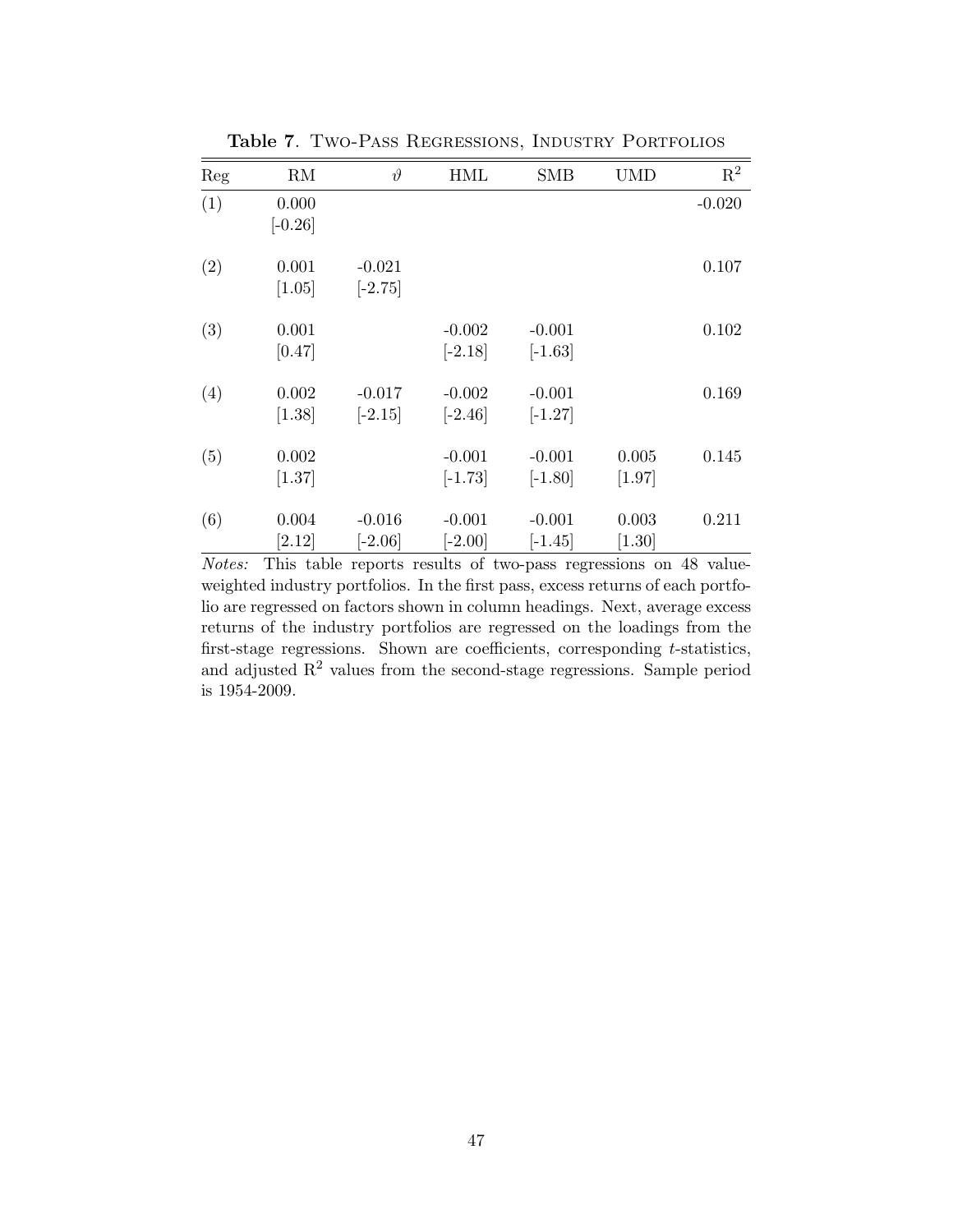| Reg | RM                 | $\vartheta$           | <b>HML</b>            | <b>SMB</b>            | <b>UMD</b>        | $\mathbf{R}^2$ |
|-----|--------------------|-----------------------|-----------------------|-----------------------|-------------------|----------------|
| (1) | 0.000<br>$[-0.26]$ |                       |                       |                       |                   | $-0.020$       |
| (2) | 0.001<br>[1.05]    | $-0.021$<br>$[-2.75]$ |                       |                       |                   | 0.107          |
| (3) | 0.001<br>[0.47]    |                       | $-0.002$<br>$[-2.18]$ | $-0.001$<br>$[-1.63]$ |                   | 0.102          |
| (4) | 0.002<br>$[1.38]$  | $-0.017$<br>$[-2.15]$ | $-0.002$<br>$[-2.46]$ | $-0.001$<br>$[-1.27]$ |                   | 0.169          |
| (5) | 0.002<br>$[1.37]$  |                       | $-0.001$<br>$[-1.73]$ | $-0.001$<br>$[-1.80]$ | 0.005<br>$[1.97]$ | 0.145          |
| (6) | 0.004<br>[2.12]    | $-0.016$<br>$[-2.06]$ | $-0.001$<br>$[-2.00]$ | $-0.001$<br>$[-1.45]$ | 0.003<br>$[1.30]$ | 0.211          |

Table 7. Two-Pass Regressions, Industry Portfolios

Notes: This table reports results of two-pass regressions on 48 valueweighted industry portfolios. In the first pass, excess returns of each portfolio are regressed on factors shown in column headings. Next, average excess returns of the industry portfolios are regressed on the loadings from the first-stage regressions. Shown are coefficients, corresponding  $t$ -statistics, and adjusted  $R^2$  values from the second-stage regressions. Sample period is 1954-2009.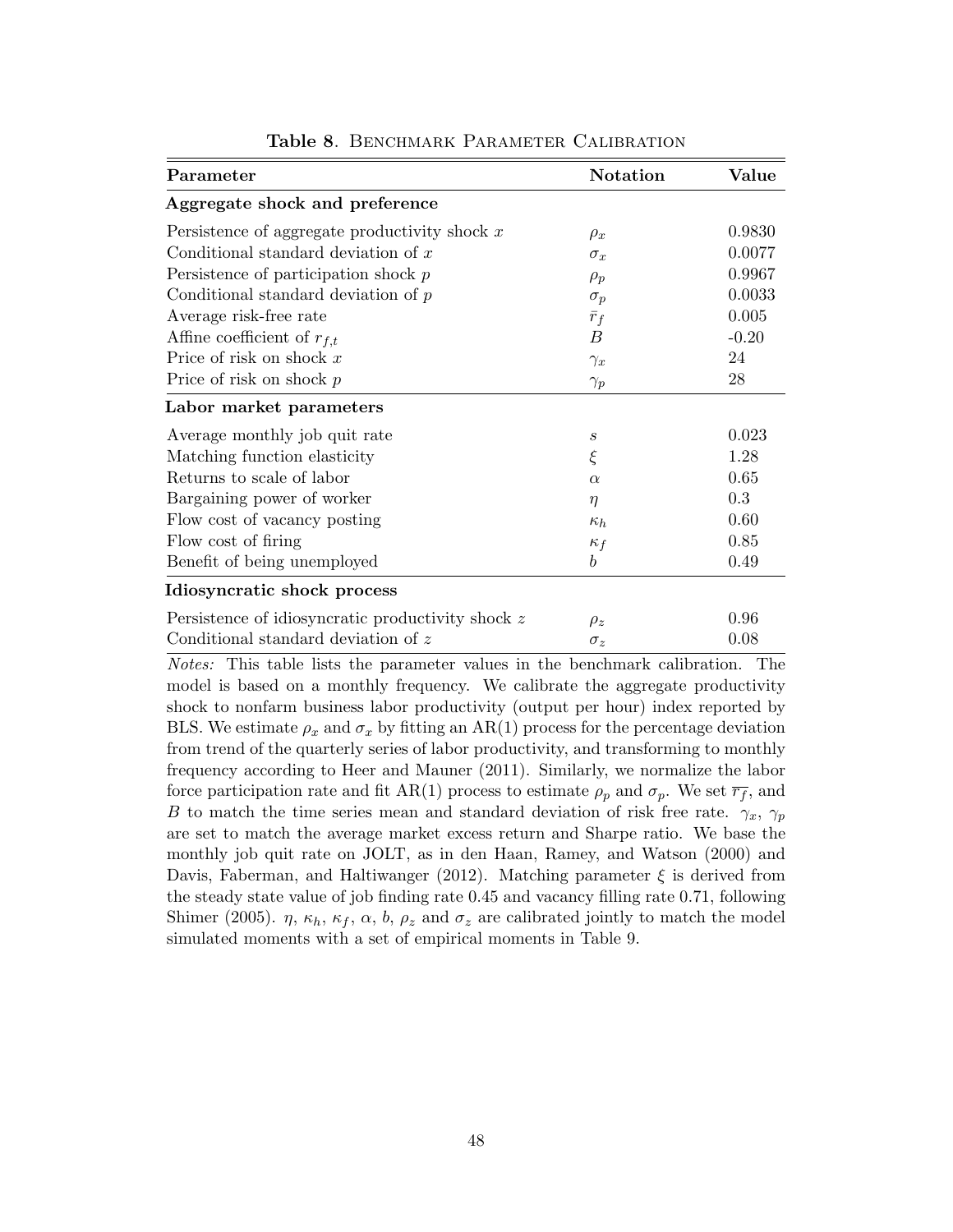| Parameter                                         | <b>Notation</b>  | Value   |
|---------------------------------------------------|------------------|---------|
| Aggregate shock and preference                    |                  |         |
| Persistence of aggregate productivity shock $x$   | $\rho_x$         | 0.9830  |
| Conditional standard deviation of $x$             | $\sigma_x$       | 0.0077  |
| Persistence of participation shock $p$            | $\rho_p$         | 0.9967  |
| Conditional standard deviation of $p$             | $\sigma_p$       | 0.0033  |
| Average risk-free rate                            | $\bar{r}_f$      | 0.005   |
| Affine coefficient of $r_{f,t}$                   | В                | $-0.20$ |
| Price of risk on shock $x$                        | $\gamma_x$       | 24      |
| Price of risk on shock $p$                        | $\gamma_p$       | 28      |
| Labor market parameters                           |                  |         |
| Average monthly job quit rate                     | $\boldsymbol{S}$ | 0.023   |
| Matching function elasticity                      | $\xi$            | 1.28    |
| Returns to scale of labor                         | $\alpha$         | 0.65    |
| Bargaining power of worker                        | $\eta$           | 0.3     |
| Flow cost of vacancy posting                      | $\kappa_h$       | 0.60    |
| Flow cost of firing                               | $\kappa_f$       | 0.85    |
| Benefit of being unemployed                       | $\boldsymbol{b}$ | 0.49    |
| Idiosyncratic shock process                       |                  |         |
| Persistence of idiosyncratic productivity shock z | $\rho_z$         | 0.96    |
| Conditional standard deviation of z               | $\sigma_z$       | 0.08    |

Table 8. BENCHMARK PARAMETER CALIBRATION

Notes: This table lists the parameter values in the benchmark calibration. The model is based on a monthly frequency. We calibrate the aggregate productivity shock to nonfarm business labor productivity (output per hour) index reported by BLS. We estimate  $\rho_x$  and  $\sigma_x$  by fitting an AR(1) process for the percentage deviation from trend of the quarterly series of labor productivity, and transforming to monthly frequency according to Heer and Mauner (2011). Similarly, we normalize the labor force participation rate and fit AR(1) process to estimate  $\rho_p$  and  $\sigma_p$ . We set  $\overline{r_f}$ , and B to match the time series mean and standard deviation of risk free rate.  $\gamma_x$ ,  $\gamma_p$ are set to match the average market excess return and Sharpe ratio. We base the monthly job quit rate on JOLT, as in den Haan, Ramey, and Watson (2000) and Davis, Faberman, and Haltiwanger (2012). Matching parameter  $\xi$  is derived from the steady state value of job finding rate 0.45 and vacancy filling rate 0.71, following Shimer (2005).  $\eta$ ,  $\kappa_h$ ,  $\kappa_f$ ,  $\alpha$ ,  $b$ ,  $\rho_z$  and  $\sigma_z$  are calibrated jointly to match the model simulated moments with a set of empirical moments in Table 9.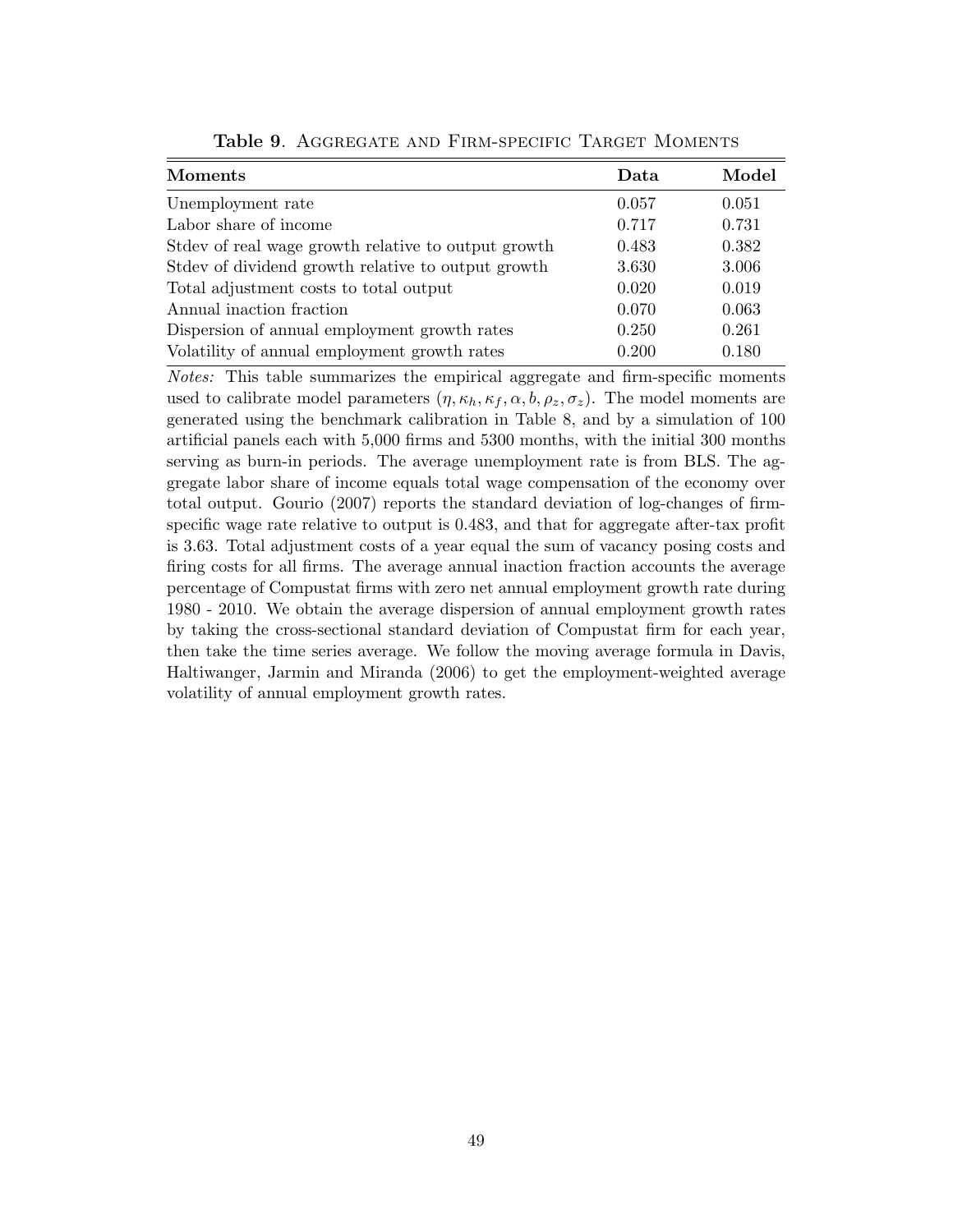| Data  | Model |
|-------|-------|
| 0.057 | 0.051 |
| 0.717 | 0.731 |
| 0.483 | 0.382 |
| 3.630 | 3.006 |
| 0.020 | 0.019 |
| 0.070 | 0.063 |
| 0.250 | 0.261 |
| 0.200 | 0.180 |
|       |       |

Table 9. AGGREGATE AND FIRM-SPECIFIC TARGET MOMENTS

Notes: This table summarizes the empirical aggregate and firm-specific moments used to calibrate model parameters  $(\eta, \kappa_h, \kappa_f, \alpha, b, \rho_z, \sigma_z)$ . The model moments are generated using the benchmark calibration in Table 8, and by a simulation of 100 artificial panels each with 5,000 firms and 5300 months, with the initial 300 months serving as burn-in periods. The average unemployment rate is from BLS. The aggregate labor share of income equals total wage compensation of the economy over total output. Gourio (2007) reports the standard deviation of log-changes of firmspecific wage rate relative to output is 0.483, and that for aggregate after-tax profit is 3.63. Total adjustment costs of a year equal the sum of vacancy posing costs and firing costs for all firms. The average annual inaction fraction accounts the average percentage of Compustat firms with zero net annual employment growth rate during 1980 - 2010. We obtain the average dispersion of annual employment growth rates by taking the cross-sectional standard deviation of Compustat firm for each year, then take the time series average. We follow the moving average formula in Davis, Haltiwanger, Jarmin and Miranda (2006) to get the employment-weighted average volatility of annual employment growth rates.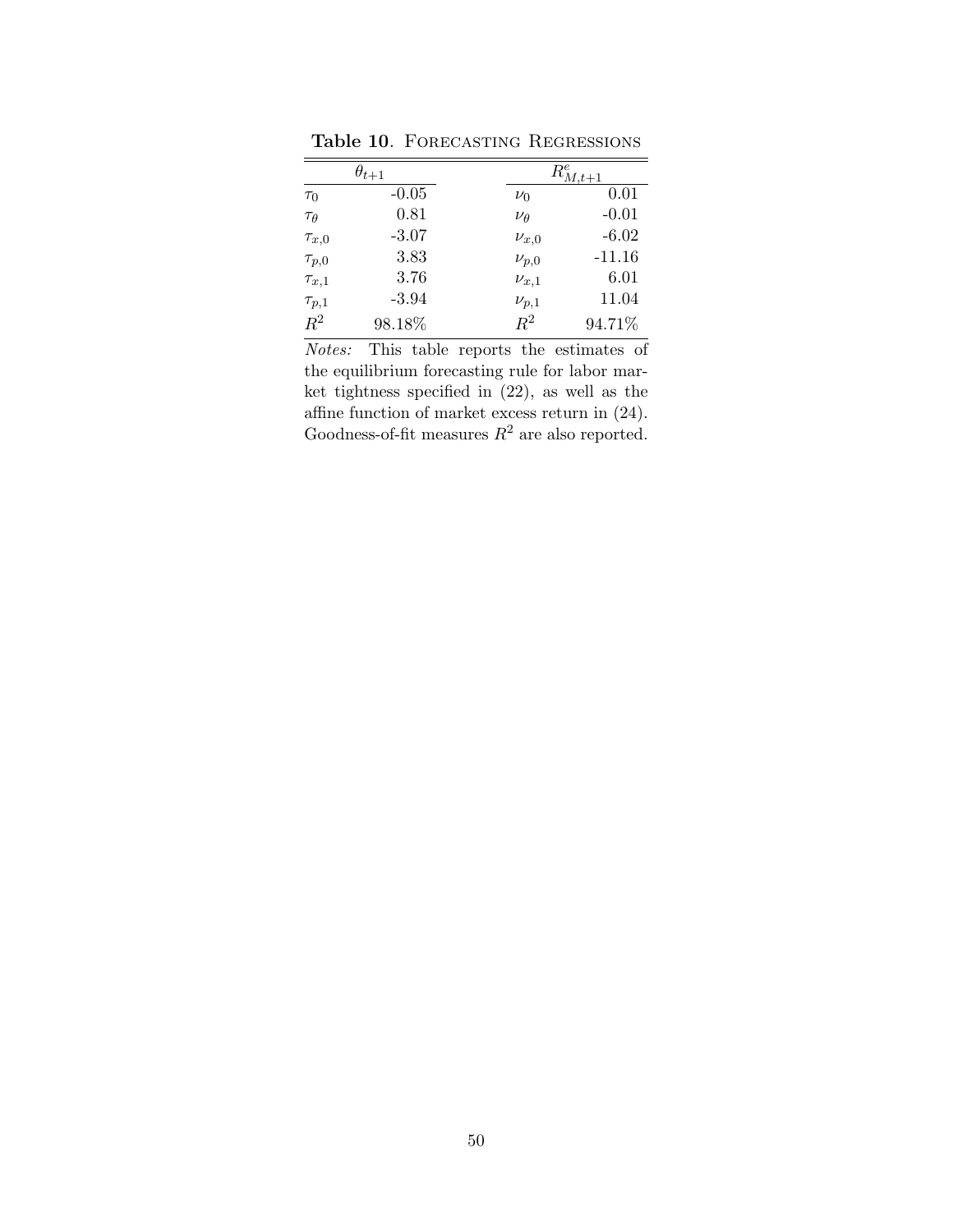|                 | $\theta_{t+1}$ |              | $R^e_{M,t+1}$ |
|-----------------|----------------|--------------|---------------|
| $\tau_0$        | $-0.05$        | $\nu_0$      | 0.01          |
| $\tau_{\theta}$ | 0.81           | $\nu_\theta$ | $-0.01$       |
| $\tau_{x,0}$    | $-3.07$        | $\nu_{x,0}$  | $-6.02$       |
| $\tau_{p,0}$    | 3.83           | $\nu_{p,0}$  | $-11.16$      |
| $\tau_{x,1}$    | 3.76           | $\nu_{x,1}$  | 6.01          |
| $\tau_{p,1}$    | $-3.94$        | $\nu_{p,1}$  | 11.04         |
| $R^2$           | 98.18%         | $R^2$        | 94.71%        |

Table 10. FORECASTING REGRESSIONS

Notes: This table reports the estimates of the equilibrium forecasting rule for labor market tightness specified in (22), as well as the affine function of market excess return in (24). Goodness-of-fit measures  $R^2$  are also reported.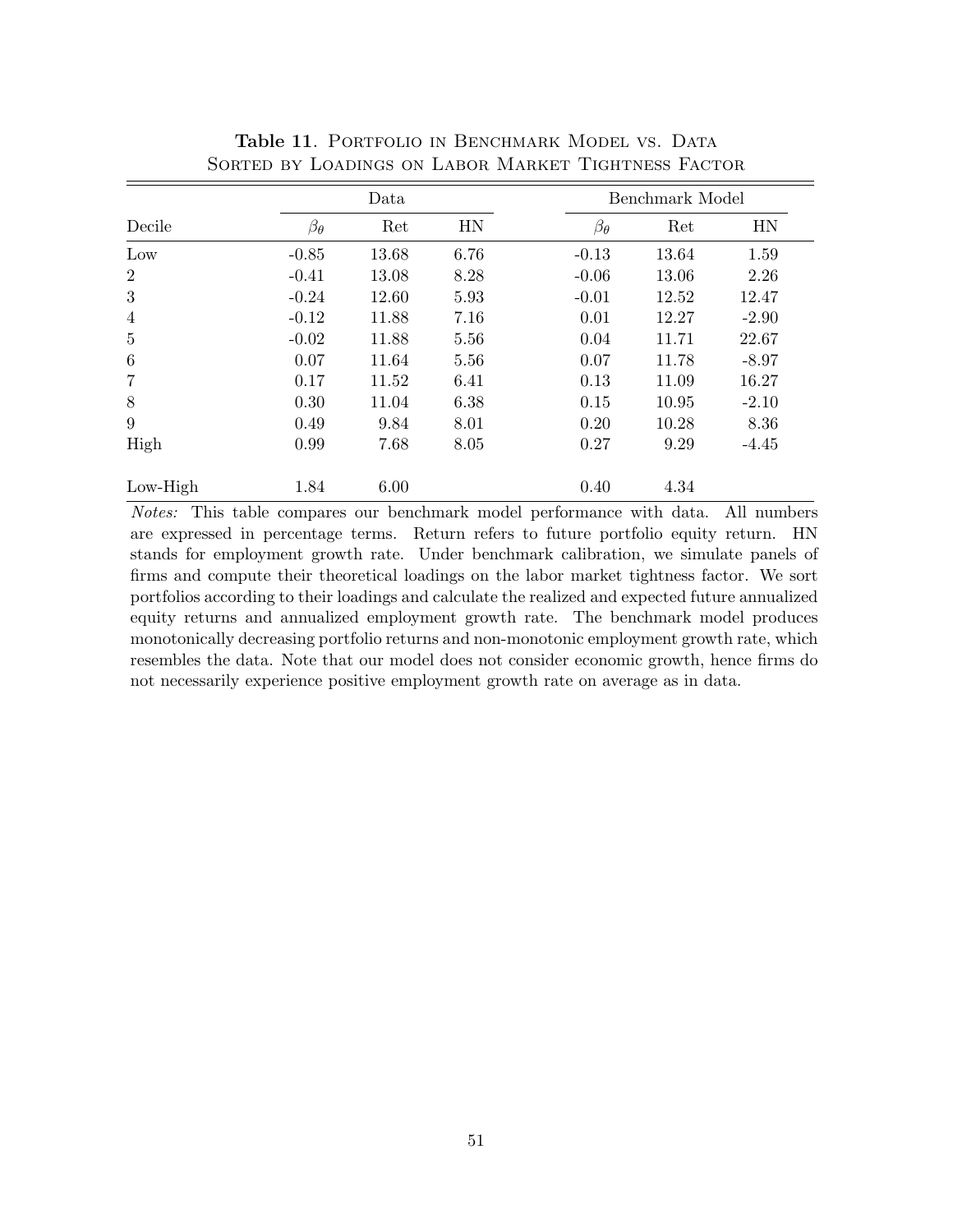|                 |                  | Data  |      |                  | Benchmark Model |         |  |  |
|-----------------|------------------|-------|------|------------------|-----------------|---------|--|--|
| Decile          | $\beta_{\theta}$ | Ret   | HN   | $\beta_{\theta}$ | Ret             | HN      |  |  |
| Low             | $-0.85$          | 13.68 | 6.76 | $-0.13$          | 13.64           | 1.59    |  |  |
| $\overline{2}$  | $-0.41$          | 13.08 | 8.28 | $-0.06$          | 13.06           | 2.26    |  |  |
| 3               | $-0.24$          | 12.60 | 5.93 | $-0.01$          | 12.52           | 12.47   |  |  |
| $\overline{4}$  | $-0.12$          | 11.88 | 7.16 | 0.01             | 12.27           | $-2.90$ |  |  |
| $\overline{5}$  | $-0.02$          | 11.88 | 5.56 | 0.04             | 11.71           | 22.67   |  |  |
| $6\phantom{.}6$ | 0.07             | 11.64 | 5.56 | 0.07             | 11.78           | $-8.97$ |  |  |
| $\overline{7}$  | 0.17             | 11.52 | 6.41 | 0.13             | 11.09           | 16.27   |  |  |
| 8               | 0.30             | 11.04 | 6.38 | 0.15             | 10.95           | $-2.10$ |  |  |
| 9               | 0.49             | 9.84  | 8.01 | 0.20             | 10.28           | 8.36    |  |  |
| High            | 0.99             | 7.68  | 8.05 | 0.27             | 9.29            | $-4.45$ |  |  |
| $Low-High$      | 1.84             | 6.00  |      | 0.40             | 4.34            |         |  |  |

Table 11. PORTFOLIO IN BENCHMARK MODEL VS. DATA Sorted by Loadings on Labor Market Tightness Factor

Notes: This table compares our benchmark model performance with data. All numbers are expressed in percentage terms. Return refers to future portfolio equity return. HN stands for employment growth rate. Under benchmark calibration, we simulate panels of firms and compute their theoretical loadings on the labor market tightness factor. We sort portfolios according to their loadings and calculate the realized and expected future annualized equity returns and annualized employment growth rate. The benchmark model produces monotonically decreasing portfolio returns and non-monotonic employment growth rate, which resembles the data. Note that our model does not consider economic growth, hence firms do not necessarily experience positive employment growth rate on average as in data.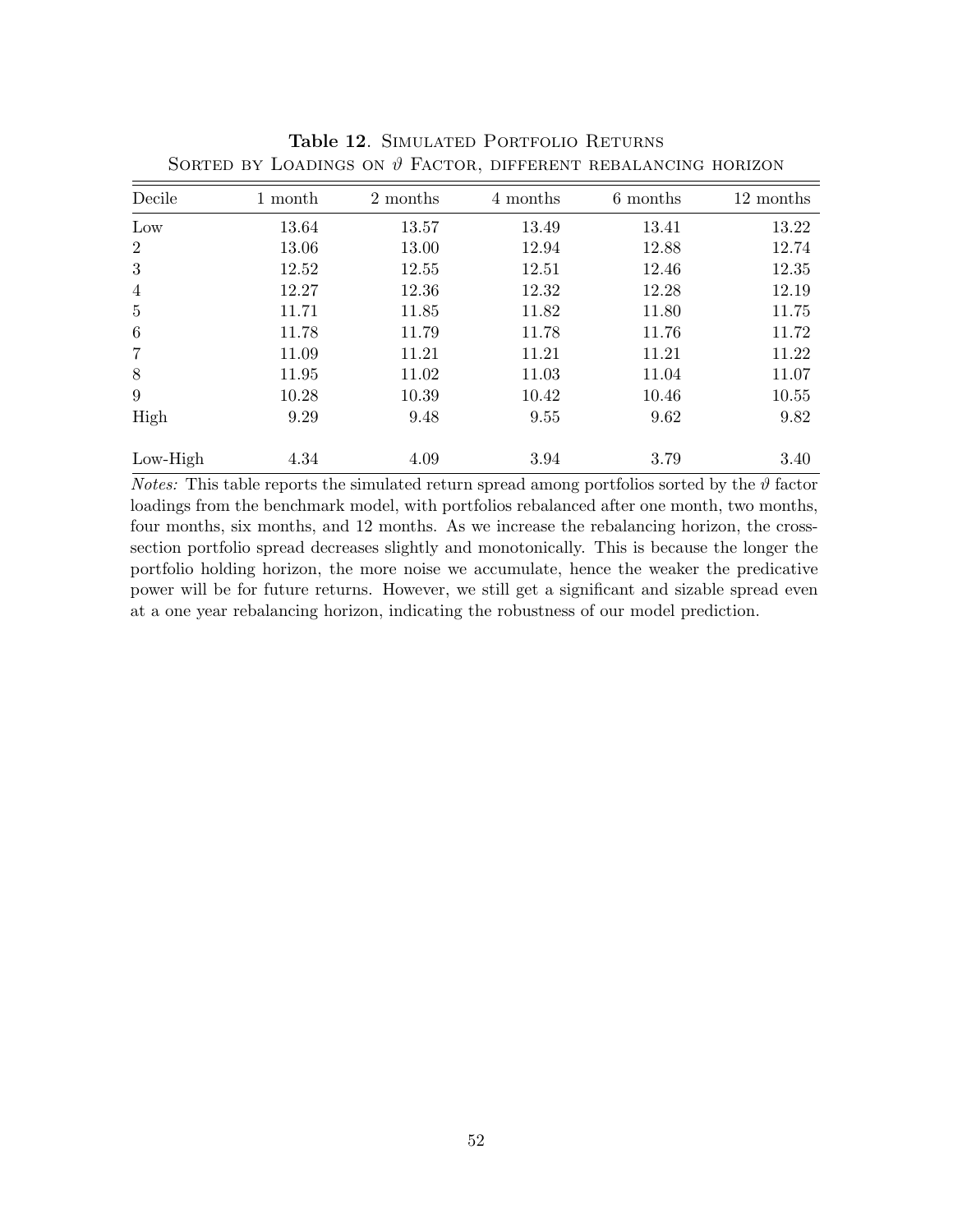| Decile           | 1 month | 2 months | 4 months | 6 months | 12 months |
|------------------|---------|----------|----------|----------|-----------|
| Low              | 13.64   | 13.57    | 13.49    | 13.41    | 13.22     |
| 2                | 13.06   | 13.00    | 12.94    | 12.88    | 12.74     |
| 3                | 12.52   | 12.55    | 12.51    | 12.46    | 12.35     |
| $\overline{4}$   | 12.27   | 12.36    | 12.32    | 12.28    | 12.19     |
| $\overline{5}$   | 11.71   | 11.85    | 11.82    | 11.80    | 11.75     |
| $\boldsymbol{6}$ | 11.78   | 11.79    | 11.78    | 11.76    | 11.72     |
| $\overline{7}$   | 11.09   | 11.21    | 11.21    | 11.21    | 11.22     |
| 8                | 11.95   | 11.02    | 11.03    | 11.04    | 11.07     |
| 9                | 10.28   | 10.39    | 10.42    | 10.46    | 10.55     |
| High             | 9.29    | 9.48     | 9.55     | 9.62     | 9.82      |
| Low-High         | 4.34    | 4.09     | 3.94     | 3.79     | 3.40      |

Table 12. SIMULATED PORTFOLIO RETURNS SORTED BY LOADINGS ON  $\vartheta$  FACTOR, DIFFERENT REBALANCING HORIZON

*Notes:* This table reports the simulated return spread among portfolios sorted by the  $\vartheta$  factor loadings from the benchmark model, with portfolios rebalanced after one month, two months, four months, six months, and 12 months. As we increase the rebalancing horizon, the crosssection portfolio spread decreases slightly and monotonically. This is because the longer the portfolio holding horizon, the more noise we accumulate, hence the weaker the predicative power will be for future returns. However, we still get a significant and sizable spread even at a one year rebalancing horizon, indicating the robustness of our model prediction.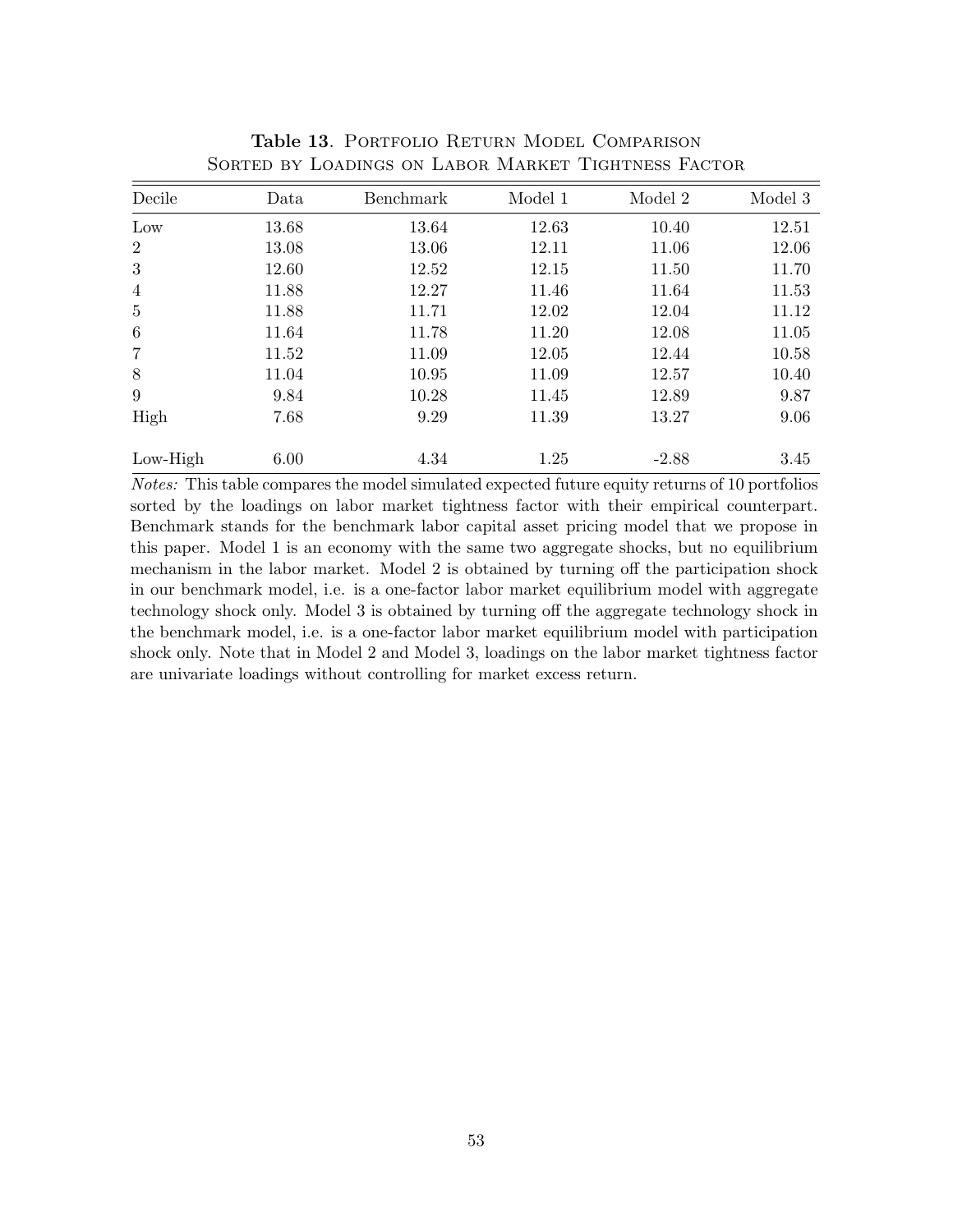| Decile          | Data  | Benchmark | Model 1 | Model 2 | Model 3 |
|-----------------|-------|-----------|---------|---------|---------|
| Low             | 13.68 | 13.64     | 12.63   | 10.40   | 12.51   |
| $\overline{2}$  | 13.08 | 13.06     | 12.11   | 11.06   | 12.06   |
| 3               | 12.60 | 12.52     | 12.15   | 11.50   | 11.70   |
| $\overline{4}$  | 11.88 | 12.27     | 11.46   | 11.64   | 11.53   |
| $\overline{5}$  | 11.88 | 11.71     | 12.02   | 12.04   | 11.12   |
| $6\phantom{.}6$ | 11.64 | 11.78     | 11.20   | 12.08   | 11.05   |
| $\overline{7}$  | 11.52 | 11.09     | 12.05   | 12.44   | 10.58   |
| 8               | 11.04 | 10.95     | 11.09   | 12.57   | 10.40   |
| 9               | 9.84  | 10.28     | 11.45   | 12.89   | 9.87    |
| High            | 7.68  | 9.29      | 11.39   | 13.27   | 9.06    |
| $Low-High$      | 6.00  | 4.34      | 1.25    | $-2.88$ | 3.45    |

Table 13. PORTFOLIO RETURN MODEL COMPARISON Sorted by Loadings on Labor Market Tightness Factor

Notes: This table compares the model simulated expected future equity returns of 10 portfolios sorted by the loadings on labor market tightness factor with their empirical counterpart. Benchmark stands for the benchmark labor capital asset pricing model that we propose in this paper. Model 1 is an economy with the same two aggregate shocks, but no equilibrium mechanism in the labor market. Model 2 is obtained by turning off the participation shock in our benchmark model, i.e. is a one-factor labor market equilibrium model with aggregate technology shock only. Model 3 is obtained by turning off the aggregate technology shock in the benchmark model, i.e. is a one-factor labor market equilibrium model with participation shock only. Note that in Model 2 and Model 3, loadings on the labor market tightness factor are univariate loadings without controlling for market excess return.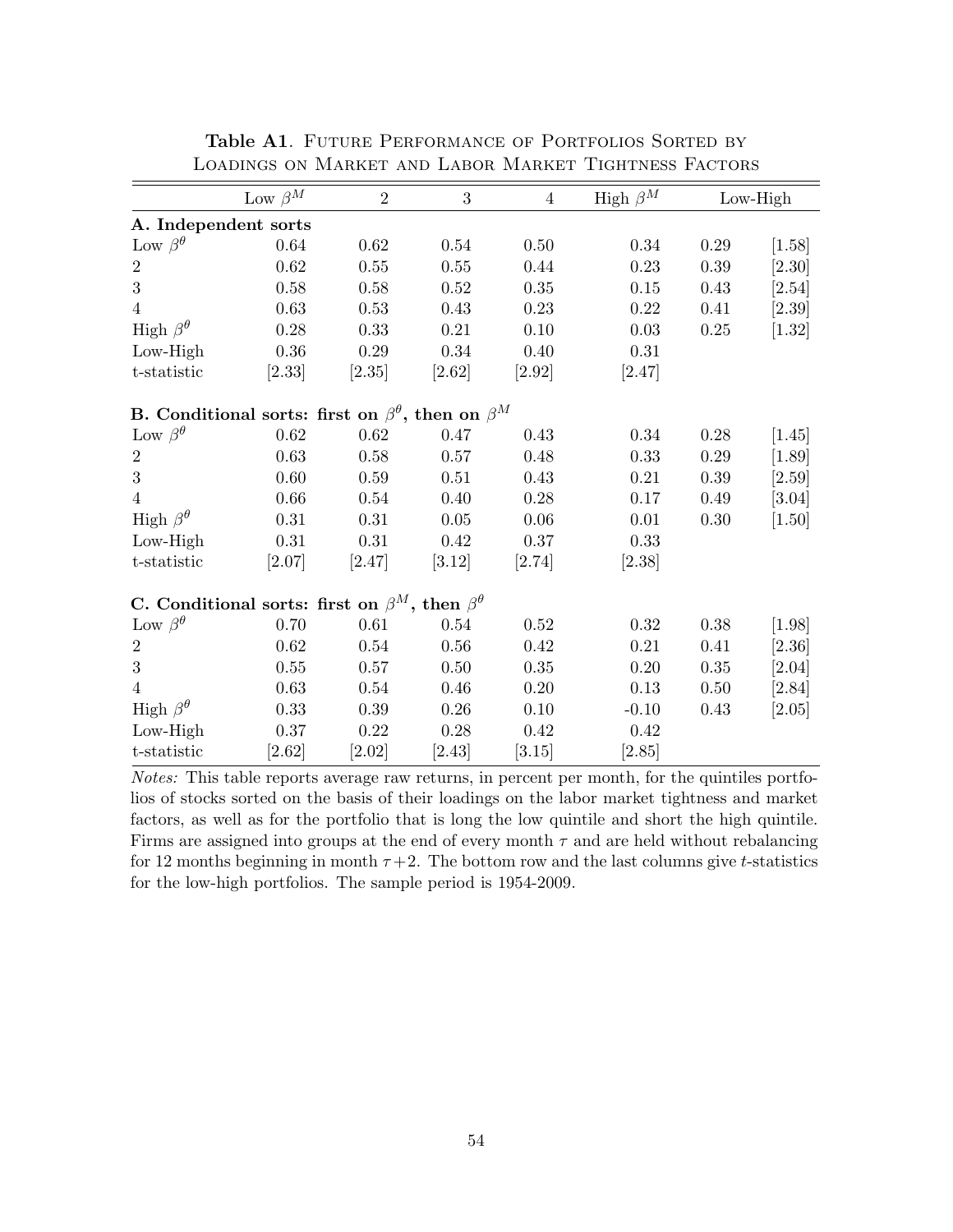|                                                                     | Low $\beta^M$ | $\overline{2}$ | 3        | $\overline{4}$ | High $\beta^M$ |          | $Low-High$ |  |
|---------------------------------------------------------------------|---------------|----------------|----------|----------------|----------------|----------|------------|--|
| A. Independent sorts                                                |               |                |          |                |                |          |            |  |
| Low $\beta^{\theta}$                                                | 0.64          | 0.62           | 0.54     | 0.50           | $0.34\,$       | $0.29\,$ | [1.58]     |  |
| $\overline{2}$                                                      | 0.62          | 0.55           | 0.55     | 0.44           | 0.23           | $0.39\,$ | $[2.30]$   |  |
| 3                                                                   | 0.58          | 0.58           | 0.52     | 0.35           | 0.15           | 0.43     | [2.54]     |  |
| $\overline{4}$                                                      | $0.63\,$      | 0.53           | $0.43\,$ | 0.23           | 0.22           | 0.41     | [2.39]     |  |
| High $\beta^{\theta}$                                               | 0.28          | 0.33           | 0.21     | 0.10           | 0.03           | 0.25     | $[1.32]$   |  |
| $Low-High$                                                          | $0.36\,$      | 0.29           | 0.34     | 0.40           | 0.31           |          |            |  |
| t-statistic                                                         | [2.33]        | [2.35]         | $[2.62]$ | $[2.92]$       | [2.47]         |          |            |  |
| B. Conditional sorts: first on $\beta^{\theta}$ , then on $\beta^M$ |               |                |          |                |                |          |            |  |
| Low $\beta^{\theta}$                                                | 0.62          | 0.62           | 0.47     | 0.43           | 0.34           | 0.28     | [1.45]     |  |
| $\overline{2}$                                                      | 0.63          | 0.58           | 0.57     | 0.48           | 0.33           | 0.29     | $[1.89]$   |  |
| 3                                                                   | 0.60          | 0.59           | 0.51     | 0.43           | 0.21           | 0.39     | [2.59]     |  |
| $\overline{4}$                                                      | 0.66          | 0.54           | 0.40     | 0.28           | 0.17           | $0.49\,$ | [3.04]     |  |
| High $\beta^{\theta}$                                               | 0.31          | 0.31           | 0.05     | 0.06           | 0.01           | 0.30     | $[1.50]$   |  |
| $Low-High$                                                          | 0.31          | 0.31           | 0.42     | $0.37\,$       | 0.33           |          |            |  |
| t-statistic                                                         | [2.07]        | [2.47]         | $[3.12]$ | [2.74]         | [2.38]         |          |            |  |
| C. Conditional sorts: first on $\beta^M$ , then $\beta^{\theta}$    |               |                |          |                |                |          |            |  |
| Low $\beta^{\theta}$                                                | 0.70          | 0.61           | 0.54     | 0.52           | 0.32           | 0.38     | $[1.98]$   |  |
| $\overline{2}$                                                      | 0.62          | 0.54           | 0.56     | 0.42           | 0.21           | 0.41     | [2.36]     |  |
| 3                                                                   | 0.55          | 0.57           | 0.50     | $0.35\,$       | 0.20           | 0.35     | [2.04]     |  |
| $\overline{4}$                                                      | $0.63\,$      | 0.54           | 0.46     | 0.20           | 0.13           | $0.50\,$ | [2.84]     |  |
| High $\beta^{\theta}$                                               | 0.33          | 0.39           | 0.26     | 0.10           | $-0.10$        | $0.43\,$ | [2.05]     |  |
| $Low-High$                                                          | 0.37          | 0.22           | 0.28     | 0.42           | 0.42           |          |            |  |
| t-statistic                                                         | [2.62]        | $[2.02]$       | [2.43]   | [3.15]         | [2.85]         |          |            |  |

Table A1. FUTURE PERFORMANCE OF PORTFOLIOS SORTED BY Loadings on Market and Labor Market Tightness Factors

Notes: This table reports average raw returns, in percent per month, for the quintiles portfolios of stocks sorted on the basis of their loadings on the labor market tightness and market factors, as well as for the portfolio that is long the low quintile and short the high quintile. Firms are assigned into groups at the end of every month  $\tau$  and are held without rebalancing for 12 months beginning in month  $\tau + 2$ . The bottom row and the last columns give t-statistics for the low-high portfolios. The sample period is 1954-2009.